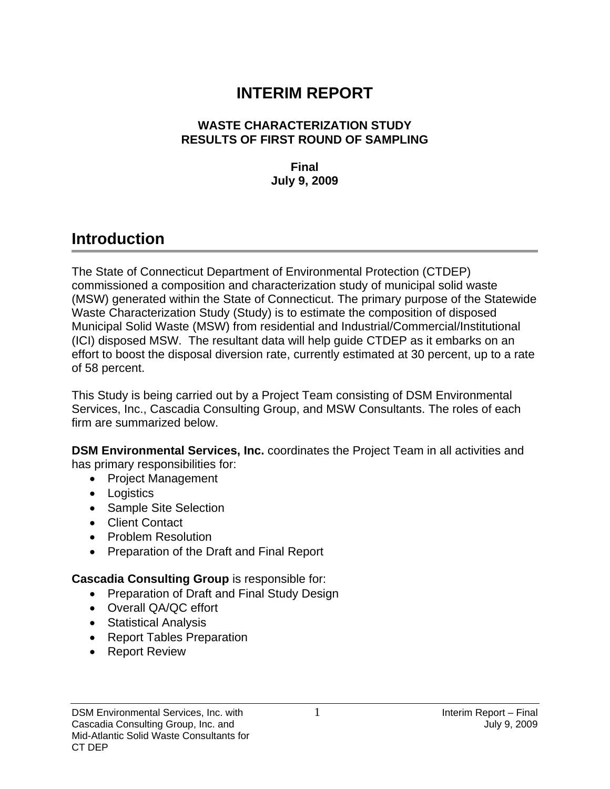# **INTERIM REPORT**

### **WASTE CHARACTERIZATION STUDY RESULTS OF FIRST ROUND OF SAMPLING**

**Final July 9, 2009** 

## **Introduction**

The State of Connecticut Department of Environmental Protection (CTDEP) commissioned a composition and characterization study of municipal solid waste (MSW) generated within the State of Connecticut. The primary purpose of the Statewide Waste Characterization Study (Study) is to estimate the composition of disposed Municipal Solid Waste (MSW) from residential and Industrial/Commercial/Institutional (ICI) disposed MSW. The resultant data will help guide CTDEP as it embarks on an effort to boost the disposal diversion rate, currently estimated at 30 percent, up to a rate of 58 percent.

This Study is being carried out by a Project Team consisting of DSM Environmental Services, Inc., Cascadia Consulting Group, and MSW Consultants. The roles of each firm are summarized below.

**DSM Environmental Services, Inc.** coordinates the Project Team in all activities and has primary responsibilities for:

- Project Management
- Logistics
- Sample Site Selection
- Client Contact
- Problem Resolution
- Preparation of the Draft and Final Report

**Cascadia Consulting Group** is responsible for:

- Preparation of Draft and Final Study Design
- Overall QA/QC effort
- Statistical Analysis
- Report Tables Preparation
- Report Review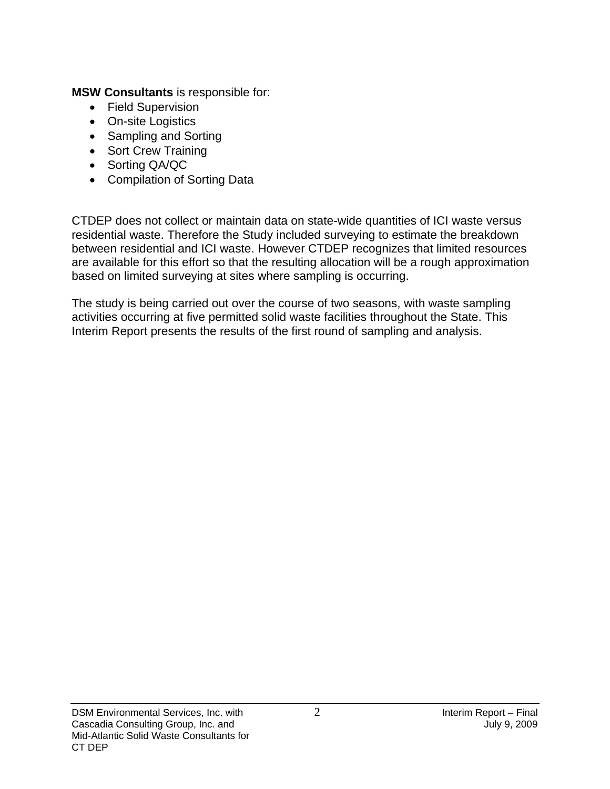**MSW Consultants** is responsible for:

- Field Supervision
- On-site Logistics
- Sampling and Sorting
- Sort Crew Training
- Sorting QA/QC
- Compilation of Sorting Data

CTDEP does not collect or maintain data on state-wide quantities of ICI waste versus residential waste. Therefore the Study included surveying to estimate the breakdown between residential and ICI waste. However CTDEP recognizes that limited resources are available for this effort so that the resulting allocation will be a rough approximation based on limited surveying at sites where sampling is occurring.

The study is being carried out over the course of two seasons, with waste sampling activities occurring at five permitted solid waste facilities throughout the State. This Interim Report presents the results of the first round of sampling and analysis.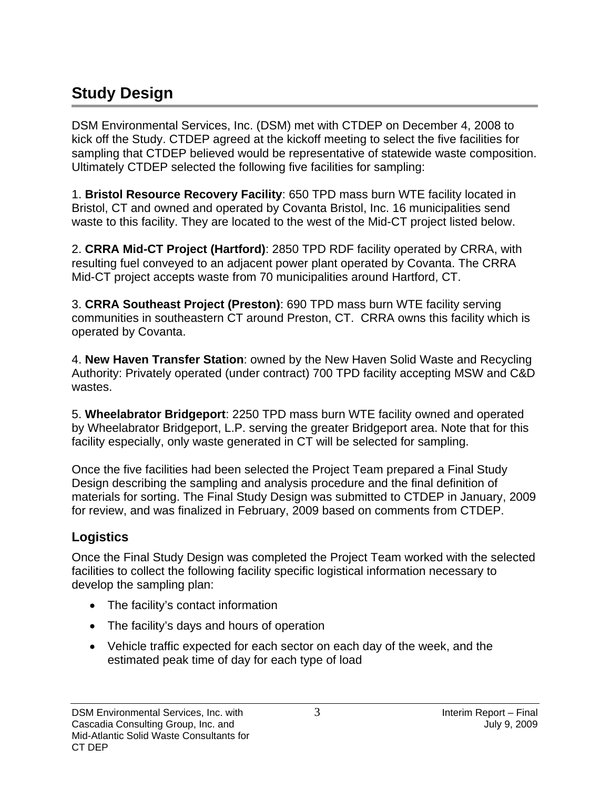# **Study Design**

DSM Environmental Services, Inc. (DSM) met with CTDEP on December 4, 2008 to kick off the Study. CTDEP agreed at the kickoff meeting to select the five facilities for sampling that CTDEP believed would be representative of statewide waste composition. Ultimately CTDEP selected the following five facilities for sampling:

1. **Bristol Resource Recovery Facility**: 650 TPD mass burn WTE facility located in Bristol, CT and owned and operated by Covanta Bristol, Inc. 16 municipalities send waste to this facility. They are located to the west of the Mid-CT project listed below.

2. **CRRA Mid-CT Project (Hartford)**: 2850 TPD RDF facility operated by CRRA, with resulting fuel conveyed to an adjacent power plant operated by Covanta. The CRRA Mid-CT project accepts waste from 70 municipalities around Hartford, CT.

3. **CRRA Southeast Project (Preston)**: 690 TPD mass burn WTE facility serving communities in southeastern CT around Preston, CT. CRRA owns this facility which is operated by Covanta.

4. **New Haven Transfer Station**: owned by the New Haven Solid Waste and Recycling Authority: Privately operated (under contract) 700 TPD facility accepting MSW and C&D wastes.

5. **Wheelabrator Bridgeport**: 2250 TPD mass burn WTE facility owned and operated by Wheelabrator Bridgeport, L.P. serving the greater Bridgeport area. Note that for this facility especially, only waste generated in CT will be selected for sampling.

Once the five facilities had been selected the Project Team prepared a Final Study Design describing the sampling and analysis procedure and the final definition of materials for sorting. The Final Study Design was submitted to CTDEP in January, 2009 for review, and was finalized in February, 2009 based on comments from CTDEP.

## **Logistics**

Once the Final Study Design was completed the Project Team worked with the selected facilities to collect the following facility specific logistical information necessary to develop the sampling plan:

- The facility's contact information
- The facility's days and hours of operation
- Vehicle traffic expected for each sector on each day of the week, and the estimated peak time of day for each type of load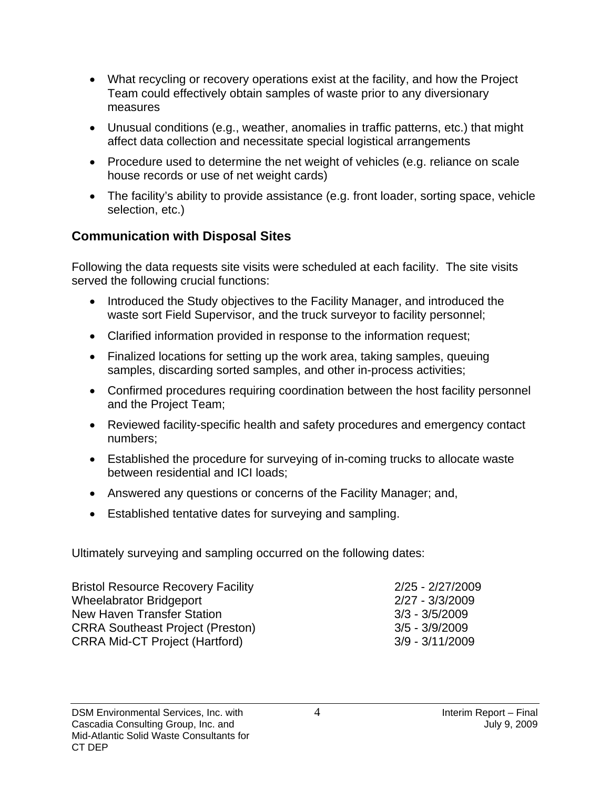- What recycling or recovery operations exist at the facility, and how the Project Team could effectively obtain samples of waste prior to any diversionary measures
- Unusual conditions (e.g., weather, anomalies in traffic patterns, etc.) that might affect data collection and necessitate special logistical arrangements
- Procedure used to determine the net weight of vehicles (e.g. reliance on scale house records or use of net weight cards)
- The facility's ability to provide assistance (e.g. front loader, sorting space, vehicle selection, etc.)

## **Communication with Disposal Sites**

Following the data requests site visits were scheduled at each facility. The site visits served the following crucial functions:

- Introduced the Study objectives to the Facility Manager, and introduced the waste sort Field Supervisor, and the truck surveyor to facility personnel;
- Clarified information provided in response to the information request;
- Finalized locations for setting up the work area, taking samples, queuing samples, discarding sorted samples, and other in-process activities;
- Confirmed procedures requiring coordination between the host facility personnel and the Project Team;
- Reviewed facility-specific health and safety procedures and emergency contact numbers;
- Established the procedure for surveying of in-coming trucks to allocate waste between residential and ICI loads;
- Answered any questions or concerns of the Facility Manager; and,
- Established tentative dates for surveying and sampling.

Ultimately surveying and sampling occurred on the following dates:

Bristol Resource Recovery Facility **2/25 - 2/27/2009** Wheelabrator Bridgeport 2/27 - 3/3/2009 New Haven Transfer Station 3/3 - 3/5/2009 CRRA Southeast Project (Preston) 3/5 - 3/9/2009 CRRA Mid-CT Project (Hartford) 3/9 - 3/11/2009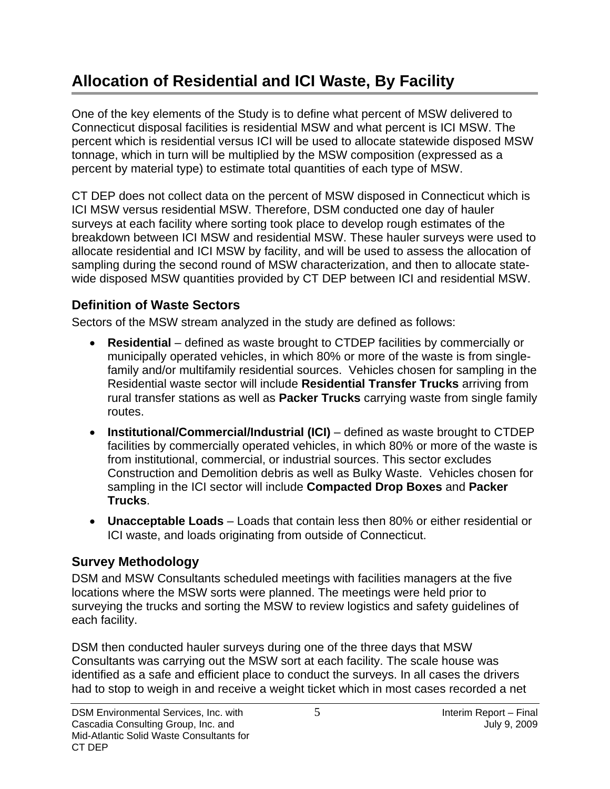# **Allocation of Residential and ICI Waste, By Facility**

One of the key elements of the Study is to define what percent of MSW delivered to Connecticut disposal facilities is residential MSW and what percent is ICI MSW. The percent which is residential versus ICI will be used to allocate statewide disposed MSW tonnage, which in turn will be multiplied by the MSW composition (expressed as a percent by material type) to estimate total quantities of each type of MSW.

CT DEP does not collect data on the percent of MSW disposed in Connecticut which is ICI MSW versus residential MSW. Therefore, DSM conducted one day of hauler surveys at each facility where sorting took place to develop rough estimates of the breakdown between ICI MSW and residential MSW. These hauler surveys were used to allocate residential and ICI MSW by facility, and will be used to assess the allocation of sampling during the second round of MSW characterization, and then to allocate statewide disposed MSW quantities provided by CT DEP between ICI and residential MSW.

## **Definition of Waste Sectors**

Sectors of the MSW stream analyzed in the study are defined as follows:

- **Residential** defined as waste brought to CTDEP facilities by commercially or municipally operated vehicles, in which 80% or more of the waste is from singlefamily and/or multifamily residential sources. Vehicles chosen for sampling in the Residential waste sector will include **Residential Transfer Trucks** arriving from rural transfer stations as well as **Packer Trucks** carrying waste from single family routes.
- **Institutional/Commercial/Industrial (ICI)** defined as waste brought to CTDEP facilities by commercially operated vehicles, in which 80% or more of the waste is from institutional, commercial, or industrial sources. This sector excludes Construction and Demolition debris as well as Bulky Waste. Vehicles chosen for sampling in the ICI sector will include **Compacted Drop Boxes** and **Packer Trucks**.
- **Unacceptable Loads**  Loads that contain less then 80% or either residential or ICI waste, and loads originating from outside of Connecticut.

## **Survey Methodology**

DSM and MSW Consultants scheduled meetings with facilities managers at the five locations where the MSW sorts were planned. The meetings were held prior to surveying the trucks and sorting the MSW to review logistics and safety guidelines of each facility.

DSM then conducted hauler surveys during one of the three days that MSW Consultants was carrying out the MSW sort at each facility. The scale house was identified as a safe and efficient place to conduct the surveys. In all cases the drivers had to stop to weigh in and receive a weight ticket which in most cases recorded a net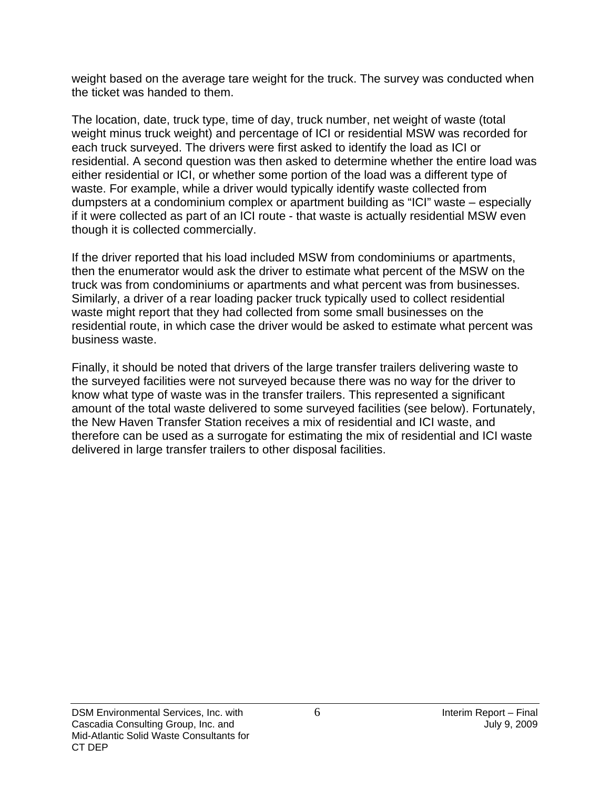weight based on the average tare weight for the truck. The survey was conducted when the ticket was handed to them.

The location, date, truck type, time of day, truck number, net weight of waste (total weight minus truck weight) and percentage of ICI or residential MSW was recorded for each truck surveyed. The drivers were first asked to identify the load as ICI or residential. A second question was then asked to determine whether the entire load was either residential or ICI, or whether some portion of the load was a different type of waste. For example, while a driver would typically identify waste collected from dumpsters at a condominium complex or apartment building as "ICI" waste – especially if it were collected as part of an ICI route - that waste is actually residential MSW even though it is collected commercially.

If the driver reported that his load included MSW from condominiums or apartments, then the enumerator would ask the driver to estimate what percent of the MSW on the truck was from condominiums or apartments and what percent was from businesses. Similarly, a driver of a rear loading packer truck typically used to collect residential waste might report that they had collected from some small businesses on the residential route, in which case the driver would be asked to estimate what percent was business waste.

Finally, it should be noted that drivers of the large transfer trailers delivering waste to the surveyed facilities were not surveyed because there was no way for the driver to know what type of waste was in the transfer trailers. This represented a significant amount of the total waste delivered to some surveyed facilities (see below). Fortunately, the New Haven Transfer Station receives a mix of residential and ICI waste, and therefore can be used as a surrogate for estimating the mix of residential and ICI waste delivered in large transfer trailers to other disposal facilities.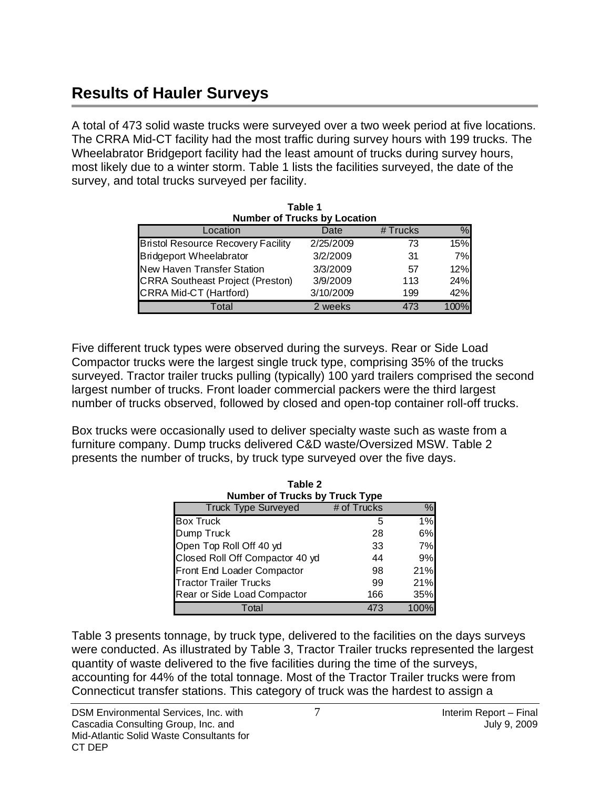# **Results of Hauler Surveys**

A total of 473 solid waste trucks were surveyed over a two week period at five locations. The CRRA Mid-CT facility had the most traffic during survey hours with 199 trucks. The Wheelabrator Bridgeport facility had the least amount of trucks during survey hours, most likely due to a winter storm. Table 1 lists the facilities surveyed, the date of the survey, and total trucks surveyed per facility.

| Table 1<br><b>Number of Trucks by Location</b> |           |     |      |  |  |  |  |  |
|------------------------------------------------|-----------|-----|------|--|--|--|--|--|
| # Trucks<br>Location<br>Date                   |           |     |      |  |  |  |  |  |
| <b>Bristol Resource Recovery Facility</b>      | 2/25/2009 | 73  | 15%  |  |  |  |  |  |
| Bridgeport Wheelabrator                        | 3/2/2009  | 31  | 7%   |  |  |  |  |  |
| New Haven Transfer Station                     | 3/3/2009  | 57  | 12%  |  |  |  |  |  |
| <b>CRRA Southeast Project (Preston)</b>        | 3/9/2009  | 113 | 24%  |  |  |  |  |  |
| CRRA Mid-CT (Hartford)                         | 3/10/2009 | 199 | 42%  |  |  |  |  |  |
| Total                                          | 2 weeks   | 473 | 100% |  |  |  |  |  |

Five different truck types were observed during the surveys. Rear or Side Load Compactor trucks were the largest single truck type, comprising 35% of the trucks surveyed. Tractor trailer trucks pulling (typically) 100 yard trailers comprised the second largest number of trucks. Front loader commercial packers were the third largest number of trucks observed, followed by closed and open-top container roll-off trucks.

Box trucks were occasionally used to deliver specialty waste such as waste from a furniture company. Dump trucks delivered C&D waste/Oversized MSW. Table 2 presents the number of trucks, by truck type surveyed over the five days.

| Table 2<br><b>Number of Trucks by Truck Type</b> |             |      |  |  |  |  |  |
|--------------------------------------------------|-------------|------|--|--|--|--|--|
| <b>Truck Type Surveyed</b>                       | # of Trucks | %    |  |  |  |  |  |
| <b>Box Truck</b>                                 | 5           | 1%   |  |  |  |  |  |
| Dump Truck                                       | 28          | 6%   |  |  |  |  |  |
| Open Top Roll Off 40 yd                          | 33          | 7%l  |  |  |  |  |  |
| Closed Roll Off Compactor 40 yd                  | 44          | 9%   |  |  |  |  |  |
| Front End Loader Compactor                       | 98          | 21%  |  |  |  |  |  |
| <b>Tractor Trailer Trucks</b>                    | 99          | 21%  |  |  |  |  |  |
| Rear or Side Load Compactor                      | 166         | 35%  |  |  |  |  |  |
| Total                                            | 473         | 100% |  |  |  |  |  |

Table 3 presents tonnage, by truck type, delivered to the facilities on the days surveys were conducted. As illustrated by Table 3, Tractor Trailer trucks represented the largest quantity of waste delivered to the five facilities during the time of the surveys, accounting for 44% of the total tonnage. Most of the Tractor Trailer trucks were from Connecticut transfer stations. This category of truck was the hardest to assign a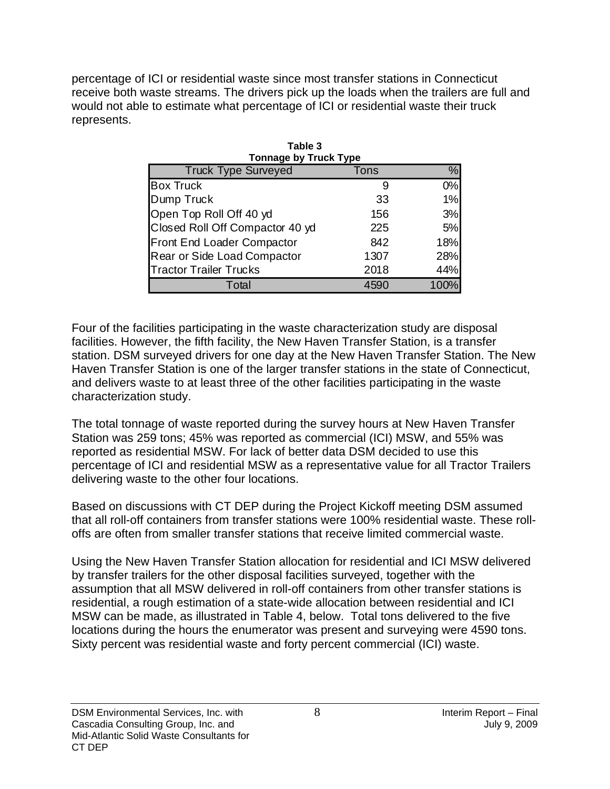percentage of ICI or residential waste since most transfer stations in Connecticut receive both waste streams. The drivers pick up the loads when the trailers are full and would not able to estimate what percentage of ICI or residential waste their truck represents.

| Table 3<br><b>Tonnage by Truck Type</b> |      |      |  |  |  |  |  |
|-----------------------------------------|------|------|--|--|--|--|--|
| <b>Truck Type Surveyed</b>              | Tons | %    |  |  |  |  |  |
| <b>Box Truck</b>                        | 9    | 0%   |  |  |  |  |  |
| Dump Truck                              | 33   | 1%   |  |  |  |  |  |
| Open Top Roll Off 40 yd                 | 156  | 3%   |  |  |  |  |  |
| Closed Roll Off Compactor 40 yd         | 225  | 5%   |  |  |  |  |  |
| Front End Loader Compactor              | 842  | 18%  |  |  |  |  |  |
| Rear or Side Load Compactor             | 1307 | 28%  |  |  |  |  |  |
| <b>Tractor Trailer Trucks</b>           | 2018 | 44%  |  |  |  |  |  |
| Total                                   | 4590 | 100% |  |  |  |  |  |

Four of the facilities participating in the waste characterization study are disposal facilities. However, the fifth facility, the New Haven Transfer Station, is a transfer station. DSM surveyed drivers for one day at the New Haven Transfer Station. The New Haven Transfer Station is one of the larger transfer stations in the state of Connecticut, and delivers waste to at least three of the other facilities participating in the waste characterization study.

The total tonnage of waste reported during the survey hours at New Haven Transfer Station was 259 tons; 45% was reported as commercial (ICI) MSW, and 55% was reported as residential MSW. For lack of better data DSM decided to use this percentage of ICI and residential MSW as a representative value for all Tractor Trailers delivering waste to the other four locations.

Based on discussions with CT DEP during the Project Kickoff meeting DSM assumed that all roll-off containers from transfer stations were 100% residential waste. These rolloffs are often from smaller transfer stations that receive limited commercial waste.

Using the New Haven Transfer Station allocation for residential and ICI MSW delivered by transfer trailers for the other disposal facilities surveyed, together with the assumption that all MSW delivered in roll-off containers from other transfer stations is residential, a rough estimation of a state-wide allocation between residential and ICI MSW can be made, as illustrated in Table 4, below. Total tons delivered to the five locations during the hours the enumerator was present and surveying were 4590 tons. Sixty percent was residential waste and forty percent commercial (ICI) waste.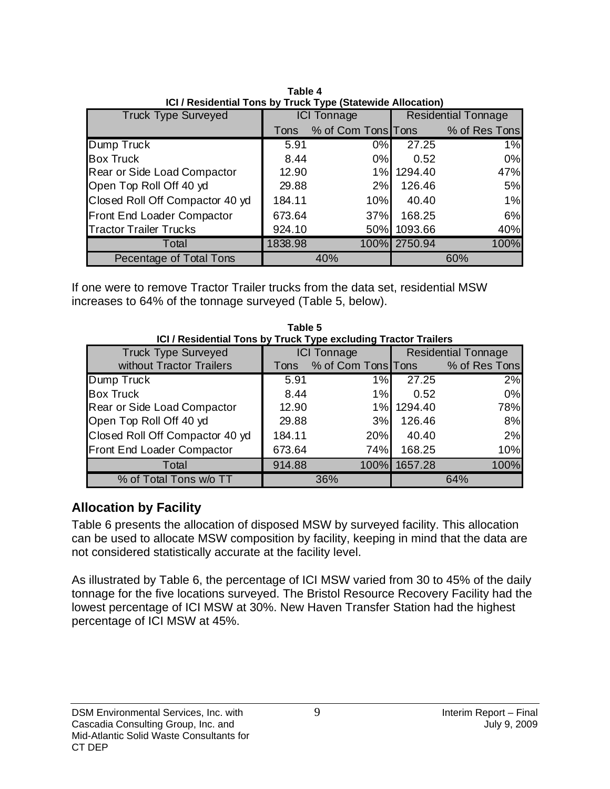| <b>IGT/ Residential Tons by Truck Type (Statewide Allocation)</b> |         |                    |                            |               |  |  |  |  |
|-------------------------------------------------------------------|---------|--------------------|----------------------------|---------------|--|--|--|--|
| <b>Truck Type Surveyed</b>                                        |         | <b>ICI</b> Tonnage | <b>Residential Tonnage</b> |               |  |  |  |  |
|                                                                   | Tons    | % of Com Tons Tons |                            | % of Res Tons |  |  |  |  |
| Dump Truck                                                        | 5.91    | 0%                 | 27.25                      | 1%            |  |  |  |  |
| <b>Box Truck</b>                                                  | 8.44    | 0%                 | 0.52                       | 0%            |  |  |  |  |
| Rear or Side Load Compactor                                       | 12.90   | 1%                 | 1294.40                    | 47%           |  |  |  |  |
| Open Top Roll Off 40 yd                                           | 29.88   | 2%                 | 126.46                     | 5%            |  |  |  |  |
| Closed Roll Off Compactor 40 yd                                   | 184.11  | 10%                | 40.40                      | 1%            |  |  |  |  |
| Front End Loader Compactor                                        | 673.64  | 37%                | 168.25                     | 6%            |  |  |  |  |
| <b>Tractor Trailer Trucks</b>                                     | 924.10  | 50%                | 1093.66                    | 40%           |  |  |  |  |
| Total                                                             | 1838.98 |                    | 100% 2750.94               | 100%          |  |  |  |  |
| Pecentage of Total Tons                                           |         | 40%                |                            | 60%           |  |  |  |  |

**Table 4 ICI / Residential Tons by Truck Type (Statewide Allocation)**

If one were to remove Tractor Trailer trucks from the data set, residential MSW increases to 64% of the tonnage surveyed (Table 5, below).

| Table 5                                                         |        |                    |         |                            |  |  |  |
|-----------------------------------------------------------------|--------|--------------------|---------|----------------------------|--|--|--|
| ICI / Residential Tons by Truck Type excluding Tractor Trailers |        |                    |         |                            |  |  |  |
| <b>Truck Type Surveyed</b>                                      |        | <b>ICI Tonnage</b> |         | <b>Residential Tonnage</b> |  |  |  |
| without Tractor Trailers                                        | Tons   | % of Com Tons Tons |         | % of Res Tons              |  |  |  |
| Dump Truck                                                      | 5.91   | 1%                 | 27.25   | 2%                         |  |  |  |
| <b>Box Truck</b>                                                | 8.44   | 1%                 | 0.52    | 0%                         |  |  |  |
| Rear or Side Load Compactor                                     | 12.90  | $1\%$              | 1294.40 | 78%                        |  |  |  |
| Open Top Roll Off 40 yd                                         | 29.88  | 3%                 | 126.46  | 8%                         |  |  |  |
| Closed Roll Off Compactor 40 yd                                 | 184.11 | 20%                | 40.40   | 2%                         |  |  |  |
| Front End Loader Compactor                                      | 673.64 | 74%                | 168.25  | 10%                        |  |  |  |
| Total                                                           | 914.88 | 100%               | 1657.28 | 100%                       |  |  |  |
| % of Total Tons w/o TT                                          |        | 36%                |         | 64%                        |  |  |  |

## **Allocation by Facility**

Table 6 presents the allocation of disposed MSW by surveyed facility. This allocation can be used to allocate MSW composition by facility, keeping in mind that the data are not considered statistically accurate at the facility level.

As illustrated by Table 6, the percentage of ICI MSW varied from 30 to 45% of the daily tonnage for the five locations surveyed. The Bristol Resource Recovery Facility had the lowest percentage of ICI MSW at 30%. New Haven Transfer Station had the highest percentage of ICI MSW at 45%.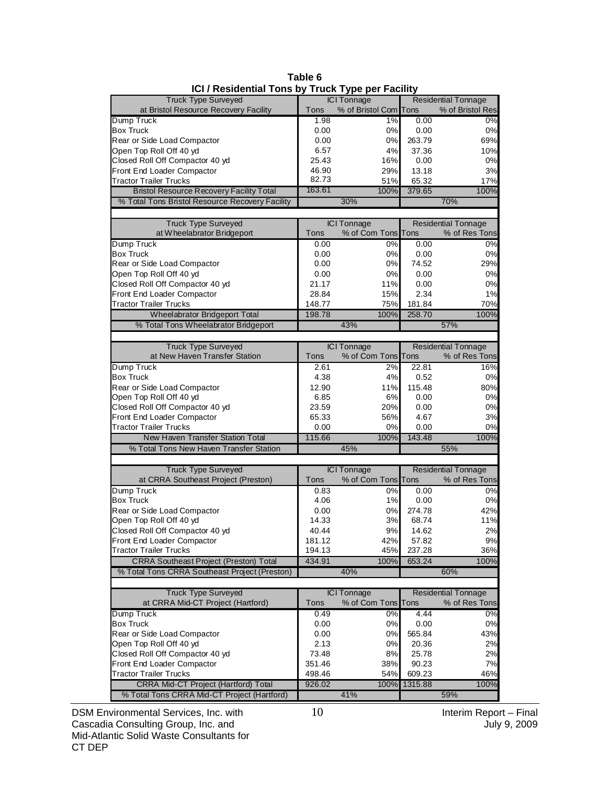| $\mathbf{v}$ , nesidential Tons $\mathbf{v}$                        |             | <b>THE TABLE PET LACTILY</b>                |         |                                                |
|---------------------------------------------------------------------|-------------|---------------------------------------------|---------|------------------------------------------------|
| <b>Truck Type Surveyed</b><br>at Bristol Resource Recovery Facility | Tons        | <b>ICI Tonnage</b><br>% of Bristol Com Tons |         | <b>Residential Tonnage</b><br>% of Bristol Res |
| Dump Truck                                                          | 1.98        | 1%                                          | 0.00    | 0%                                             |
| <b>Box Truck</b>                                                    | 0.00        | 0%                                          | 0.00    | 0%                                             |
| Rear or Side Load Compactor                                         | 0.00        | 0%                                          | 263.79  | 69%                                            |
| Open Top Roll Off 40 yd                                             | 6.57        | 4%                                          | 37.36   | 10%                                            |
| Closed Roll Off Compactor 40 yd                                     | 25.43       | 16%                                         | 0.00    | 0%                                             |
| Front End Loader Compactor                                          | 46.90       | 29%                                         | 13.18   | 3%                                             |
| <b>Tractor Trailer Trucks</b>                                       | 82.73       | 51%                                         | 65.32   | 17%                                            |
| <b>Bristol Resource Recovery Facility Total</b>                     | 163.61      | 100%                                        | 379.65  | 100%                                           |
| % Total Tons Bristol Resource Recovery Facility                     |             | 30%                                         |         | 70%                                            |
|                                                                     |             |                                             |         |                                                |
| <b>Truck Type Surveyed</b>                                          |             | <b>ICI</b> Tonnage                          |         | <b>Residential Tonnage</b>                     |
| at Wheelabrator Bridgeport                                          | Tons        | % of Com Tons                               | Tons    | % of Res Tons                                  |
| Dump Truck                                                          | 0.00        | 0%                                          | 0.00    | 0%                                             |
| Box Truck                                                           | 0.00        | 0%                                          | 0.00    | 0%                                             |
| Rear or Side Load Compactor                                         | 0.00        | 0%                                          | 74.52   | 29%                                            |
| Open Top Roll Off 40 yd                                             | 0.00        | 0%                                          | 0.00    | 0%                                             |
| Closed Roll Off Compactor 40 yd                                     | 21.17       | 11%                                         | 0.00    | 0%                                             |
| Front End Loader Compactor                                          | 28.84       | 15%                                         | 2.34    | 1%                                             |
| Tractor Trailer Trucks                                              | 148.77      | 75%                                         | 181.84  | 70%                                            |
| Wheelabrator Bridgeport Total                                       | 198.78      | 100%                                        | 258.70  | 100%                                           |
| % Total Tons Wheelabrator Bridgeport                                |             | 43%                                         |         | 57%                                            |
|                                                                     |             |                                             |         |                                                |
| <b>Truck Type Surveyed</b>                                          |             | <b>ICI</b> Tonnage                          |         | <b>Residential Tonnage</b>                     |
| at New Haven Transfer Station                                       | Tons        | % of Com Tons Tons                          |         | % of Res Tons                                  |
| Dump Truck                                                          | 2.61        | 2%                                          | 22.81   | 16%                                            |
| <b>Box Truck</b>                                                    | 4.38        | 4%                                          | 0.52    | 0%                                             |
| Rear or Side Load Compactor                                         | 12.90       | 11%                                         | 115.48  | 80%                                            |
| Open Top Roll Off 40 yd                                             | 6.85        | 6%                                          | 0.00    | 0%                                             |
| Closed Roll Off Compactor 40 yd                                     | 23.59       | 20%                                         | 0.00    | 0%                                             |
| Front End Loader Compactor                                          | 65.33       | 56%                                         | 4.67    | 3%                                             |
| Tractor Trailer Trucks                                              | 0.00        | 0%                                          | 0.00    | 0%                                             |
| New Haven Transfer Station Total                                    | 115.66      | 100%                                        | 143.48  | 100%                                           |
| % Total Tons New Haven Transfer Station                             |             | 45%                                         |         | 55%                                            |
|                                                                     |             |                                             |         |                                                |
| <b>Truck Type Surveyed</b>                                          |             | <b>ICI Tonnage</b>                          |         | <b>Residential Tonnage</b>                     |
| at CRRA Southeast Project (Preston)                                 | <b>Tons</b> | % of Com Tons Tons                          |         | % of Res Tons                                  |
| Dump Truck                                                          | 0.83        | 0%                                          | 0.00    | 0%                                             |
| <b>Box Truck</b>                                                    | 4.06        | 1%                                          | 0.00    | 0%                                             |
| Rear or Side Load Compactor                                         | 0.00        | 0%                                          | 274.78  | 42%                                            |
| Open Top Roll Off 40 yd                                             | 14.33       | 3%                                          | 68.74   | 11%                                            |
| Closed Roll Off Compactor 40 yd                                     | 40.44       | 9%                                          | 14.62   | 2%                                             |
| Front End Loader Compactor                                          | 181.12      | 42%                                         | 57.82   | 9%                                             |
| <b>Tractor Trailer Trucks</b>                                       | 194.13      | 45%                                         | 237.28  | 36%                                            |
| <b>CRRA Southeast Project (Preston) Total</b>                       | 434.91      | 100%                                        | 653.24  | 100%                                           |
| % Total Tons CRRA Southeast Project (Preston)                       |             | 40%                                         |         | 60%                                            |
|                                                                     |             |                                             |         |                                                |
| <b>Truck Type Surveyed</b>                                          |             | <b>ICI Tonnage</b>                          |         | <b>Residential Tonnage</b>                     |
| at CRRA Mid-CT Project (Hartford)                                   | Tons        | % of Com Tons                               | Tons    | % of Res Tons                                  |
| Dump Truck                                                          | 0.49        | 0%                                          | 4.44    | 0%                                             |
| Box Truck                                                           | 0.00        | 0%                                          | 0.00    | 0%                                             |
| Rear or Side Load Compactor                                         | 0.00        | 0%                                          | 565.84  | 43%                                            |
| Open Top Roll Off 40 yd                                             | 2.13        | 0%                                          | 20.36   | 2%                                             |
| Closed Roll Off Compactor 40 yd                                     | 73.48       | 8%                                          | 25.78   | 2%                                             |
| Front End Loader Compactor                                          | 351.46      | 38%                                         | 90.23   | 7%                                             |
| <b>Tractor Trailer Trucks</b>                                       | 498.46      | 54%                                         | 609.23  | 46%                                            |
| CRRA Mid-CT Project (Hartford) Total                                | 926.02      | 100%                                        | 1315.88 | 100%                                           |
| % Total Tons CRRA Mid-CT Project (Hartford)                         |             | 41%                                         |         | 59%                                            |
|                                                                     |             |                                             |         |                                                |

**Table 6 ICI / Residential Tons by Truck Type per Facility**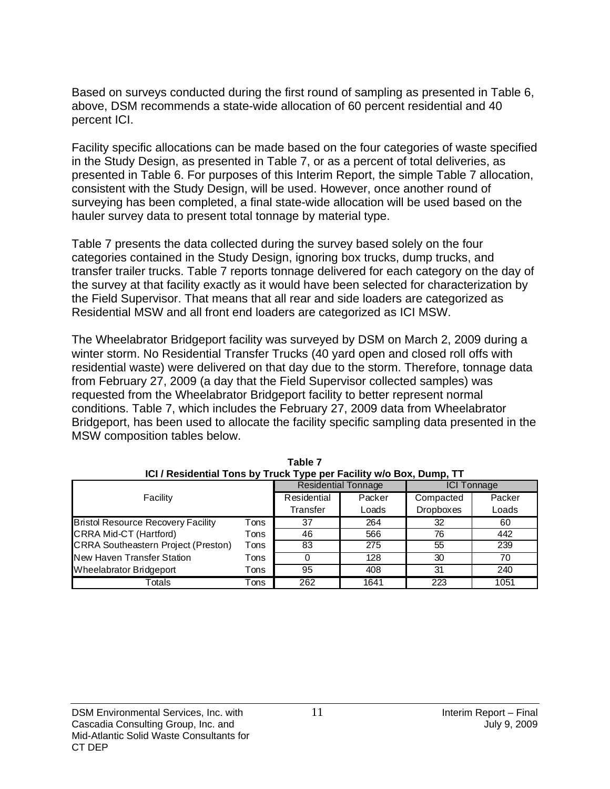Based on surveys conducted during the first round of sampling as presented in Table 6, above, DSM recommends a state-wide allocation of 60 percent residential and 40 percent ICI.

Facility specific allocations can be made based on the four categories of waste specified in the Study Design, as presented in Table 7, or as a percent of total deliveries, as presented in Table 6. For purposes of this Interim Report, the simple Table 7 allocation, consistent with the Study Design, will be used. However, once another round of surveying has been completed, a final state-wide allocation will be used based on the hauler survey data to present total tonnage by material type.

Table 7 presents the data collected during the survey based solely on the four categories contained in the Study Design, ignoring box trucks, dump trucks, and transfer trailer trucks. Table 7 reports tonnage delivered for each category on the day of the survey at that facility exactly as it would have been selected for characterization by the Field Supervisor. That means that all rear and side loaders are categorized as Residential MSW and all front end loaders are categorized as ICI MSW.

The Wheelabrator Bridgeport facility was surveyed by DSM on March 2, 2009 during a winter storm. No Residential Transfer Trucks (40 yard open and closed roll offs with residential waste) were delivered on that day due to the storm. Therefore, tonnage data from February 27, 2009 (a day that the Field Supervisor collected samples) was requested from the Wheelabrator Bridgeport facility to better represent normal conditions. Table 7, which includes the February 27, 2009 data from Wheelabrator Bridgeport, has been used to allocate the facility specific sampling data presented in the MSW composition tables below.

|                                           |      | - -                        |                    |                  |        |
|-------------------------------------------|------|----------------------------|--------------------|------------------|--------|
|                                           |      | <b>Residential Tonnage</b> | <b>ICI Tonnage</b> |                  |        |
| Facility                                  |      | Residential                | Packer             | Compacted        | Packer |
|                                           |      | Transfer                   | Loads              | <b>Dropboxes</b> | Loads  |
| <b>Bristol Resource Recovery Facility</b> | Tons | 37                         | 264                | 32               | 60     |
| <b>CRRA Mid-CT (Hartford)</b>             | Tons | 46                         | 566                | 76               | 442    |
| CRRA Southeastern Project (Preston)       | Tons | 83                         | 275                | 55               | 239    |
| New Haven Transfer Station                | Tons |                            | 128                | 30               | 70     |
| <b>Wheelabrator Bridgeport</b>            | Tons | 95                         | 408                | 31               | 240    |
| Гotals                                    | Tons | 262                        | 1641               | 223              | 1051   |

| Table 7 |  |                                                                     |  |  |  |  |  |
|---------|--|---------------------------------------------------------------------|--|--|--|--|--|
|         |  | ICI / Residential Tons by Truck Type per Facility w/o Box, Dump, TT |  |  |  |  |  |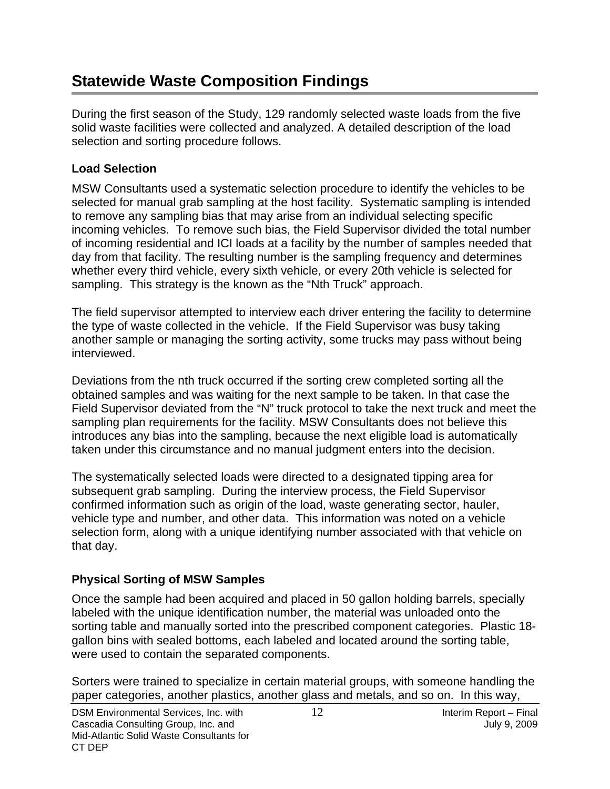# **Statewide Waste Composition Findings**

During the first season of the Study, 129 randomly selected waste loads from the five solid waste facilities were collected and analyzed. A detailed description of the load selection and sorting procedure follows.

### **Load Selection**

MSW Consultants used a systematic selection procedure to identify the vehicles to be selected for manual grab sampling at the host facility. Systematic sampling is intended to remove any sampling bias that may arise from an individual selecting specific incoming vehicles. To remove such bias, the Field Supervisor divided the total number of incoming residential and ICI loads at a facility by the number of samples needed that day from that facility. The resulting number is the sampling frequency and determines whether every third vehicle, every sixth vehicle, or every 20th vehicle is selected for sampling. This strategy is the known as the "Nth Truck" approach.

The field supervisor attempted to interview each driver entering the facility to determine the type of waste collected in the vehicle. If the Field Supervisor was busy taking another sample or managing the sorting activity, some trucks may pass without being interviewed.

Deviations from the nth truck occurred if the sorting crew completed sorting all the obtained samples and was waiting for the next sample to be taken. In that case the Field Supervisor deviated from the "N" truck protocol to take the next truck and meet the sampling plan requirements for the facility. MSW Consultants does not believe this introduces any bias into the sampling, because the next eligible load is automatically taken under this circumstance and no manual judgment enters into the decision.

The systematically selected loads were directed to a designated tipping area for subsequent grab sampling. During the interview process, the Field Supervisor confirmed information such as origin of the load, waste generating sector, hauler, vehicle type and number, and other data. This information was noted on a vehicle selection form, along with a unique identifying number associated with that vehicle on that day.

## **Physical Sorting of MSW Samples**

Once the sample had been acquired and placed in 50 gallon holding barrels, specially labeled with the unique identification number, the material was unloaded onto the sorting table and manually sorted into the prescribed component categories. Plastic 18 gallon bins with sealed bottoms, each labeled and located around the sorting table, were used to contain the separated components.

Sorters were trained to specialize in certain material groups, with someone handling the paper categories, another plastics, another glass and metals, and so on. In this way,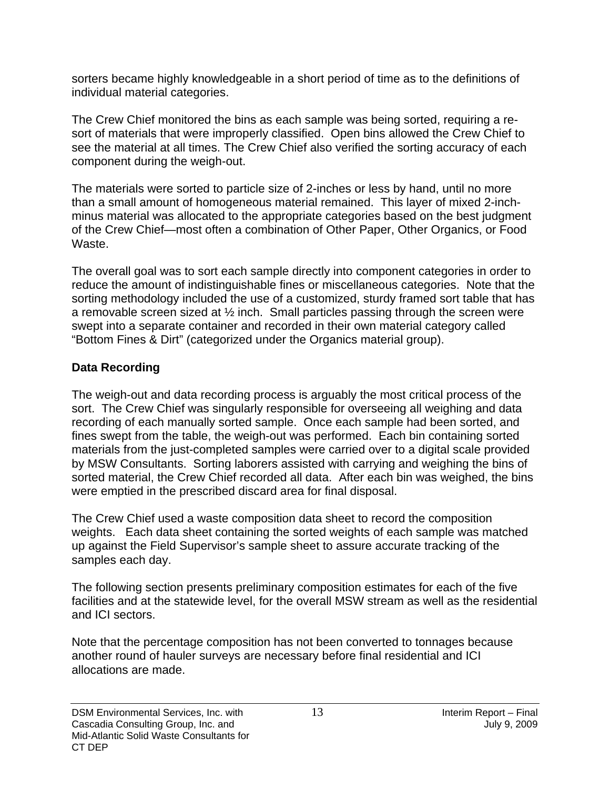sorters became highly knowledgeable in a short period of time as to the definitions of individual material categories.

The Crew Chief monitored the bins as each sample was being sorted, requiring a resort of materials that were improperly classified. Open bins allowed the Crew Chief to see the material at all times. The Crew Chief also verified the sorting accuracy of each component during the weigh-out.

The materials were sorted to particle size of 2-inches or less by hand, until no more than a small amount of homogeneous material remained. This layer of mixed 2-inchminus material was allocated to the appropriate categories based on the best judgment of the Crew Chief—most often a combination of Other Paper, Other Organics, or Food Waste.

The overall goal was to sort each sample directly into component categories in order to reduce the amount of indistinguishable fines or miscellaneous categories. Note that the sorting methodology included the use of a customized, sturdy framed sort table that has a removable screen sized at  $\frac{1}{2}$  inch. Small particles passing through the screen were swept into a separate container and recorded in their own material category called "Bottom Fines & Dirt" (categorized under the Organics material group).

## **Data Recording**

The weigh-out and data recording process is arguably the most critical process of the sort. The Crew Chief was singularly responsible for overseeing all weighing and data recording of each manually sorted sample. Once each sample had been sorted, and fines swept from the table, the weigh-out was performed. Each bin containing sorted materials from the just-completed samples were carried over to a digital scale provided by MSW Consultants. Sorting laborers assisted with carrying and weighing the bins of sorted material, the Crew Chief recorded all data. After each bin was weighed, the bins were emptied in the prescribed discard area for final disposal.

The Crew Chief used a waste composition data sheet to record the composition weights. Each data sheet containing the sorted weights of each sample was matched up against the Field Supervisor's sample sheet to assure accurate tracking of the samples each day.

The following section presents preliminary composition estimates for each of the five facilities and at the statewide level, for the overall MSW stream as well as the residential and ICI sectors.

Note that the percentage composition has not been converted to tonnages because another round of hauler surveys are necessary before final residential and ICI allocations are made.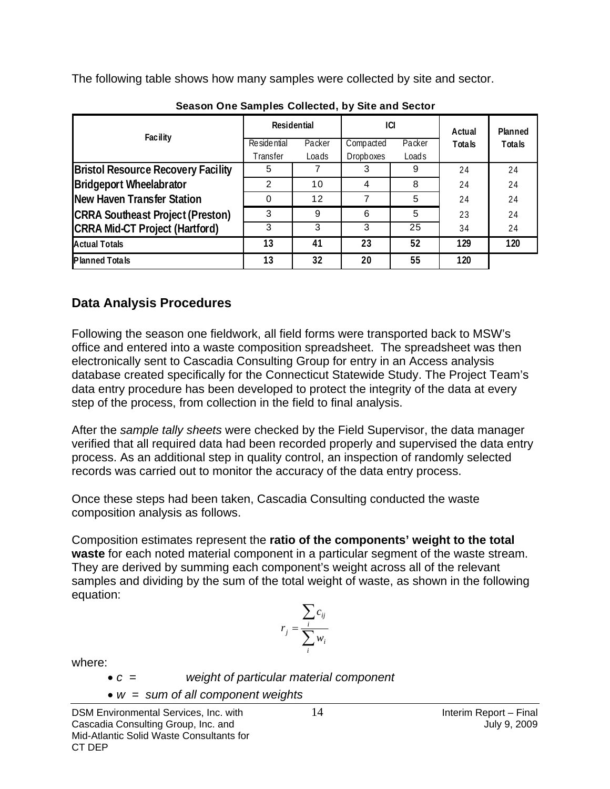The following table shows how many samples were collected by site and sector.

| Facility                                  |                | Residential | ICI              |        | Actual | Planned |
|-------------------------------------------|----------------|-------------|------------------|--------|--------|---------|
|                                           | Residential    | Packer      | Compacted        | Packer | Totals | Totals  |
|                                           | Transfer       | Loads       | <b>Dropboxes</b> | Loads  |        |         |
| <b>Bristol Resource Recovery Facility</b> | 5              |             |                  | 9      | 24     | 24      |
| <b>Bridgeport Wheelabrator</b>            | $\mathfrak{p}$ | 10          | 4                | 8      | 24     | 24      |
| New Haven Transfer Station                | 0              | 12          |                  | 5      | 24     | 24      |
| <b>CRRA Southeast Project (Preston)</b>   | 3              | 9           | 6                | 5      | 23     | 24      |
| <b>CRRA Mid-CT Project (Hartford)</b>     | 3              | 3           | 3                | 25     | 34     | 24      |
| <b>Actual Totals</b>                      | 13             | 41          | 23               | 52     | 129    | 120     |
| <b>Planned Totals</b>                     | 13             | 32          | 20               | 55     | 120    |         |

**Season One Samples Collected, by Site and Sector**

## **Data Analysis Procedures**

Following the season one fieldwork, all field forms were transported back to MSW's office and entered into a waste composition spreadsheet. The spreadsheet was then electronically sent to Cascadia Consulting Group for entry in an Access analysis database created specifically for the Connecticut Statewide Study. The Project Team's data entry procedure has been developed to protect the integrity of the data at every step of the process, from collection in the field to final analysis.

After the *sample tally sheets* were checked by the Field Supervisor, the data manager verified that all required data had been recorded properly and supervised the data entry process. As an additional step in quality control, an inspection of randomly selected records was carried out to monitor the accuracy of the data entry process.

Once these steps had been taken, Cascadia Consulting conducted the waste composition analysis as follows.

Composition estimates represent the **ratio of the components' weight to the total waste** for each noted material component in a particular segment of the waste stream. They are derived by summing each component's weight across all of the relevant samples and dividing by the sum of the total weight of waste, as shown in the following equation:

$$
r_j = \frac{\sum_i c_{ij}}{\sum_i w_i}
$$

where:

- *c = weight of particular material component*
- *w = sum of all component weights*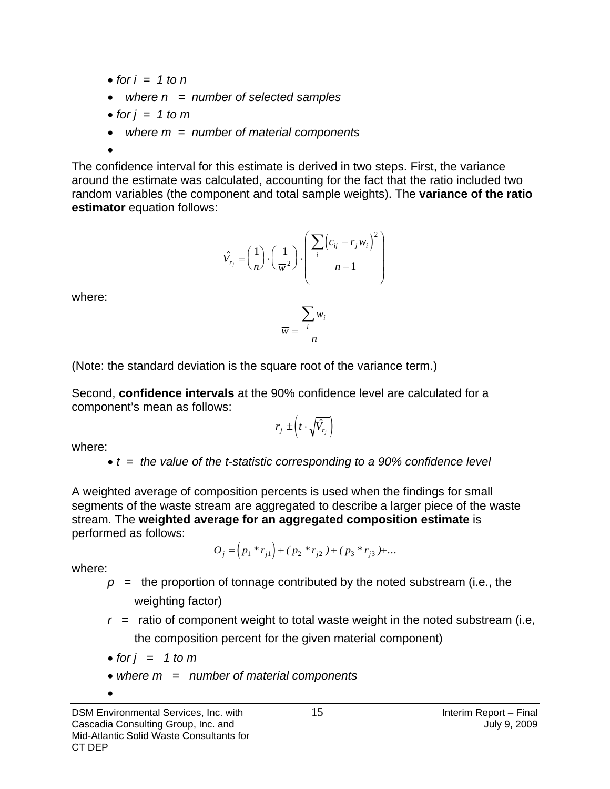- for  $i = 1$  to n
- *where n = number of selected samples*
- *for j* = 1 *to m*

•

• *where m = number of material components*

The confidence interval for this estimate is derived in two steps. First, the variance around the estimate was calculated, accounting for the fact that the ratio included two random variables (the component and total sample weights). The **variance of the ratio estimator** equation follows:

$$
\hat{V}_{r_j} = \left(\frac{1}{n}\right) \cdot \left(\frac{1}{\overline{w}^2}\right) \cdot \left(\frac{\sum_i \left(c_{ij} - r_j w_i\right)^2}{n - 1}\right)
$$

where:

$$
\overline{w} = \frac{\sum_i w_i}{n}
$$

(Note: the standard deviation is the square root of the variance term.)

Second, **confidence intervals** at the 90% confidence level are calculated for a component's mean as follows:

$$
r_j \pm \left(t \cdot \sqrt{\hat{V}_{r_j}}\right)
$$

where:

• *t = the value of the t-statistic corresponding to a 90% confidence level* 

A weighted average of composition percents is used when the findings for small segments of the waste stream are aggregated to describe a larger piece of the waste stream. The **weighted average for an aggregated composition estimate** is performed as follows:

$$
O_j = (p_1 * r_{j1}) + (p_2 * r_{j2}) + (p_3 * r_{j3}) + \dots
$$

where:

•

- $p =$  the proportion of tonnage contributed by the noted substream (i.e., the weighting factor)
- $r =$  ratio of component weight to total waste weight in the noted substream (i.e. the composition percent for the given material component)
- $\bullet$  *for j = 1 to m*
- *where m = number of material components*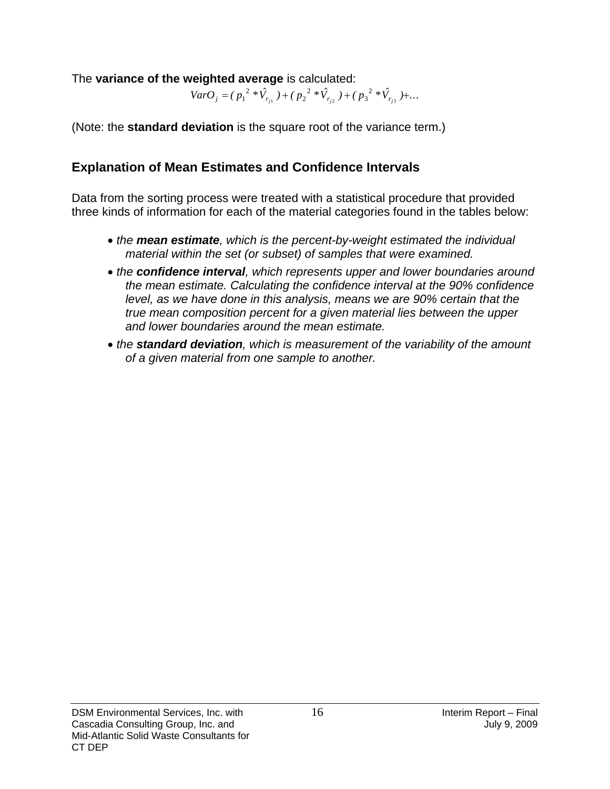The **variance of the weighted average** is calculated:

 $VarO_j = (p_1^{2} * \hat{V}_{r_{j1}}) + (p_2^{2} * \hat{V}_{r_{j2}}) + (p_3^{2} * \hat{V}_{r_{j3}}) + ...$ 

(Note: the **standard deviation** is the square root of the variance term.)

### **Explanation of Mean Estimates and Confidence Intervals**

Data from the sorting process were treated with a statistical procedure that provided three kinds of information for each of the material categories found in the tables below:

- *the mean estimate, which is the percent-by-weight estimated the individual material within the set (or subset) of samples that were examined.*
- *the confidence interval, which represents upper and lower boundaries around the mean estimate. Calculating the confidence interval at the 90% confidence level, as we have done in this analysis, means we are 90% certain that the true mean composition percent for a given material lies between the upper and lower boundaries around the mean estimate.*
- *the standard deviation, which is measurement of the variability of the amount of a given material from one sample to another.*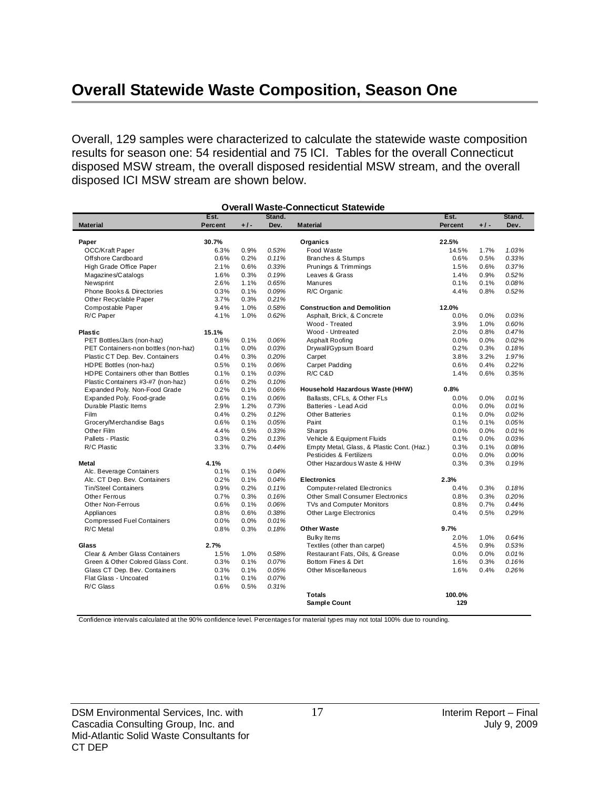## **Overall Statewide Waste Composition, Season One**

Overall, 129 samples were characterized to calculate the statewide waste composition results for season one: 54 residential and 75 ICI. Tables for the overall Connecticut disposed MSW stream, the overall disposed residential MSW stream, and the overall disposed ICI MSW stream are shown below.

| <b>Overall Waste-Connecticut Statewide</b> |         |       |        |                                            |         |      |        |  |  |  |
|--------------------------------------------|---------|-------|--------|--------------------------------------------|---------|------|--------|--|--|--|
|                                            | Est.    |       | Stand. |                                            | Est.    |      | Stand. |  |  |  |
| <b>Material</b>                            | Percent | $+1-$ | Dev.   | <b>Material</b>                            | Percent | +1 - | Dev.   |  |  |  |
|                                            |         |       |        |                                            |         |      |        |  |  |  |
| Paper                                      | 30.7%   |       |        | Organics                                   | 22.5%   |      |        |  |  |  |
| OCC/Kraft Paper                            | 6.3%    | 0.9%  | 0.53%  | Food Waste                                 | 14.5%   | 1.7% | 1.03%  |  |  |  |
| Offshore Cardboard                         | 0.6%    | 0.2%  | 0.11%  | Branches & Stumps                          | 0.6%    | 0.5% | 0.33%  |  |  |  |
| High Grade Office Paper                    | 2.1%    | 0.6%  | 0.33%  | Prunings & Trimmings                       | 1.5%    | 0.6% | 0.37%  |  |  |  |
| Magazines/Catalogs                         | 1.6%    | 0.3%  | 0.19%  | Leaves & Grass                             | 1.4%    | 0.9% | 0.52%  |  |  |  |
| Newsprint                                  | 2.6%    | 1.1%  | 0.65%  | <b>Manures</b>                             | 0.1%    | 0.1% | 0.08%  |  |  |  |
| Phone Books & Directories                  | 0.3%    | 0.1%  | 0.09%  | R/C Organic                                | 4.4%    | 0.8% | 0.52%  |  |  |  |
| Other Recyclable Paper                     | 3.7%    | 0.3%  | 0.21%  |                                            |         |      |        |  |  |  |
| Compostable Paper                          | 9.4%    | 1.0%  | 0.58%  | <b>Construction and Demolition</b>         | 12.0%   |      |        |  |  |  |
| R/C Paper                                  | 4.1%    | 1.0%  | 0.62%  | Asphalt, Brick, & Concrete                 | 0.0%    | 0.0% | 0.03%  |  |  |  |
|                                            |         |       |        | Wood - Treated                             | 3.9%    | 1.0% | 0.60%  |  |  |  |
| Plastic                                    | 15.1%   |       |        | Wood - Untreated                           | 2.0%    | 0.8% | 0.47%  |  |  |  |
| PET Bottles/Jars (non-haz)                 | 0.8%    | 0.1%  | 0.06%  | Asphalt Roofing                            | 0.0%    | 0.0% | 0.02%  |  |  |  |
| PET Containers-non bottles (non-haz)       | 0.1%    | 0.0%  | 0.03%  | Drywall/Gypsum Board                       | 0.2%    | 0.3% | 0.18%  |  |  |  |
| Plastic CT Dep. Bev. Containers            | 0.4%    | 0.3%  | 0.20%  | Carpet                                     | 3.8%    | 3.2% | 1.97%  |  |  |  |
| HDPE Bottles (non-haz)                     | 0.5%    | 0.1%  | 0.06%  | Carpet Padding                             | 0.6%    | 0.4% | 0.22%  |  |  |  |
| HDPE Containers other than Bottles         | 0.1%    | 0.1%  | 0.03%  | R/C C&D                                    | 1.4%    | 0.6% | 0.35%  |  |  |  |
| Plastic Containers #3-#7 (non-haz)         | 0.6%    | 0.2%  | 0.10%  |                                            |         |      |        |  |  |  |
| Expanded Poly. Non-Food Grade              | 0.2%    | 0.1%  | 0.06%  | Household Hazardous Waste (HHW)            | 0.8%    |      |        |  |  |  |
| Expanded Poly. Food-grade                  | 0.6%    | 0.1%  | 0.06%  | Ballasts, CFLs, & Other FLs                | 0.0%    | 0.0% | 0.01%  |  |  |  |
| Durable Plastic Items                      | 2.9%    | 1.2%  | 0.73%  | Batteries - Lead Acid                      | 0.0%    | 0.0% | 0.01%  |  |  |  |
| Film                                       | 0.4%    | 0.2%  | 0.12%  | <b>Other Batteries</b>                     | 0.1%    | 0.0% | 0.02%  |  |  |  |
| Grocery/Merchandise Bags                   | 0.6%    | 0.1%  | 0.05%  | Paint                                      | 0.1%    | 0.1% | 0.05%  |  |  |  |
| Other Film                                 | 4.4%    | 0.5%  | 0.33%  | Sharps                                     | 0.0%    | 0.0% | 0.01%  |  |  |  |
| Pallets - Plastic                          | 0.3%    | 0.2%  | 0.13%  | Vehicle & Equipment Fluids                 | 0.1%    | 0.0% | 0.03%  |  |  |  |
| R/C Plastic                                | 3.3%    | 0.7%  | 0.44%  | Empty Metal, Glass, & Plastic Cont. (Haz.) | 0.3%    | 0.1% | 0.08%  |  |  |  |
|                                            |         |       |        | Pesticides & Fertilizers                   | 0.0%    | 0.0% | 0.00%  |  |  |  |
| Metal                                      | 4.1%    |       |        | Other Hazardous Waste & HHW                | 0.3%    | 0.3% | 0.19%  |  |  |  |
| Alc. Beverage Containers                   | 0.1%    | 0.1%  | 0.04%  |                                            |         |      |        |  |  |  |
| Alc. CT Dep. Bev. Containers               | 0.2%    | 0.1%  | 0.04%  | <b>Electronics</b>                         | 2.3%    |      |        |  |  |  |
| <b>Tin/Steel Containers</b>                | 0.9%    | 0.2%  | 0.11%  | <b>Computer-related Electronics</b>        | 0.4%    | 0.3% | 0.18%  |  |  |  |
| Other Ferrous                              | 0.7%    | 0.3%  | 0.16%  | Other Small Consumer Electronics           | 0.8%    | 0.3% | 0.20%  |  |  |  |
| Other Non-Ferrous                          | 0.6%    | 0.1%  | 0.06%  | TVs and Computer Monitors                  | 0.8%    | 0.7% | 0.44%  |  |  |  |
| Appliances                                 | 0.8%    | 0.6%  | 0.38%  | Other Large Electronics                    | 0.4%    | 0.5% | 0.29%  |  |  |  |
| <b>Compressed Fuel Containers</b>          | 0.0%    | 0.0%  | 0.01%  |                                            |         |      |        |  |  |  |
| R/C Metal                                  | 0.8%    | 0.3%  | 0.18%  | <b>Other Waste</b>                         | 9.7%    |      |        |  |  |  |
|                                            |         |       |        | Bulky Items                                | 2.0%    | 1.0% | 0.64%  |  |  |  |
| Glass                                      | 2.7%    |       |        | Textiles (other than carpet)               | 4.5%    | 0.9% | 0.53%  |  |  |  |
| Clear & Amber Glass Containers             | 1.5%    | 1.0%  | 0.58%  | Restaurant Fats, Oils, & Grease            | 0.0%    | 0.0% | 0.01%  |  |  |  |
| Green & Other Colored Glass Cont.          | 0.3%    | 0.1%  | 0.07%  | Bottom Fines & Dirt                        | 1.6%    | 0.3% | 0.16%  |  |  |  |
| Glass CT Dep. Bev. Containers              | 0.3%    | 0.1%  | 0.05%  | Other Miscellaneous                        | 1.6%    | 0.4% | 0.26%  |  |  |  |
| Flat Glass - Uncoated                      | 0.1%    | 0.1%  | 0.07%  |                                            |         |      |        |  |  |  |
| R/C Glass                                  | 0.6%    | 0.5%  | 0.31%  |                                            |         |      |        |  |  |  |
|                                            |         |       |        | <b>Totals</b>                              | 100.0%  |      |        |  |  |  |
|                                            |         |       |        | <b>Sample Count</b>                        | 129     |      |        |  |  |  |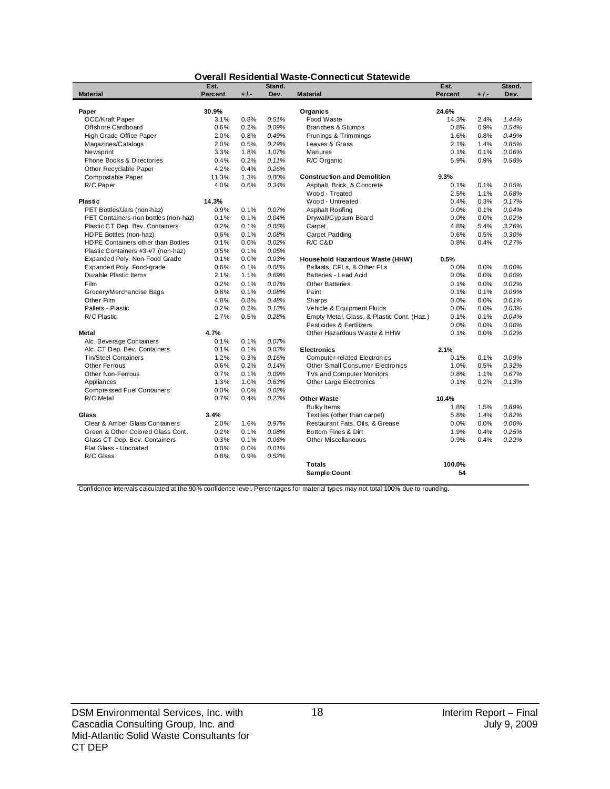#### **Overall Residential Waste-Connecticut Statewide**

|                                      | Est.    |       | Stand. |                                            | Est.         |              | Stand. |
|--------------------------------------|---------|-------|--------|--------------------------------------------|--------------|--------------|--------|
| <b>Material</b>                      | Percent | $+1-$ | Dev.   | <b>Material</b>                            | Percent      | $+1-$        | Dev.   |
|                                      |         |       |        |                                            |              |              |        |
| Paper                                | 30.9%   |       |        | Organics                                   | 24.6%        |              |        |
| <b>OCC/Kraft Paper</b>               | 3.1%    | 0.8%  | 0.51%  | Food Waste                                 | 14.3%        | 2.4%         | 1.44%  |
| Offshore Cardboard                   | 0.6%    | 0.2%  | 0.09%  | Branches & Stumps                          | 0.8%         | 0.9%         | 0.54%  |
| High Grade Office Paper              | 2.0%    | 0.8%  | 0.49%  | Prunings & Trimmings                       | 1.6%         | 0.8%         | 0.49%  |
| Magazines/Catalogs                   | 2.0%    | 0.5%  | 0.29%  | Leaves & Grass                             | 2.1%         | 1.4%         | 0.85%  |
| Newsprint                            | 3.3%    | 1.8%  | 1.07%  | Manures                                    | 0.1%         | 0.1%         | 0.06%  |
| Phone Books & Directories            | 0.4%    | 0.2%  | 0.11%  | R/C Organic                                | 5.9%         | 0.9%         | 0.58%  |
| Other Recyclable Paper               | 4.2%    | 0.4%  | 0.26%  |                                            |              |              |        |
| Compostable Paper                    | 11.3%   | 1.3%  | 0.80%  | <b>Construction and Demolition</b>         | 9.3%         |              |        |
| R/C Paper                            | 4.0%    | 0.6%  | 0.34%  | Asphalt, Brick, & Concrete                 | 0.1%         | 0.1%         | 0.05%  |
|                                      |         |       |        | Wood - Treated                             | 2.5%         | 1.1%         | 0.68%  |
| Plastic                              | 14.3%   |       |        | Wood - Untreated                           | 0.4%         | 0.3%         | 0.17%  |
| PET Bottles/Jars (non-haz)           | 0.9%    | 0.1%  | 0.07%  | Asphalt Roofing                            | 0.0%         | 0.1%         | 0.04%  |
| PET Containers-non bottles (non-haz) | 0.1%    | 0.1%  | 0.04%  | Drywall/Gypsum Board                       | 0.0%         | 0.0%         | 0.02%  |
| Plastic CT Dep. Bev. Containers      | 0.2%    | 0.1%  | 0.06%  | Carpet                                     | 4.8%         | 5.4%         | 3.26%  |
| HDPE Bottles (non-haz)               | 0.6%    | 0.1%  | 0.08%  | Carpet Padding                             | 0.6%         | 0.5%         | 0.30%  |
| HDPE Containers other than Bottles   | 0.1%    | 0.0%  | 0.02%  | R/C C&D                                    | 0.8%         | 0.4%         | 0.27%  |
| Plastic Containers #3-#7 (non-haz)   | 0.5%    | 0.1%  | 0.05%  |                                            |              |              |        |
| Expanded Poly. Non-Food Grade        | 0.1%    | 0.0%  | 0.03%  | Household Hazardous Waste (HHW)            | 0.5%         |              |        |
| Expanded Poly. Food-grade            | 0.6%    | 0.1%  | 0.08%  | Ballasts, CFLs, & Other FLs                | 0.0%         | 0.0%         | 0.00%  |
| Durable Plastic Items                | 2.1%    | 1.1%  | 0.69%  | Batteries - Lead Acid                      | 0.0%         | 0.0%         | 0.00%  |
| Film                                 | 0.2%    | 0.1%  | 0.07%  | <b>Other Batteries</b>                     | 0.1%         | 0.0%         | 0.02%  |
| Grocery/Merchandise Bags             | 0.8%    | 0.1%  | 0.08%  | Paint                                      | 0.1%         | 0.1%         | 0.09%  |
| Other Film                           | 4.8%    | 0.8%  | 0.48%  | Sharps                                     | 0.0%         | 0.0%         | 0.01%  |
| Pallets - Plastic                    | 0.2%    | 0.2%  | 0.13%  | Vehicle & Equipment Fluids                 | 0.0%         | 0.0%         | 0.03%  |
| R/C Plastic                          | 2.7%    | 0.5%  | 0.28%  | Empty Metal, Glass, & Plastic Cont. (Haz.) | 0.1%         | 0.1%         | 0.04%  |
|                                      |         |       |        | Pesticides & Fertilizers                   | 0.0%         | 0.0%         | 0.00%  |
| Metal                                | 4.7%    |       |        | Other Hazardous Waste & HHW                | 0.1%         | 0.0%         | 0.02%  |
| Alc. Beverage Containers             | 0.1%    | 0.1%  | 0.07%  |                                            |              |              |        |
| Alc. CT Dep. Bev. Containers         | 0.1%    | 0.1%  | 0.03%  | <b>Electronics</b>                         | 2.1%         |              |        |
| <b>Tin/Steel Containers</b>          | 1.2%    | 0.3%  | 0.16%  | <b>Computer-related Electronics</b>        | 0.1%         | 0.1%         | 0.09%  |
| Other Ferrous                        | 0.6%    | 0.2%  | 0.14%  | Other Small Consumer Electronics           | 1.0%         | 0.5%         | 0.32%  |
| Other Non-Ferrous                    | 0.7%    | 0.1%  | 0.09%  | TVs and Computer Monitors                  | 0.8%         | 1.1%         | 0.67%  |
| Appliances                           | 1.3%    | 1.0%  | 0.63%  | <b>Other Large Electronics</b>             | 0.1%         | 0.2%         | 0.13%  |
| <b>Compressed Fuel Containers</b>    | 0.0%    | 0.0%  | 0.02%  |                                            |              |              |        |
| R/C Metal                            | 0.7%    | 0.4%  | 0.23%  | <b>Other Waste</b>                         | 10.4%        |              |        |
|                                      |         |       |        | <b>Bulky Items</b>                         | 1.8%         | 1.5%         | 0.89%  |
| Glass                                | 3.4%    |       |        | Textiles (other than carpet)               | 5.8%         | 1.4%         | 0.82%  |
| Clear & Amber Glass Containers       | 2.0%    | 1.6%  | 0.97%  | Restaurant Fats, Oils, & Grease            | 0.0%         | 0.0%         | 0.00%  |
| Green & Other Colored Glass Cont.    | 0.2%    | 0.1%  | 0.08%  | Bottom Fines & Dirt                        |              |              | 0.25%  |
| Glass CT Dep. Bev. Containers        | 0.3%    | 0.1%  | 0.06%  | Other Miscellaneous                        | 1.9%<br>0.9% | 0.4%<br>0.4% | 0.22%  |
| Flat Glass - Uncoated                | 0.0%    | 0.0%  | 0.01%  |                                            |              |              |        |
| R/C Glass                            | 0.8%    | 0.9%  | 0.52%  |                                            |              |              |        |
|                                      |         |       |        |                                            |              |              |        |
|                                      |         |       |        | <b>Totals</b>                              | 100.0%       |              |        |
|                                      |         |       |        | <b>Sample Count</b>                        | 54           |              |        |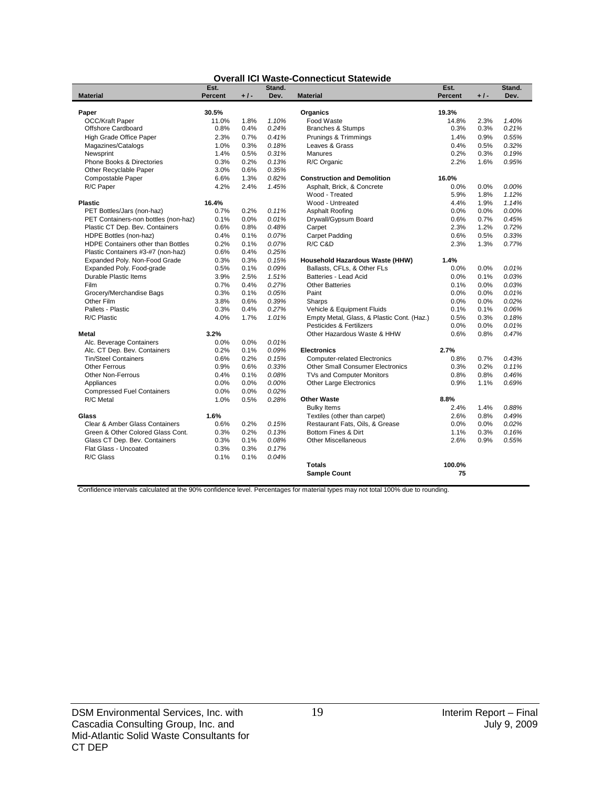### **Overall ICI Waste-Connecticut Statewide**

|                                      | Est.           |       | Stand. |                                            | Est.           |         | Stand. |
|--------------------------------------|----------------|-------|--------|--------------------------------------------|----------------|---------|--------|
| <b>Material</b>                      | <b>Percent</b> | $+1-$ | Dev.   | <b>Material</b>                            | <b>Percent</b> | $+1-$   | Dev.   |
|                                      |                |       |        |                                            |                |         |        |
| Paper                                | 30.5%          |       |        | Organics                                   | 19.3%          |         |        |
| <b>OCC/Kraft Paper</b>               | 11.0%          | 1.8%  | 1.10%  | Food Waste                                 | 14.8%          | 2.3%    | 1.40%  |
| Offshore Cardboard                   | 0.8%           | 0.4%  | 0.24%  | <b>Branches &amp; Stumps</b>               | 0.3%           | 0.3%    | 0.21%  |
| High Grade Office Paper              | 2.3%           | 0.7%  | 0.41%  | Prunings & Trimmings                       | 1.4%           | 0.9%    | 0.55%  |
| Magazines/Catalogs                   | 1.0%           | 0.3%  | 0.18%  | Leaves & Grass                             | 0.4%           | 0.5%    | 0.32%  |
| Newsprint                            | 1.4%           | 0.5%  | 0.31%  | <b>Manures</b>                             | 0.2%           | 0.3%    | 0.19%  |
| Phone Books & Directories            | 0.3%           | 0.2%  | 0.13%  | R/C Organic                                | 2.2%           | 1.6%    | 0.95%  |
| Other Recyclable Paper               | 3.0%           | 0.6%  | 0.35%  |                                            |                |         |        |
| Compostable Paper                    | 6.6%           | 1.3%  | 0.82%  | <b>Construction and Demolition</b>         | 16.0%          |         |        |
| R/C Paper                            | 4.2%           | 2.4%  | 1.45%  | Asphalt, Brick, & Concrete                 | 0.0%           | 0.0%    | 0.00%  |
|                                      |                |       |        | Wood - Treated                             | 5.9%           | 1.8%    | 1.12%  |
| <b>Plastic</b>                       | 16.4%          |       |        | Wood - Untreated                           | 4.4%           | 1.9%    | 1.14%  |
| PET Bottles/Jars (non-haz)           | 0.7%           | 0.2%  | 0.11%  | Asphalt Roofing                            | 0.0%           | 0.0%    | 0.00%  |
| PET Containers-non bottles (non-haz) | 0.1%           | 0.0%  | 0.01%  | Drywall/Gypsum Board                       | 0.6%           | 0.7%    | 0.45%  |
| Plastic CT Dep. Bev. Containers      | 0.6%           | 0.8%  | 0.48%  | Carpet                                     | 2.3%           | 1.2%    | 0.72%  |
| HDPE Bottles (non-haz)               | 0.4%           | 0.1%  | 0.07%  | Carpet Padding                             | 0.6%           | 0.5%    | 0.33%  |
| HDPE Containers other than Bottles   | 0.2%           | 0.1%  | 0.07%  | R/C C&D                                    | 2.3%           | 1.3%    | 0.77%  |
| Plastic Containers #3-#7 (non-haz)   | 0.6%           | 0.4%  | 0.25%  |                                            |                |         |        |
| Expanded Poly. Non-Food Grade        | 0.3%           | 0.3%  | 0.15%  | Household Hazardous Waste (HHW)            | 1.4%           |         |        |
| Expanded Poly. Food-grade            | 0.5%           | 0.1%  | 0.09%  | Ballasts, CFLs, & Other FLs                | 0.0%           | 0.0%    | 0.01%  |
| Durable Plastic Items                | 3.9%           | 2.5%  | 1.51%  | Batteries - Lead Acid                      | 0.0%           | 0.1%    | 0.03%  |
| Film                                 | 0.7%           | 0.4%  | 0.27%  | <b>Other Batteries</b>                     | 0.1%           | 0.0%    | 0.03%  |
| Grocery/Merchandise Bags             | 0.3%           | 0.1%  | 0.05%  | Paint                                      | 0.0%           | 0.0%    | 0.01%  |
| Other Film                           | 3.8%           | 0.6%  | 0.39%  | Sharps                                     | 0.0%           | 0.0%    | 0.02%  |
| Pallets - Plastic                    | 0.3%           | 0.4%  | 0.27%  | Vehicle & Equipment Fluids                 | 0.1%           | 0.1%    | 0.06%  |
| R/C Plastic                          | 4.0%           | 1.7%  | 1.01%  | Empty Metal, Glass, & Plastic Cont. (Haz.) | 0.5%           | 0.3%    | 0.18%  |
|                                      |                |       |        | Pesticides & Fertilizers                   | 0.0%           | $0.0\%$ | 0.01%  |
| Metal                                | 3.2%           |       |        | Other Hazardous Waste & HHW                | 0.6%           | 0.8%    | 0.47%  |
| Alc. Beverage Containers             | 0.0%           | 0.0%  | 0.01%  |                                            |                |         |        |
| Alc. CT Dep. Bev. Containers         | 0.2%           | 0.1%  | 0.09%  | <b>Electronics</b>                         | 2.7%           |         |        |
| <b>Tin/Steel Containers</b>          | 0.6%           | 0.2%  | 0.15%  | <b>Computer-related Electronics</b>        | 0.8%           | 0.7%    | 0.43%  |
| <b>Other Ferrous</b>                 | 0.9%           | 0.6%  | 0.33%  | <b>Other Small Consumer Electronics</b>    | 0.3%           | 0.2%    | 0.11%  |
| <b>Other Non-Ferrous</b>             | 0.4%           | 0.1%  | 0.08%  | TVs and Computer Monitors                  | 0.8%           | 0.8%    | 0.46%  |
| Appliances                           | 0.0%           | 0.0%  | 0.00%  | <b>Other Large Electronics</b>             | 0.9%           | 1.1%    | 0.69%  |
| <b>Compressed Fuel Containers</b>    | 0.0%           | 0.0%  | 0.02%  |                                            |                |         |        |
| R/C Metal                            | 1.0%           | 0.5%  | 0.28%  | <b>Other Waste</b>                         | 8.8%           |         |        |
|                                      |                |       |        | <b>Bulky Items</b>                         | 2.4%           | 1.4%    | 0.88%  |
| Glass                                | 1.6%           |       |        | Textiles (other than carpet)               | 2.6%           | 0.8%    | 0.49%  |
| Clear & Amber Glass Containers       | 0.6%           | 0.2%  | 0.15%  | Restaurant Fats, Oils, & Grease            | 0.0%           | 0.0%    | 0.02%  |
| Green & Other Colored Glass Cont.    | 0.3%           | 0.2%  | 0.13%  | Bottom Fines & Dirt                        | 1.1%           | 0.3%    | 0.16%  |
| Glass CT Dep. Bev. Containers        | 0.3%           | 0.1%  | 0.08%  | <b>Other Miscellaneous</b>                 | 2.6%           | 0.9%    | 0.55%  |
| Flat Glass - Uncoated                | 0.3%           | 0.3%  | 0.17%  |                                            |                |         |        |
| R/C Glass                            | 0.1%           | 0.1%  | 0.04%  |                                            |                |         |        |
|                                      |                |       |        | <b>Totals</b>                              | 100.0%         |         |        |
|                                      |                |       |        | <b>Sample Count</b>                        | 75             |         |        |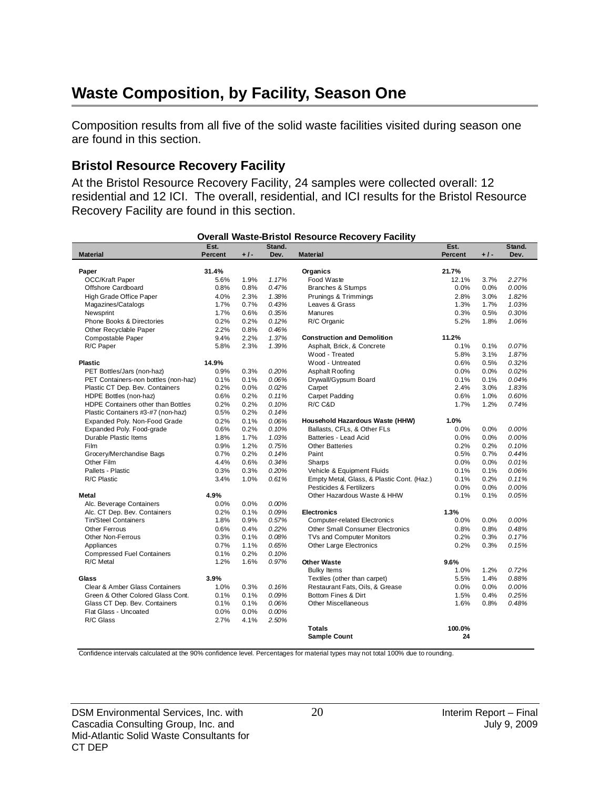# **Waste Composition, by Facility, Season One**

Composition results from all five of the solid waste facilities visited during season one are found in this section.

### **Bristol Resource Recovery Facility**

At the Bristol Resource Recovery Facility, 24 samples were collected overall: 12 residential and 12 ICI. The overall, residential, and ICI results for the Bristol Resource Recovery Facility are found in this section.

|                                      | Est.         |       | Stand. |                                            | Est.           |       | Stand. |
|--------------------------------------|--------------|-------|--------|--------------------------------------------|----------------|-------|--------|
| <b>Material</b>                      | Percent      | $+1-$ | Dev.   | <b>Material</b>                            | <b>Percent</b> | $+1-$ | Dev.   |
|                                      |              |       |        |                                            |                |       |        |
| Paper                                | 31.4%        |       |        | Organics                                   | 21.7%          |       |        |
| <b>OCC/Kraft Paper</b>               | 5.6%         | 1.9%  | 1.17%  | Food Waste                                 | 12.1%          | 3.7%  | 2.27%  |
| Offshore Cardboard                   | 0.8%         | 0.8%  | 0.47%  | <b>Branches &amp; Stumps</b>               | 0.0%           | 0.0%  | 0.00%  |
| High Grade Office Paper              | 4.0%         | 2.3%  | 1.38%  | Prunings & Trimmings                       | 2.8%           | 3.0%  | 1.82%  |
| Magazines/Catalogs                   | 1.7%         | 0.7%  | 0.43%  | Leaves & Grass                             | 1.3%           | 1.7%  | 1.03%  |
| Newsprint                            | 1.7%         | 0.6%  | 0.35%  | <b>Manures</b>                             | 0.3%           | 0.5%  | 0.30%  |
| Phone Books & Directories            | 0.2%         | 0.2%  | 0.12%  | R/C Organic                                | 5.2%           | 1.8%  | 1.06%  |
|                                      | 2.2%         | 0.8%  | 0.46%  |                                            |                |       |        |
| Other Recyclable Paper               |              | 2.2%  | 1.37%  | <b>Construction and Demolition</b>         | 11.2%          |       |        |
| Compostable Paper                    | 9.4%<br>5.8% |       | 1.39%  |                                            | 0.1%           |       |        |
| R/C Paper                            |              | 2.3%  |        | Asphalt, Brick, & Concrete                 |                | 0.1%  | 0.07%  |
|                                      |              |       |        | Wood - Treated                             | 5.8%           | 3.1%  | 1.87%  |
| <b>Plastic</b>                       | 14.9%        |       |        | Wood - Untreated                           | 0.6%           | 0.5%  | 0.32%  |
| PET Bottles/Jars (non-haz)           | 0.9%         | 0.3%  | 0.20%  | Asphalt Roofing                            | 0.0%           | 0.0%  | 0.02%  |
| PET Containers-non bottles (non-haz) | 0.1%         | 0.1%  | 0.06%  | Drywall/Gypsum Board                       | 0.1%           | 0.1%  | 0.04%  |
| Plastic CT Dep. Bev. Containers      | 0.2%         | 0.0%  | 0.02%  | Carpet                                     | 2.4%           | 3.0%  | 1.83%  |
| HDPE Bottles (non-haz)               | 0.6%         | 0.2%  | 0.11%  | <b>Carpet Padding</b>                      | 0.6%           | 1.0%  | 0.60%  |
| HDPE Containers other than Bottles   | 0.2%         | 0.2%  | 0.10%  | R/C C&D                                    | 1.7%           | 1.2%  | 0.74%  |
| Plastic Containers #3-#7 (non-haz)   | 0.5%         | 0.2%  | 0.14%  |                                            |                |       |        |
| Expanded Poly. Non-Food Grade        | 0.2%         | 0.1%  | 0.06%  | Household Hazardous Waste (HHW)            | $1.0\%$        |       |        |
| Expanded Poly. Food-grade            | 0.6%         | 0.2%  | 0.10%  | Ballasts, CFLs, & Other FLs                | 0.0%           | 0.0%  | 0.00%  |
| Durable Plastic Items                | 1.8%         | 1.7%  | 1.03%  | Batteries - Lead Acid                      | 0.0%           | 0.0%  | 0.00%  |
| Film                                 | 0.9%         | 1.2%  | 0.75%  | <b>Other Batteries</b>                     | 0.2%           | 0.2%  | 0.10%  |
| Grocery/Merchandise Bags             | 0.7%         | 0.2%  | 0.14%  | Paint                                      | 0.5%           | 0.7%  | 0.44%  |
| Other Film                           | 4.4%         | 0.6%  | 0.34%  | Sharps                                     | 0.0%           | 0.0%  | 0.01%  |
| Pallets - Plastic                    | 0.3%         | 0.3%  | 0.20%  | Vehicle & Equipment Fluids                 | 0.1%           | 0.1%  | 0.06%  |
| R/C Plastic                          | 3.4%         | 1.0%  | 0.61%  | Empty Metal, Glass, & Plastic Cont. (Haz.) | 0.1%           | 0.2%  | 0.11%  |
|                                      |              |       |        | Pesticides & Fertilizers                   | 0.0%           | 0.0%  | 0.00%  |
| Metal                                | 4.9%         |       |        | Other Hazardous Waste & HHW                | 0.1%           | 0.1%  | 0.05%  |
| Alc. Beverage Containers             | 0.0%         | 0.0%  | 0.00%  |                                            |                |       |        |
| Alc. CT Dep. Bev. Containers         | 0.2%         | 0.1%  | 0.09%  | <b>Electronics</b>                         | 1.3%           |       |        |
| <b>Tin/Steel Containers</b>          | 1.8%         | 0.9%  | 0.57%  | <b>Computer-related Electronics</b>        | 0.0%           | 0.0%  | 0.00%  |
| Other Ferrous                        | 0.6%         | 0.4%  | 0.22%  | <b>Other Small Consumer Electronics</b>    | 0.8%           | 0.8%  | 0.48%  |
| Other Non-Ferrous                    | 0.3%         | 0.1%  | 0.08%  | TVs and Computer Monitors                  | 0.2%           | 0.3%  | 0.17%  |
| Appliances                           | 0.7%         | 1.1%  | 0.65%  | Other Large Electronics                    | 0.2%           | 0.3%  | 0.15%  |
| <b>Compressed Fuel Containers</b>    | 0.1%         | 0.2%  | 0.10%  |                                            |                |       |        |
| R/C Metal                            | 1.2%         | 1.6%  | 0.97%  | <b>Other Waste</b>                         | 9.6%           |       |        |
|                                      |              |       |        | <b>Bulky Items</b>                         | 1.0%           | 1.2%  | 0.72%  |
| Glass                                | 3.9%         |       |        | Textiles (other than carpet)               | 5.5%           | 1.4%  | 0.88%  |
| Clear & Amber Glass Containers       | 1.0%         | 0.3%  | 0.16%  | Restaurant Fats, Oils, & Grease            | 0.0%           | 0.0%  | 0.00%  |
| Green & Other Colored Glass Cont.    | 0.1%         | 0.1%  | 0.09%  | Bottom Fines & Dirt                        | 1.5%           | 0.4%  | 0.25%  |
| Glass CT Dep. Bev. Containers        | 0.1%         | 0.1%  | 0.06%  | Other Miscellaneous                        | 1.6%           | 0.8%  | 0.48%  |
|                                      |              |       |        |                                            |                |       |        |
| Flat Glass - Uncoated                | 0.0%         | 0.0%  | 0.00%  |                                            |                |       |        |
| R/C Glass                            | 2.7%         | 4.1%  | 2.50%  |                                            |                |       |        |
|                                      |              |       |        | <b>Totals</b>                              | 100.0%         |       |        |
|                                      |              |       |        | <b>Sample Count</b>                        | 24             |       |        |

#### **Overall Waste-Bristol Resource Recovery Facility**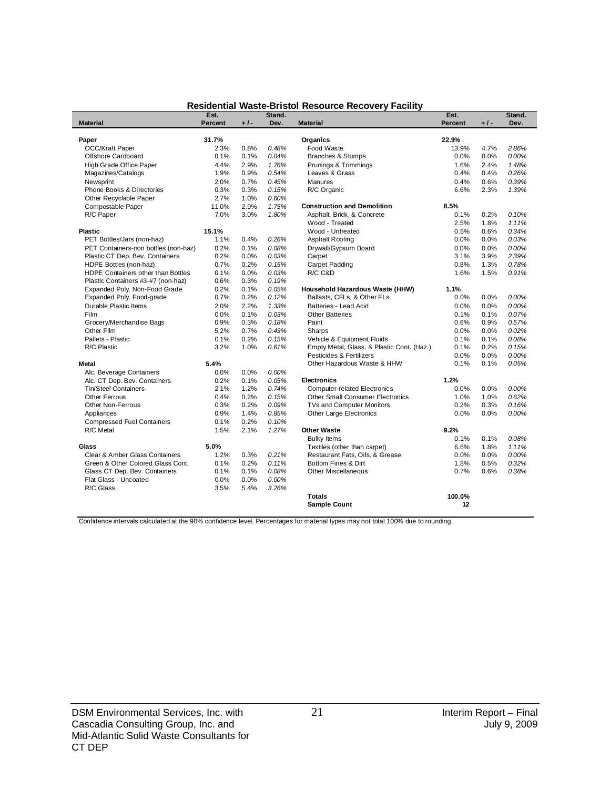| <b>Residential Waste-Bristol Resource Recovery Facility</b> |  |  |
|-------------------------------------------------------------|--|--|
|                                                             |  |  |

|                                      | Est.    |       | Stand. |                                            | Est.           |       | Stand. |
|--------------------------------------|---------|-------|--------|--------------------------------------------|----------------|-------|--------|
| <b>Material</b>                      | Percent | $+1-$ | Dev.   | <b>Material</b>                            | <b>Percent</b> | $+1-$ | Dev.   |
|                                      |         |       |        |                                            |                |       |        |
| Paper                                | 31.7%   |       |        | Organics                                   | 22.9%          |       |        |
| OCC/Kraft Paper                      | 2.3%    | 0.8%  | 0.48%  | Food Waste                                 | 13.9%          | 4.7%  | 2.86%  |
| Offshore Cardboard                   | 0.1%    | 0.1%  | 0.04%  | <b>Branches &amp; Stumps</b>               | 0.0%           | 0.0%  | 0.00%  |
| High Grade Office Paper              | 4.4%    | 2.9%  | 1.76%  | Prunings & Trimmings                       | 1.6%           | 2.4%  | 1.48%  |
| Magazines/Catalogs                   | 1.9%    | 0.9%  | 0.54%  | Leaves & Grass                             | 0.4%           | 0.4%  | 0.26%  |
| Newsprint                            | 2.0%    | 0.7%  | 0.45%  | Manures                                    | 0.4%           | 0.6%  | 0.39%  |
| Phone Books & Directories            | 0.3%    | 0.3%  | 0.15%  | R/C Organic                                | 6.6%           | 2.3%  | 1.39%  |
| Other Recyclable Paper               | 2.7%    | 1.0%  | 0.60%  |                                            |                |       |        |
| Compostable Paper                    | 11.0%   | 2.9%  | 1.75%  | <b>Construction and Demolition</b>         | 8.5%           |       |        |
| R/C Paper                            | 7.0%    | 3.0%  | 1.80%  | Asphalt, Brick, & Concrete                 | 0.1%           | 0.2%  | 0.10%  |
|                                      |         |       |        | Wood - Treated                             | 2.5%           | 1.8%  | 1.11%  |
| <b>Plastic</b>                       | 15.1%   |       |        | Wood - Untreated                           | 0.5%           | 0.6%  | 0.34%  |
| PET Bottles/Jars (non-haz)           | 1.1%    | 0.4%  | 0.26%  | Asphalt Roofing                            | 0.0%           | 0.0%  | 0.03%  |
| PET Containers-non bottles (non-haz) | 0.2%    | 0.1%  | 0.08%  | Drywall/Gypsum Board                       | 0.0%           | 0.0%  | 0.00%  |
| Plastic CT Dep. Bev. Containers      | 0.2%    | 0.0%  | 0.03%  | Carpet                                     | 3.1%           | 3.9%  | 2.39%  |
| HDPE Bottles (non-haz)               | 0.7%    | 0.2%  | 0.15%  | <b>Carpet Padding</b>                      | 0.8%           | 1.3%  | 0.78%  |
| HDPE Containers other than Bottles   | 0.1%    | 0.0%  | 0.03%  | R/C C&D                                    | 1.6%           | 1.5%  | 0.91%  |
| Plastic Containers #3-#7 (non-haz)   | 0.6%    | 0.3%  | 0.19%  |                                            |                |       |        |
| Expanded Poly. Non-Food Grade        | 0.2%    | 0.1%  | 0.05%  | Household Hazardous Waste (HHW)            | 1.1%           |       |        |
| Expanded Poly. Food-grade            | 0.7%    | 0.2%  | 0.12%  | Ballasts, CFLs, & Other FLs                | 0.0%           | 0.0%  | 0.00%  |
| Durable Plastic Items                | 2.0%    | 2.2%  | 1.33%  | Batteries - Lead Acid                      | 0.0%           | 0.0%  | 0.00%  |
| <b>Film</b>                          | 0.0%    | 0.1%  | 0.03%  | <b>Other Batteries</b>                     | 0.1%           | 0.1%  | 0.07%  |
| Grocery/Merchandise Bags             | 0.9%    | 0.3%  | 0.18%  | Paint                                      | 0.6%           | 0.9%  | 0.57%  |
| Other Film                           | 5.2%    | 0.7%  | 0.43%  | Sharps                                     | 0.0%           | 0.0%  | 0.02%  |
| Pallets - Plastic                    | 0.1%    | 0.2%  | 0.15%  | Vehicle & Equipment Fluids                 | 0.1%           | 0.1%  | 0.08%  |
| R/C Plastic                          | 3.2%    | 1.0%  | 0.61%  | Empty Metal, Glass, & Plastic Cont. (Haz.) | 0.1%           | 0.2%  | 0.15%  |
|                                      |         |       |        | Pesticides & Fertilizers                   | 0.0%           | 0.0%  | 0.00%  |
| Metal                                | 5.4%    |       |        | Other Hazardous Waste & HHW                | 0.1%           | 0.1%  | 0.05%  |
| Alc. Beverage Containers             | 0.0%    | 0.0%  | 0.00%  |                                            |                |       |        |
| Alc. CT Dep. Bev. Containers         | 0.2%    | 0.1%  | 0.05%  | <b>Electronics</b>                         | 1.2%           |       |        |
| <b>Tin/Steel Containers</b>          | 2.1%    | 1.2%  | 0.74%  | <b>Computer-related Electronics</b>        | 0.0%           | 0.0%  | 0.00%  |
| <b>Other Ferrous</b>                 | 0.4%    | 0.2%  | 0.15%  | <b>Other Small Consumer Electronics</b>    | 1.0%           | 1.0%  | 0.62%  |
| <b>Other Non-Ferrous</b>             | 0.3%    | 0.2%  | 0.09%  | TVs and Computer Monitors                  | 0.2%           | 0.3%  | 0.16%  |
|                                      | 0.9%    | 1.4%  | 0.85%  |                                            |                |       | 0.00%  |
| Appliances                           |         |       |        | Other Large Electronics                    | 0.0%           | 0.0%  |        |
| <b>Compressed Fuel Containers</b>    | 0.1%    | 0.2%  | 0.10%  |                                            |                |       |        |
| R/C Metal                            | 1.5%    | 2.1%  | 1.27%  | <b>Other Waste</b>                         | 9.2%           |       |        |
|                                      |         |       |        | <b>Bulky Items</b>                         | 0.1%           | 0.1%  | 0.08%  |
| Glass                                | 5.0%    |       |        | Textiles (other than carpet)               | 6.6%           | 1.8%  | 1.11%  |
| Clear & Amber Glass Containers       | 1.2%    | 0.3%  | 0.21%  | Restaurant Fats, Oils, & Grease            | 0.0%           | 0.0%  | 0.00%  |
| Green & Other Colored Glass Cont.    | 0.1%    | 0.2%  | 0.11%  | Bottom Fines & Dirt                        | 1.8%           | 0.5%  | 0.32%  |
| Glass CT Dep. Bev. Containers        | 0.1%    | 0.1%  | 0.08%  | <b>Other Miscellaneous</b>                 | 0.7%           | 0.6%  | 0.38%  |
| Flat Glass - Uncoated                | 0.0%    | 0.0%  | 0.00%  |                                            |                |       |        |
| R/C Glass                            | 3.5%    | 5.4%  | 3.26%  |                                            |                |       |        |
|                                      |         |       |        | <b>Totals</b>                              | 100.0%         |       |        |
|                                      |         |       |        | <b>Sample Count</b>                        | 12             |       |        |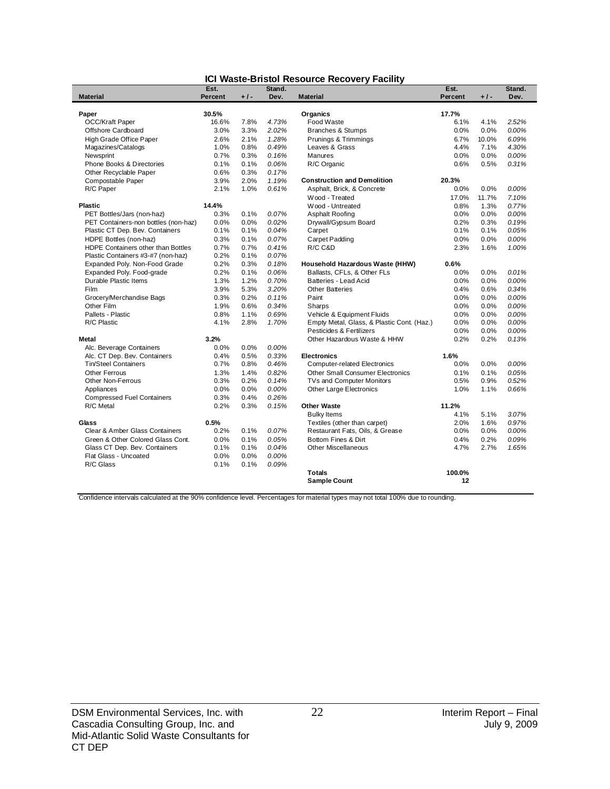### **ICI Waste-Bristol Resource Recovery Facility**

|                                      | Est.    |       | Stand. |                                            | Est.    |       | Stand. |  |
|--------------------------------------|---------|-------|--------|--------------------------------------------|---------|-------|--------|--|
| <b>Material</b>                      | Percent | $+1-$ | Dev.   | Material                                   | Percent | $+1-$ | Dev.   |  |
| Paper                                | 30.5%   |       |        | Organics                                   | 17.7%   |       |        |  |
| <b>OCC/Kraft Paper</b>               | 16.6%   | 7.8%  | 4.73%  | Food Waste                                 | 6.1%    | 4.1%  | 2.52%  |  |
| Offshore Cardboard                   | 3.0%    | 3.3%  | 2.02%  | Branches & Stumps                          | 0.0%    | 0.0%  | 0.00%  |  |
| High Grade Office Paper              | 2.6%    | 2.1%  | 1.28%  | Prunings & Trimmings                       | 6.7%    | 10.0% | 6.09%  |  |
| Magazines/Catalogs                   | 1.0%    | 0.8%  | 0.49%  | Leaves & Grass                             | 4.4%    | 7.1%  | 4.30%  |  |
| Newsprint                            | 0.7%    | 0.3%  | 0.16%  | <b>Manures</b>                             | 0.0%    | 0.0%  | 0.00%  |  |
| Phone Books & Directories            | 0.1%    | 0.1%  | 0.06%  | R/C Organic                                | 0.6%    | 0.5%  | 0.31%  |  |
| Other Recyclable Paper               | 0.6%    | 0.3%  | 0.17%  |                                            |         |       |        |  |
| Compostable Paper                    | 3.9%    | 2.0%  | 1.19%  | <b>Construction and Demolition</b>         | 20.3%   |       |        |  |
| R/C Paper                            | 2.1%    | 1.0%  | 0.61%  | Asphalt, Brick, & Concrete                 | $0.0\%$ | 0.0%  | 0.00%  |  |
|                                      |         |       |        | Wood - Treated                             | 17.0%   | 11.7% | 7.10%  |  |
| <b>Plastic</b>                       | 14.4%   |       |        | Wood - Untreated                           | 0.8%    | 1.3%  | 0.77%  |  |
| PET Bottles/Jars (non-haz)           | 0.3%    | 0.1%  | 0.07%  | Asphalt Roofing                            | 0.0%    | 0.0%  | 0.00%  |  |
| PET Containers-non bottles (non-haz) | 0.0%    | 0.0%  | 0.02%  | Drywall/Gypsum Board                       | 0.2%    | 0.3%  | 0.19%  |  |
| Plastic CT Dep. Bev. Containers      | 0.1%    | 0.1%  | 0.04%  | Carpet                                     | 0.1%    | 0.1%  | 0.05%  |  |
| HDPE Bottles (non-haz)               | 0.3%    | 0.1%  | 0.07%  | <b>Carpet Padding</b>                      | 0.0%    | 0.0%  | 0.00%  |  |
| HDPE Containers other than Bottles   | 0.7%    | 0.7%  | 0.41%  | R/C C&D                                    | 2.3%    | 1.6%  | 1.00%  |  |
| Plastic Containers #3-#7 (non-haz)   | 0.2%    | 0.1%  | 0.07%  |                                            |         |       |        |  |
| Expanded Poly. Non-Food Grade        | 0.2%    | 0.3%  | 0.18%  | Household Hazardous Waste (HHW)            | 0.6%    |       |        |  |
| Expanded Poly. Food-grade            | 0.2%    | 0.1%  | 0.06%  | Ballasts, CFLs, & Other FLs                | $0.0\%$ | 0.0%  | 0.01%  |  |
| Durable Plastic Items                | 1.3%    | 1.2%  | 0.70%  | Batteries - Lead Acid                      | 0.0%    | 0.0%  | 0.00%  |  |
| Film                                 | 3.9%    | 5.3%  | 3.20%  | <b>Other Batteries</b>                     | 0.4%    | 0.6%  | 0.34%  |  |
| Grocery/Merchandise Bags             | 0.3%    | 0.2%  | 0.11%  | Paint                                      | $0.0\%$ | 0.0%  | 0.00%  |  |
| Other Film                           | 1.9%    | 0.6%  | 0.34%  | Sharps                                     | 0.0%    | 0.0%  | 0.00%  |  |
| Pallets - Plastic                    | 0.8%    | 1.1%  | 0.69%  | Vehicle & Equipment Fluids                 | 0.0%    | 0.0%  | 0.00%  |  |
| R/C Plastic                          | 4.1%    | 2.8%  | 1.70%  | Empty Metal, Glass, & Plastic Cont. (Haz.) | $0.0\%$ | 0.0%  | 0.00%  |  |
|                                      |         |       |        | Pesticides & Fertilizers                   | $0.0\%$ | 0.0%  | 0.00%  |  |
| Metal                                | 3.2%    |       |        | Other Hazardous Waste & HHW                | 0.2%    | 0.2%  | 0.13%  |  |
| Alc. Beverage Containers             | 0.0%    | 0.0%  | 0.00%  |                                            |         |       |        |  |
| Alc. CT Dep. Bev. Containers         | 0.4%    | 0.5%  | 0.33%  | <b>Electronics</b>                         | 1.6%    |       |        |  |
| <b>Tin/Steel Containers</b>          | 0.7%    | 0.8%  | 0.46%  | <b>Computer-related Electronics</b>        | 0.0%    | 0.0%  | 0.00%  |  |
| <b>Other Ferrous</b>                 | 1.3%    | 1.4%  | 0.82%  | <b>Other Small Consumer Electronics</b>    | 0.1%    | 0.1%  | 0.05%  |  |
| Other Non-Ferrous                    | 0.3%    | 0.2%  | 0.14%  | TVs and Computer Monitors                  | 0.5%    | 0.9%  | 0.52%  |  |
| Appliances                           | 0.0%    | 0.0%  | 0.00%  | Other Large Electronics                    | 1.0%    | 1.1%  | 0.66%  |  |
| <b>Compressed Fuel Containers</b>    | 0.3%    | 0.4%  | 0.26%  |                                            |         |       |        |  |
| R/C Metal                            | 0.2%    | 0.3%  | 0.15%  | <b>Other Waste</b>                         | 11.2%   |       |        |  |
|                                      |         |       |        | <b>Bulky Items</b>                         | 4.1%    | 5.1%  | 3.07%  |  |
| Glass                                | 0.5%    |       |        | Textiles (other than carpet)               | 2.0%    | 1.6%  | 0.97%  |  |
| Clear & Amber Glass Containers       | 0.2%    | 0.1%  | 0.07%  | Restaurant Fats, Oils, & Grease            | 0.0%    | 0.0%  | 0.00%  |  |
| Green & Other Colored Glass Cont.    | 0.0%    | 0.1%  | 0.05%  | Bottom Fines & Dirt                        | 0.4%    | 0.2%  | 0.09%  |  |
| Glass CT Dep. Bev. Containers        | 0.1%    | 0.1%  | 0.04%  | <b>Other Miscellaneous</b>                 | 4.7%    | 2.7%  | 1.65%  |  |
| Flat Glass - Uncoated                | 0.0%    | 0.0%  | 0.00%  |                                            |         |       |        |  |
| R/C Glass                            | 0.1%    | 0.1%  | 0.09%  |                                            |         |       |        |  |
|                                      |         |       |        | <b>Totals</b>                              | 100.0%  |       |        |  |
|                                      |         |       |        | <b>Sample Count</b>                        | 12      |       |        |  |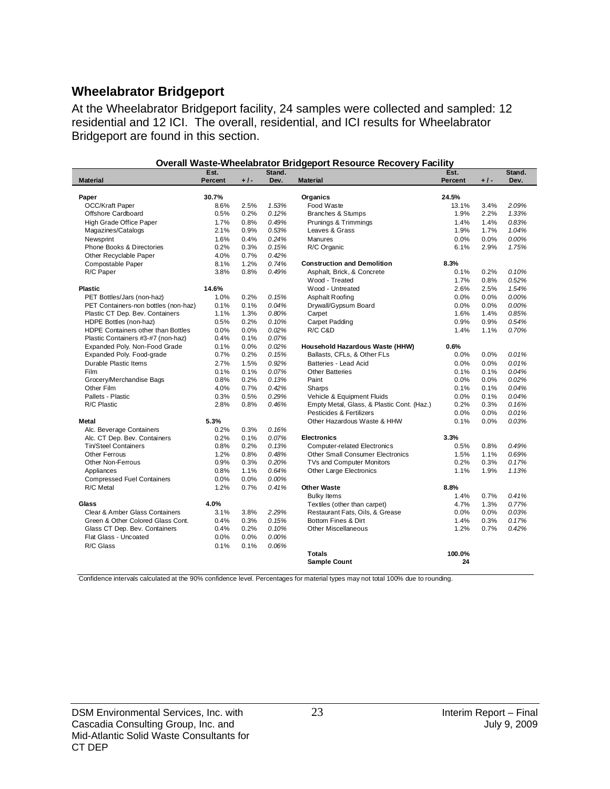### **Wheelabrator Bridgeport**

At the Wheelabrator Bridgeport facility, 24 samples were collected and sampled: 12 residential and 12 ICI. The overall, residential, and ICI results for Wheelabrator Bridgeport are found in this section.

|                                      |         |       |        | <b>Overall Waste-Wheelabrator Bridgeport Resource Recovery Facility</b> |         |       |        |
|--------------------------------------|---------|-------|--------|-------------------------------------------------------------------------|---------|-------|--------|
|                                      | Est.    |       | Stand. |                                                                         | Est.    |       | Stand. |
| <b>Material</b>                      | Percent | $+1-$ | Dev.   | <b>Material</b>                                                         | Percent | + / - | Dev.   |
|                                      |         |       |        |                                                                         |         |       |        |
| Paper                                | 30.7%   |       |        | Organics                                                                | 24.5%   |       |        |
| <b>OCC/Kraft Paper</b>               | 8.6%    | 2.5%  | 1.53%  | Food Waste                                                              | 13.1%   | 3.4%  | 2.09%  |
| Offshore Cardboard                   | 0.5%    | 0.2%  | 0.12%  | Branches & Stumps                                                       | 1.9%    | 2.2%  | 1.33%  |
| High Grade Office Paper              | 1.7%    | 0.8%  | 0.49%  | Prunings & Trimmings                                                    | 1.4%    | 1.4%  | 0.83%  |
| Magazines/Catalogs                   | 2.1%    | 0.9%  | 0.53%  | Leaves & Grass                                                          | 1.9%    | 1.7%  | 1.04%  |
| Newsprint                            | 1.6%    | 0.4%  | 0.24%  | <b>Manures</b>                                                          | 0.0%    | 0.0%  | 0.00%  |
| Phone Books & Directories            | 0.2%    | 0.3%  | 0.15%  | R/C Organic                                                             | 6.1%    | 2.9%  | 1.75%  |
| Other Recyclable Paper               | 4.0%    | 0.7%  | 0.42%  |                                                                         |         |       |        |
| Compostable Paper                    | 8.1%    | 1.2%  | 0.74%  | <b>Construction and Demolition</b>                                      | 8.3%    |       |        |
| R/C Paper                            | 3.8%    | 0.8%  | 0.49%  | Asphalt, Brick, & Concrete                                              | 0.1%    | 0.2%  | 0.10%  |
|                                      |         |       |        | Wood - Treated                                                          | 1.7%    | 0.8%  | 0.52%  |
| <b>Plastic</b>                       | 14.6%   |       |        | Wood - Untreated                                                        | 2.6%    | 2.5%  | 1.54%  |
| PET Bottles/Jars (non-haz)           | 1.0%    | 0.2%  | 0.15%  | Asphalt Roofing                                                         | 0.0%    | 0.0%  | 0.00%  |
| PET Containers-non bottles (non-haz) | 0.1%    | 0.1%  | 0.04%  | Drywall/Gypsum Board                                                    | 0.0%    | 0.0%  | 0.00%  |
| Plastic CT Dep. Bev. Containers      | 1.1%    | 1.3%  | 0.80%  | Carpet                                                                  | 1.6%    | 1.4%  | 0.85%  |
| HDPE Bottles (non-haz)               | 0.5%    | 0.2%  | 0.10%  | Carpet Padding                                                          | 0.9%    | 0.9%  | 0.54%  |
| HDPE Containers other than Bottles   | 0.0%    | 0.0%  | 0.02%  | R/C C&D                                                                 | 1.4%    | 1.1%  | 0.70%  |
| Plastic Containers #3-#7 (non-haz)   | 0.4%    | 0.1%  | 0.07%  |                                                                         |         |       |        |
| Expanded Poly. Non-Food Grade        | 0.1%    | 0.0%  | 0.02%  | Household Hazardous Waste (HHW)                                         | 0.6%    |       |        |
| Expanded Poly. Food-grade            | 0.7%    | 0.2%  | 0.15%  | Ballasts, CFLs, & Other FLs                                             | 0.0%    | 0.0%  | 0.01%  |
| Durable Plastic Items                | 2.7%    | 1.5%  | 0.92%  | Batteries - Lead Acid                                                   | 0.0%    | 0.0%  | 0.01%  |
| <b>Film</b>                          | 0.1%    | 0.1%  | 0.07%  | <b>Other Batteries</b>                                                  | 0.1%    | 0.1%  | 0.04%  |
| Grocery/Merchandise Bags             | 0.8%    | 0.2%  | 0.13%  | Paint                                                                   | 0.0%    | 0.0%  | 0.02%  |
| Other Film                           | 4.0%    | 0.7%  | 0.42%  | Sharps                                                                  | 0.1%    | 0.1%  | 0.04%  |
| Pallets - Plastic                    | 0.3%    | 0.5%  | 0.29%  | Vehicle & Equipment Fluids                                              | 0.0%    | 0.1%  | 0.04%  |
| R/C Plastic                          | 2.8%    | 0.8%  | 0.46%  | Empty Metal, Glass, & Plastic Cont. (Haz.)                              | 0.2%    | 0.3%  | 0.16%  |
|                                      |         |       |        | Pesticides & Fertilizers                                                | 0.0%    | 0.0%  | 0.01%  |
| Metal                                | 5.3%    |       |        | Other Hazardous Waste & HHW                                             | 0.1%    | 0.0%  | 0.03%  |
| Alc. Beverage Containers             | 0.2%    | 0.3%  | 0.16%  |                                                                         |         |       |        |
| Alc. CT Dep. Bev. Containers         | 0.2%    | 0.1%  | 0.07%  | <b>Electronics</b>                                                      | 3.3%    |       |        |
| <b>Tin/Steel Containers</b>          | 0.8%    | 0.2%  | 0.13%  | <b>Computer-related Electronics</b>                                     | 0.5%    | 0.8%  | 0.49%  |
| <b>Other Ferrous</b>                 | 1.2%    | 0.8%  | 0.48%  | <b>Other Small Consumer Electronics</b>                                 | 1.5%    | 1.1%  | 0.69%  |
| Other Non-Ferrous                    | 0.9%    | 0.3%  | 0.20%  | TVs and Computer Monitors                                               | 0.2%    | 0.3%  | 0.17%  |
|                                      |         |       |        |                                                                         |         |       |        |
| Appliances                           | 0.8%    | 1.1%  | 0.64%  | <b>Other Large Electronics</b>                                          | 1.1%    | 1.9%  | 1.13%  |
| <b>Compressed Fuel Containers</b>    | 0.0%    | 0.0%  | 0.00%  |                                                                         |         |       |        |
| R/C Metal                            | 1.2%    | 0.7%  | 0.41%  | <b>Other Waste</b>                                                      | 8.8%    |       |        |
|                                      |         |       |        | <b>Bulky Items</b>                                                      | 1.4%    | 0.7%  | 0.41%  |
| Glass                                | 4.0%    |       |        | Textiles (other than carpet)                                            | 4.7%    | 1.3%  | 0.77%  |
| Clear & Amber Glass Containers       | 3.1%    | 3.8%  | 2.29%  | Restaurant Fats, Oils, & Grease                                         | 0.0%    | 0.0%  | 0.03%  |
| Green & Other Colored Glass Cont.    | 0.4%    | 0.3%  | 0.15%  | Bottom Fines & Dirt                                                     | 1.4%    | 0.3%  | 0.17%  |
| Glass CT Dep. Bev. Containers        | 0.4%    | 0.2%  | 0.10%  | <b>Other Miscellaneous</b>                                              | 1.2%    | 0.7%  | 0.42%  |
| Flat Glass - Uncoated                | 0.0%    | 0.0%  | 0.00%  |                                                                         |         |       |        |
| R/C Glass                            | 0.1%    | 0.1%  | 0.06%  |                                                                         |         |       |        |
|                                      |         |       |        | <b>Totals</b>                                                           | 100.0%  |       |        |
|                                      |         |       |        | <b>Sample Count</b>                                                     | 24      |       |        |

**Overall Waste-Wheelabrator Bridgeport Resource Recovery Facility**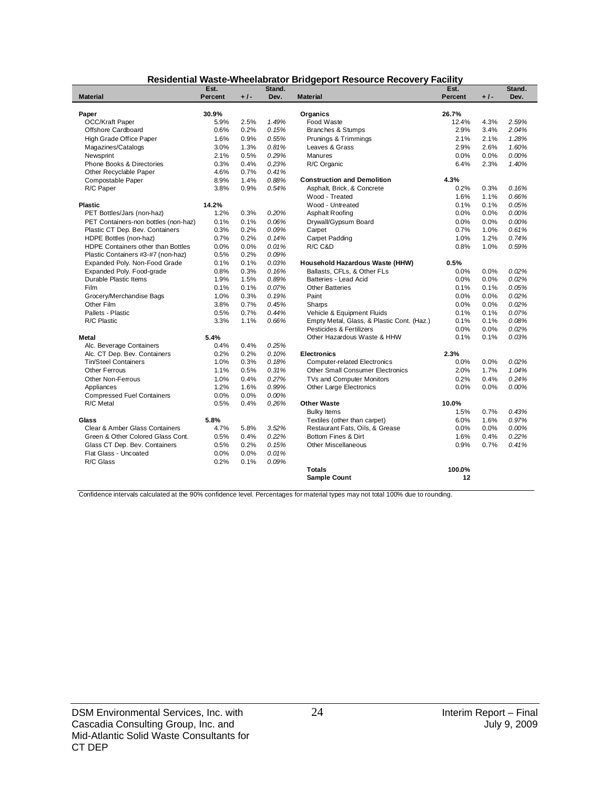### **Residential Waste-Wheelabrator Bridgeport Resource Recovery Facility**

| <b>Material</b>                      | Est.<br>Percent | + / - | Stand.<br>Dev. | <b>Material</b>                            | Est.<br>Percent | +1-  | Stand.<br>Dev. |
|--------------------------------------|-----------------|-------|----------------|--------------------------------------------|-----------------|------|----------------|
|                                      |                 |       |                |                                            |                 |      |                |
| Paper                                | 30.9%           |       |                | Organics                                   | 26.7%           |      |                |
| <b>OCC/Kraft Paper</b>               | 5.9%            | 2.5%  | 1.49%          | Food Waste                                 | 12.4%           | 4.3% | 2.59%          |
| Offshore Cardboard                   | 0.6%            | 0.2%  | 0.15%          | Branches & Stumps                          | 2.9%            | 3.4% | 2.04%          |
| High Grade Office Paper              | 1.6%            | 0.9%  | 0.55%          | Prunings & Trimmings                       | 2.1%            | 2.1% | 1.28%          |
| Magazines/Catalogs                   | 3.0%            | 1.3%  | 0.81%          | Leaves & Grass                             | 2.9%            | 2.6% | 1.60%          |
| Newsprint                            | 2.1%            | 0.5%  | 0.29%          | Manures                                    | 0.0%            | 0.0% | 0.00%          |
| Phone Books & Directories            | 0.3%            | 0.4%  | 0.23%          | R/C Organic                                | 6.4%            | 2.3% | 1.40%          |
| Other Recyclable Paper               | 4.6%            | 0.7%  | 0.41%          |                                            |                 |      |                |
| Compostable Paper                    | 8.9%            | 1.4%  | 0.88%          | <b>Construction and Demolition</b>         | 4.3%            |      |                |
| R/C Paper                            | 3.8%            | 0.9%  | 0.54%          | Asphalt, Brick, & Concrete                 | 0.2%            | 0.3% | 0.16%          |
|                                      |                 |       |                | Wood - Treated                             | 1.6%            | 1.1% | 0.66%          |
| <b>Plastic</b>                       | 14.2%           |       |                | Wood - Untreated                           | 0.1%            | 0.1% | 0.05%          |
| PET Bottles/Jars (non-haz)           | 1.2%            | 0.3%  | 0.20%          | Asphalt Roofing                            | 0.0%            | 0.0% | 0.00%          |
| PET Containers-non bottles (non-haz) | 0.1%            | 0.1%  | 0.06%          | Drywall/Gypsum Board                       | 0.0%            | 0.0% | 0.00%          |
| Plastic CT Dep. Bev. Containers      | 0.3%            | 0.2%  | 0.09%          | Carpet                                     | 0.7%            | 1.0% | 0.61%          |
| HDPE Bottles (non-haz)               | 0.7%            | 0.2%  | 0.14%          | <b>Carpet Padding</b>                      | 1.0%            | 1.2% | 0.74%          |
| HDPE Containers other than Bottles   | 0.0%            | 0.0%  | 0.01%          | R/C C&D                                    | 0.8%            | 1.0% | 0.59%          |
| Plastic Containers #3-#7 (non-haz)   | 0.5%            | 0.2%  | 0.09%          |                                            |                 |      |                |
| Expanded Poly. Non-Food Grade        | 0.1%            | 0.1%  | 0.03%          | Household Hazardous Waste (HHW)            | 0.5%            |      |                |
| Expanded Poly. Food-grade            | 0.8%            | 0.3%  | 0.16%          | Ballasts, CFLs, & Other FLs                | 0.0%            | 0.0% | 0.02%          |
| Durable Plastic Items                | 1.9%            | 1.5%  | 0.89%          | Batteries - Lead Acid                      | 0.0%            | 0.0% | 0.02%          |
| Film                                 | 0.1%            | 0.1%  | 0.07%          | <b>Other Batteries</b>                     | 0.1%            | 0.1% | 0.05%          |
| Grocery/Merchandise Bags             | 1.0%            | 0.3%  | 0.19%          | Paint                                      | 0.0%            | 0.0% | 0.02%          |
| Other Film                           | 3.8%            | 0.7%  | 0.45%          | Sharps                                     | 0.0%            | 0.0% | 0.02%          |
| Pallets - Plastic                    | 0.5%            | 0.7%  | 0.44%          | Vehicle & Equipment Fluids                 | 0.1%            | 0.1% | 0.07%          |
| R/C Plastic                          | 3.3%            | 1.1%  | 0.66%          | Empty Metal, Glass, & Plastic Cont. (Haz.) | 0.1%            | 0.1% | 0.08%          |
|                                      |                 |       |                | Pesticides & Fertilizers                   | 0.0%            | 0.0% | 0.02%          |
| Metal                                | 5.4%            |       |                | Other Hazardous Waste & HHW                | 0.1%            | 0.1% | 0.03%          |
| Alc. Beverage Containers             | 0.4%            | 0.4%  | 0.25%          |                                            |                 |      |                |
| Alc. CT Dep. Bev. Containers         | 0.2%            | 0.2%  | 0.10%          | <b>Electronics</b>                         | 2.3%            |      |                |
| <b>Tin/Steel Containers</b>          | 1.0%            | 0.3%  | 0.18%          | <b>Computer-related Electronics</b>        | 0.0%            | 0.0% | 0.02%          |
| <b>Other Ferrous</b>                 | 1.1%            | 0.5%  | 0.31%          | <b>Other Small Consumer Electronics</b>    | 2.0%            | 1.7% | 1.04%          |
| Other Non-Ferrous                    | 1.0%            | 0.4%  | 0.27%          | TVs and Computer Monitors                  | 0.2%            | 0.4% | 0.24%          |
| Appliances                           | 1.2%            | 1.6%  | 0.99%          | Other Large Electronics                    | 0.0%            | 0.0% | 0.00%          |
| <b>Compressed Fuel Containers</b>    | 0.0%            | 0.0%  | 0.00%          |                                            |                 |      |                |
| R/C Metal                            | 0.5%            | 0.4%  | 0.26%          | <b>Other Waste</b>                         | 10.0%           |      |                |
|                                      |                 |       |                | <b>Bulky Items</b>                         | 1.5%            | 0.7% | 0.43%          |
| Glass                                | 5.8%            |       |                | Textiles (other than carpet)               | 6.0%            | 1.6% | 0.97%          |
| Clear & Amber Glass Containers       | 4.7%            | 5.8%  | 3.52%          | Restaurant Fats, Oils, & Grease            | 0.0%            | 0.0% | 0.00%          |
| Green & Other Colored Glass Cont.    | 0.5%            | 0.4%  | 0.22%          | Bottom Fines & Dirt                        | 1.6%            | 0.4% | 0.22%          |
| Glass CT Dep. Bev. Containers        | 0.5%            | 0.2%  | 0.15%          | <b>Other Miscellaneous</b>                 | 0.9%            | 0.7% | 0.41%          |
| Flat Glass - Uncoated                | 0.0%            | 0.0%  | 0.01%          |                                            |                 |      |                |
| R/C Glass                            | 0.2%            | 0.1%  | 0.09%          |                                            |                 |      |                |
|                                      |                 |       |                | <b>Totals</b>                              | 100.0%          |      |                |
|                                      |                 |       |                | <b>Sample Count</b>                        | 12              |      |                |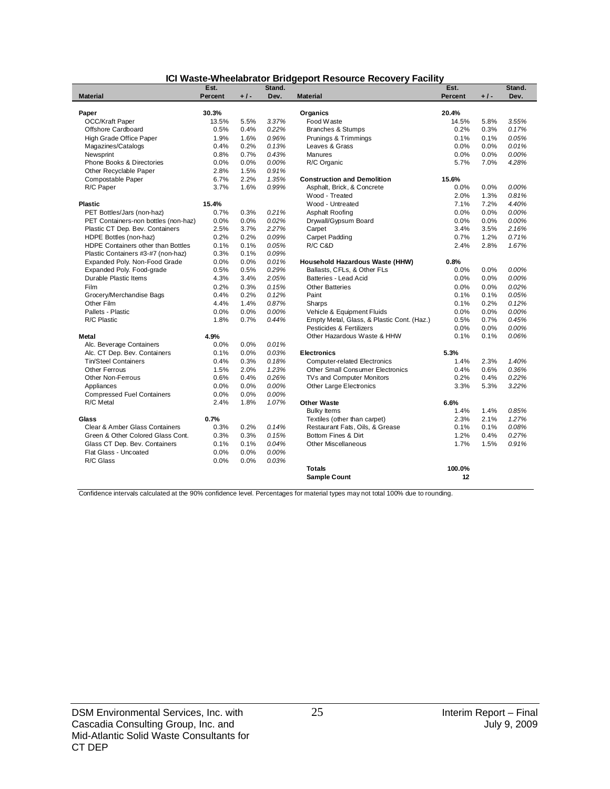#### **ICI Waste-Wheelabrator Bridgeport Resource Recovery Facility**

| <b>Material</b>                      | Est.<br>Percent | $+1-$ | Stand.<br>Dev. | <b>Material</b>                            | Est.<br>Percent | $+1-$ | Stand.<br>Dev. |
|--------------------------------------|-----------------|-------|----------------|--------------------------------------------|-----------------|-------|----------------|
|                                      |                 |       |                |                                            |                 |       |                |
| Paper                                | 30.3%           |       |                | Organics                                   | 20.4%           |       |                |
| <b>OCC/Kraft Paper</b>               | 13.5%           | 5.5%  | 3.37%          | Food Waste                                 | 14.5%           | 5.8%  | 3.55%          |
| Offshore Cardboard                   | 0.5%            | 0.4%  | 0.22%          | Branches & Stumps                          | 0.2%            | 0.3%  | 0.17%          |
| High Grade Office Paper              | 1.9%            | 1.6%  | 0.96%          | Prunings & Trimmings                       | 0.1%            | 0.1%  | 0.05%          |
| Magazines/Catalogs                   | 0.4%            | 0.2%  | 0.13%          | Leaves & Grass                             | 0.0%            | 0.0%  | 0.01%          |
| Newsprint                            | 0.8%            | 0.7%  | 0.43%          | <b>Manures</b>                             | 0.0%            | 0.0%  | 0.00%          |
| Phone Books & Directories            | 0.0%            | 0.0%  | 0.00%          | R/C Organic                                | 5.7%            | 7.0%  | 4.28%          |
| Other Recyclable Paper               | 2.8%            | 1.5%  | 0.91%          |                                            |                 |       |                |
| Compostable Paper                    | 6.7%            | 2.2%  | 1.35%          | <b>Construction and Demolition</b>         | 15.6%           |       |                |
| R/C Paper                            | 3.7%            | 1.6%  | 0.99%          | Asphalt, Brick, & Concrete                 | 0.0%            | 0.0%  | 0.00%          |
|                                      |                 |       |                | Wood - Treated                             | 2.0%            | 1.3%  | 0.81%          |
| <b>Plastic</b>                       | 15.4%           |       |                | Wood - Untreated                           | 7.1%            | 7.2%  | 4.40%          |
| PET Bottles/Jars (non-haz)           | 0.7%            | 0.3%  | 0.21%          | Asphalt Roofing                            | 0.0%            | 0.0%  | 0.00%          |
| PET Containers-non bottles (non-haz) | 0.0%            | 0.0%  | 0.02%          | Drywall/Gypsum Board                       | 0.0%            | 0.0%  | 0.00%          |
| Plastic CT Dep. Bev. Containers      | 2.5%            | 3.7%  | 2.27%          | Carpet                                     | 3.4%            | 3.5%  | 2.16%          |
| HDPE Bottles (non-haz)               | 0.2%            | 0.2%  | 0.09%          | <b>Carpet Padding</b>                      | 0.7%            | 1.2%  | 0.71%          |
| HDPE Containers other than Bottles   | 0.1%            | 0.1%  | 0.05%          | R/C C&D                                    | 2.4%            | 2.8%  | 1.67%          |
| Plastic Containers #3-#7 (non-haz)   | 0.3%            | 0.1%  | 0.09%          |                                            |                 |       |                |
| Expanded Poly. Non-Food Grade        | 0.0%            | 0.0%  | 0.01%          | Household Hazardous Waste (HHW)            | 0.8%            |       |                |
| Expanded Poly. Food-grade            | 0.5%            | 0.5%  | 0.29%          | Ballasts, CFLs, & Other FLs                | 0.0%            | 0.0%  | 0.00%          |
| Durable Plastic Items                | 4.3%            | 3.4%  | 2.05%          | Batteries - Lead Acid                      | 0.0%            | 0.0%  | 0.00%          |
| Film                                 | 0.2%            | 0.3%  | 0.15%          | <b>Other Batteries</b>                     | 0.0%            | 0.0%  | 0.02%          |
| Grocery/Merchandise Bags             | 0.4%            | 0.2%  | 0.12%          | Paint                                      | 0.1%            | 0.1%  | 0.05%          |
| Other Film                           | 4.4%            | 1.4%  | 0.87%          | Sharps                                     | 0.1%            | 0.2%  | 0.12%          |
| Pallets - Plastic                    | 0.0%            | 0.0%  | 0.00%          | Vehicle & Equipment Fluids                 | 0.0%            | 0.0%  | 0.00%          |
| R/C Plastic                          | 1.8%            | 0.7%  | 0.44%          | Empty Metal, Glass, & Plastic Cont. (Haz.) | 0.5%            | 0.7%  | 0.45%          |
|                                      |                 |       |                | Pesticides & Fertilizers                   | 0.0%            | 0.0%  | 0.00%          |
| Metal                                | 4.9%            |       |                | Other Hazardous Waste & HHW                | 0.1%            | 0.1%  | 0.06%          |
| Alc. Beverage Containers             | 0.0%            | 0.0%  | 0.01%          |                                            |                 |       |                |
| Alc. CT Dep. Bev. Containers         | 0.1%            | 0.0%  | 0.03%          | <b>Electronics</b>                         | 5.3%            |       |                |
| <b>Tin/Steel Containers</b>          | 0.4%            | 0.3%  | 0.18%          | <b>Computer-related Electronics</b>        | 1.4%            | 2.3%  | 1.40%          |
| <b>Other Ferrous</b>                 | 1.5%            | 2.0%  | 1.23%          | <b>Other Small Consumer Electronics</b>    | 0.4%            | 0.6%  | 0.36%          |
| Other Non-Ferrous                    | 0.6%            | 0.4%  | 0.26%          | TVs and Computer Monitors                  | 0.2%            | 0.4%  | 0.22%          |
| Appliances                           | 0.0%            | 0.0%  | 0.00%          | Other Large Electronics                    | 3.3%            | 5.3%  | 3.22%          |
| <b>Compressed Fuel Containers</b>    | 0.0%            | 0.0%  | 0.00%          |                                            |                 |       |                |
| R/C Metal                            | 2.4%            | 1.8%  | 1.07%          | <b>Other Waste</b>                         | 6.6%            |       |                |
|                                      |                 |       |                | <b>Bulky Items</b>                         | 1.4%            | 1.4%  | 0.85%          |
| Glass                                | 0.7%            |       |                | Textiles (other than carpet)               | 2.3%            | 2.1%  | 1.27%          |
| Clear & Amber Glass Containers       | 0.3%            | 0.2%  | 0.14%          | Restaurant Fats, Oils, & Grease            | 0.1%            | 0.1%  | 0.08%          |
| Green & Other Colored Glass Cont.    | 0.3%            | 0.3%  | 0.15%          | Bottom Fines & Dirt                        | 1.2%            | 0.4%  | 0.27%          |
| Glass CT Dep. Bev. Containers        | 0.1%            | 0.1%  | 0.04%          | <b>Other Miscellaneous</b>                 | 1.7%            | 1.5%  | 0.91%          |
| Flat Glass - Uncoated                | 0.0%            | 0.0%  | 0.00%          |                                            |                 |       |                |
| R/C Glass                            | 0.0%            | 0.0%  | 0.03%          |                                            |                 |       |                |
|                                      |                 |       |                | <b>Totals</b>                              | 100.0%          |       |                |
|                                      |                 |       |                | <b>Sample Count</b>                        | 12              |       |                |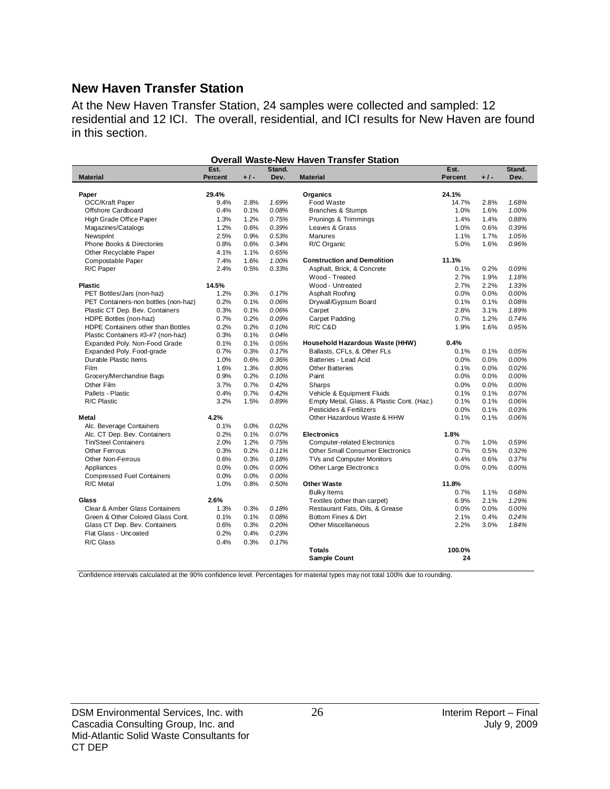### **New Haven Transfer Station**

At the New Haven Transfer Station, 24 samples were collected and sampled: 12 residential and 12 ICI. The overall, residential, and ICI results for New Haven are found in this section.

| <b>Overall Waste-New Haven Transfer Station</b> |         |       |        |                                            |         |       |        |  |  |  |  |  |
|-------------------------------------------------|---------|-------|--------|--------------------------------------------|---------|-------|--------|--|--|--|--|--|
|                                                 | Est.    |       | Stand. |                                            | Est.    |       | Stand. |  |  |  |  |  |
| <b>Material</b>                                 | Percent | $+1-$ | Dev.   | <b>Material</b>                            | Percent | $+1-$ | Dev.   |  |  |  |  |  |
|                                                 |         |       |        |                                            |         |       |        |  |  |  |  |  |
| Paper                                           | 29.4%   |       |        | Organics                                   | 24.1%   |       |        |  |  |  |  |  |
| OCC/Kraft Paper                                 | 9.4%    | 2.8%  | 1.69%  | Food Waste                                 | 14.7%   | 2.8%  | 1.68%  |  |  |  |  |  |
| Offshore Cardboard                              | 0.4%    | 0.1%  | 0.08%  | <b>Branches &amp; Stumps</b>               | 1.0%    | 1.6%  | 1.00%  |  |  |  |  |  |
| High Grade Office Paper                         | 1.3%    | 1.2%  | 0.75%  | Prunings & Trimmings                       | 1.4%    | 1.4%  | 0.88%  |  |  |  |  |  |
| Magazines/Catalogs                              | 1.2%    | 0.6%  | 0.39%  | Leaves & Grass                             | 1.0%    | 0.6%  | 0.39%  |  |  |  |  |  |
| Newsprint                                       | 2.5%    | 0.9%  | 0.53%  | Manures                                    | 1.1%    | 1.7%  | 1.05%  |  |  |  |  |  |
| Phone Books & Directories                       | 0.8%    | 0.6%  | 0.34%  | R/C Organic                                | 5.0%    | 1.6%  | 0.96%  |  |  |  |  |  |
| Other Recyclable Paper                          | 4.1%    | 1.1%  | 0.65%  |                                            |         |       |        |  |  |  |  |  |
| Compostable Paper                               | 7.4%    | 1.6%  | 1.00%  | <b>Construction and Demolition</b>         | 11.1%   |       |        |  |  |  |  |  |
| R/C Paper                                       | 2.4%    | 0.5%  | 0.33%  | Asphalt, Brick, & Concrete                 | 0.1%    | 0.2%  | 0.09%  |  |  |  |  |  |
|                                                 |         |       |        | Wood - Treated                             | 2.7%    | 1.9%  | 1.18%  |  |  |  |  |  |
| <b>Plastic</b>                                  | 14.5%   |       |        | Wood - Untreated                           | 2.7%    | 2.2%  | 1.33%  |  |  |  |  |  |
| PET Bottles/Jars (non-haz)                      | 1.2%    | 0.3%  | 0.17%  | Asphalt Roofing                            | 0.0%    | 0.0%  | 0.00%  |  |  |  |  |  |
| PET Containers-non bottles (non-haz)            | 0.2%    | 0.1%  | 0.06%  | Drywall/Gypsum Board                       | 0.1%    | 0.1%  | 0.08%  |  |  |  |  |  |
| Plastic CT Dep. Bev. Containers                 | 0.3%    | 0.1%  | 0.06%  | Carpet                                     | 2.8%    | 3.1%  | 1.89%  |  |  |  |  |  |
| HDPE Bottles (non-haz)                          | 0.7%    | 0.2%  | 0.09%  | Carpet Padding                             | 0.7%    | 1.2%  | 0.74%  |  |  |  |  |  |
| HDPE Containers other than Bottles              | 0.2%    | 0.2%  | 0.10%  | R/C C&D                                    | 1.9%    | 1.6%  | 0.95%  |  |  |  |  |  |
| Plastic Containers #3-#7 (non-haz)              | 0.3%    | 0.1%  | 0.04%  |                                            |         |       |        |  |  |  |  |  |
| Expanded Poly. Non-Food Grade                   | 0.1%    | 0.1%  | 0.05%  | Household Hazardous Waste (HHW)            | 0.4%    |       |        |  |  |  |  |  |
| Expanded Poly. Food-grade                       | 0.7%    | 0.3%  | 0.17%  | Ballasts, CFLs, & Other FLs                | 0.1%    | 0.1%  | 0.05%  |  |  |  |  |  |
| Durable Plastic Items                           | 1.0%    | 0.6%  | 0.36%  | Batteries - Lead Acid                      | 0.0%    | 0.0%  | 0.00%  |  |  |  |  |  |
| <b>Film</b>                                     | 1.6%    | 1.3%  | 0.80%  | <b>Other Batteries</b>                     | 0.1%    | 0.0%  | 0.02%  |  |  |  |  |  |
| Grocery/Merchandise Bags                        | 0.9%    | 0.2%  | 0.10%  | Paint                                      | 0.0%    | 0.0%  | 0.00%  |  |  |  |  |  |
| Other Film                                      | 3.7%    | 0.7%  | 0.42%  | Sharps                                     | 0.0%    | 0.0%  | 0.00%  |  |  |  |  |  |
| Pallets - Plastic                               | 0.4%    | 0.7%  | 0.42%  | Vehicle & Equipment Fluids                 | 0.1%    | 0.1%  | 0.07%  |  |  |  |  |  |
| R/C Plastic                                     | 3.2%    | 1.5%  | 0.89%  | Empty Metal, Glass, & Plastic Cont. (Haz.) | 0.1%    | 0.1%  | 0.06%  |  |  |  |  |  |
|                                                 |         |       |        | Pesticides & Fertilizers                   | 0.0%    | 0.1%  | 0.03%  |  |  |  |  |  |
| Metal                                           | 4.2%    |       |        | Other Hazardous Waste & HHW                | 0.1%    | 0.1%  | 0.06%  |  |  |  |  |  |
| Alc. Beverage Containers                        | 0.1%    | 0.0%  | 0.02%  |                                            |         |       |        |  |  |  |  |  |
| Alc. CT Dep. Bev. Containers                    | 0.2%    | 0.1%  | 0.07%  | <b>Electronics</b>                         | 1.8%    |       |        |  |  |  |  |  |
| <b>Tin/Steel Containers</b>                     | 2.0%    | 1.2%  | 0.75%  | <b>Computer-related Electronics</b>        | 0.7%    | 1.0%  | 0.59%  |  |  |  |  |  |
| <b>Other Ferrous</b>                            | 0.3%    | 0.2%  | 0.11%  | <b>Other Small Consumer Electronics</b>    | 0.7%    | 0.5%  | 0.32%  |  |  |  |  |  |
| Other Non-Ferrous                               | 0.6%    | 0.3%  | 0.18%  | TVs and Computer Monitors                  | 0.4%    | 0.6%  | 0.37%  |  |  |  |  |  |
|                                                 | 0.0%    |       |        |                                            | 0.0%    |       | 0.00%  |  |  |  |  |  |
| Appliances                                      |         | 0.0%  | 0.00%  | <b>Other Large Electronics</b>             |         | 0.0%  |        |  |  |  |  |  |
| <b>Compressed Fuel Containers</b>               | 0.0%    | 0.0%  | 0.00%  |                                            |         |       |        |  |  |  |  |  |
| R/C Metal                                       | 1.0%    | 0.8%  | 0.50%  | <b>Other Waste</b>                         | 11.8%   |       |        |  |  |  |  |  |
|                                                 |         |       |        | Bulky Items                                | 0.7%    | 1.1%  | 0.68%  |  |  |  |  |  |
| Glass                                           | 2.6%    |       |        | Textiles (other than carpet)               | 6.9%    | 2.1%  | 1.29%  |  |  |  |  |  |
| Clear & Amber Glass Containers                  | 1.3%    | 0.3%  | 0.18%  | Restaurant Fats, Oils, & Grease            | 0.0%    | 0.0%  | 0.00%  |  |  |  |  |  |
| Green & Other Colored Glass Cont.               | 0.1%    | 0.1%  | 0.08%  | Bottom Fines & Dirt                        | 2.1%    | 0.4%  | 0.24%  |  |  |  |  |  |
| Glass CT Dep. Bev. Containers                   | 0.6%    | 0.3%  | 0.20%  | <b>Other Miscellaneous</b>                 | 2.2%    | 3.0%  | 1.84%  |  |  |  |  |  |
| Flat Glass - Uncoated                           | 0.2%    | 0.4%  | 0.23%  |                                            |         |       |        |  |  |  |  |  |
| R/C Glass                                       | 0.4%    | 0.3%  | 0.17%  |                                            |         |       |        |  |  |  |  |  |
|                                                 |         |       |        | <b>Totals</b>                              | 100.0%  |       |        |  |  |  |  |  |
|                                                 |         |       |        | <b>Sample Count</b>                        | 24      |       |        |  |  |  |  |  |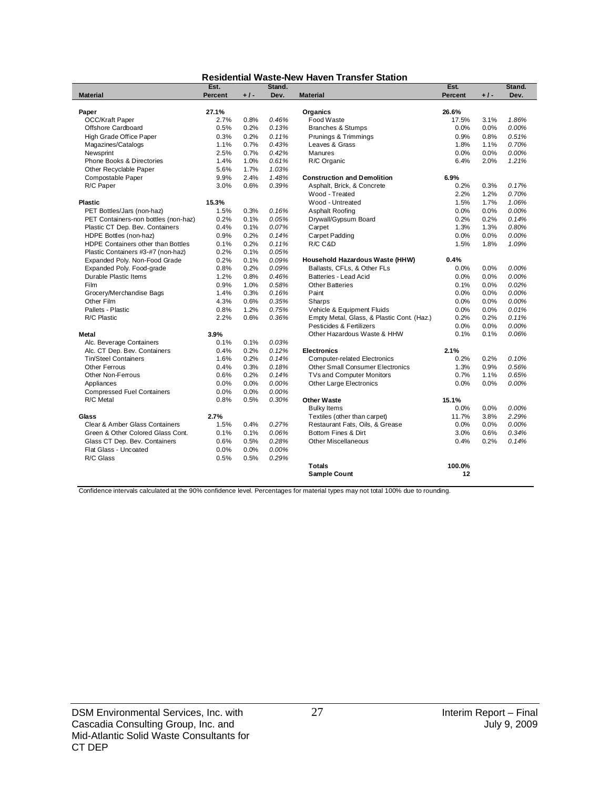#### **Residential Waste-New Haven Transfer Station**

|                                           | Est.           |       | Stand. |                                            | Est.           |       | Stand. |
|-------------------------------------------|----------------|-------|--------|--------------------------------------------|----------------|-------|--------|
| <b>Material</b>                           | <b>Percent</b> | $+1-$ | Dev.   | Material                                   | <b>Percent</b> | $+1-$ | Dev.   |
|                                           |                |       |        |                                            |                |       |        |
| Paper                                     | 27.1%          |       |        | Organics                                   | 26.6%          |       |        |
| <b>OCC/Kraft Paper</b>                    | 2.7%           | 0.8%  | 0.46%  | Food Waste                                 | 17.5%          | 3.1%  | 1.86%  |
| Offshore Cardboard                        | 0.5%           | 0.2%  | 0.13%  | <b>Branches &amp; Stumps</b>               | 0.0%           | 0.0%  | 0.00%  |
| High Grade Office Paper                   | 0.3%           | 0.2%  | 0.11%  | Prunings & Trimmings                       | 0.9%           | 0.8%  | 0.51%  |
| Magazines/Catalogs                        | 1.1%           | 0.7%  | 0.43%  | Leaves & Grass                             | 1.8%           | 1.1%  | 0.70%  |
| Newsprint                                 | 2.5%           | 0.7%  | 0.42%  | <b>Manures</b>                             | 0.0%           | 0.0%  | 0.00%  |
| Phone Books & Directories                 | 1.4%           | 1.0%  | 0.61%  | R/C Organic                                | 6.4%           | 2.0%  | 1.21%  |
| Other Recyclable Paper                    | 5.6%           | 1.7%  | 1.03%  |                                            |                |       |        |
| Compostable Paper                         | 9.9%           | 2.4%  | 1.48%  | <b>Construction and Demolition</b>         | 6.9%           |       |        |
| R/C Paper                                 | 3.0%           | 0.6%  | 0.39%  | Asphalt, Brick, & Concrete                 | 0.2%           | 0.3%  | 0.17%  |
|                                           |                |       |        | Wood - Treated                             | 2.2%           | 1.2%  | 0.70%  |
| <b>Plastic</b>                            | 15.3%          |       |        | Wood - Untreated                           | 1.5%           | 1.7%  | 1.06%  |
| PET Bottles/Jars (non-haz)                | 1.5%           | 0.3%  | 0.16%  | Asphalt Roofing                            | 0.0%           | 0.0%  | 0.00%  |
| PET Containers-non bottles (non-haz)      | 0.2%           | 0.1%  | 0.05%  | Drywall/Gypsum Board                       | 0.2%           | 0.2%  | 0.14%  |
| Plastic CT Dep. Bev. Containers           | 0.4%           | 0.1%  | 0.07%  | Carpet                                     | 1.3%           | 1.3%  | 0.80%  |
| HDPE Bottles (non-haz)                    | 0.9%           | 0.2%  | 0.14%  | Carpet Padding                             | 0.0%           | 0.0%  | 0.00%  |
| <b>HDPE Containers other than Bottles</b> | 0.1%           | 0.2%  | 0.11%  | R/C C&D                                    | 1.5%           | 1.8%  | 1.09%  |
| Plastic Containers #3-#7 (non-haz)        | 0.2%           | 0.1%  | 0.05%  |                                            |                |       |        |
| Expanded Poly. Non-Food Grade             | 0.2%           | 0.1%  | 0.09%  | Household Hazardous Waste (HHW)            | 0.4%           |       |        |
| Expanded Poly. Food-grade                 | 0.8%           | 0.2%  | 0.09%  | Ballasts, CFLs, & Other FLs                | 0.0%           | 0.0%  | 0.00%  |
| Durable Plastic Items                     | 1.2%           | 0.8%  | 0.46%  | Batteries - Lead Acid                      | 0.0%           | 0.0%  | 0.00%  |
| Film                                      | 0.9%           | 1.0%  | 0.58%  | <b>Other Batteries</b>                     | 0.1%           | 0.0%  | 0.02%  |
| Grocery/Merchandise Bags                  | 1.4%           | 0.3%  | 0.16%  | Paint                                      | 0.0%           | 0.0%  | 0.00%  |
| Other Film                                | 4.3%           | 0.6%  | 0.35%  | Sharps                                     | 0.0%           | 0.0%  | 0.00%  |
| Pallets - Plastic                         | 0.8%           | 1.2%  | 0.75%  | Vehicle & Equipment Fluids                 | 0.0%           | 0.0%  | 0.01%  |
| R/C Plastic                               | 2.2%           | 0.6%  | 0.36%  | Empty Metal, Glass, & Plastic Cont. (Haz.) | 0.2%           | 0.2%  | 0.11%  |
|                                           |                |       |        | Pesticides & Fertilizers                   | 0.0%           | 0.0%  | 0.00%  |
| Metal                                     | 3.9%           |       |        | Other Hazardous Waste & HHW                | 0.1%           | 0.1%  | 0.06%  |
| Alc. Beverage Containers                  | 0.1%           | 0.1%  | 0.03%  |                                            |                |       |        |
| Alc. CT Dep. Bev. Containers              | 0.4%           | 0.2%  | 0.12%  | <b>Electronics</b>                         | 2.1%           |       |        |
| Tin/Steel Containers                      | 1.6%           | 0.2%  | 0.14%  | <b>Computer-related Electronics</b>        | 0.2%           | 0.2%  | 0.10%  |
| <b>Other Ferrous</b>                      | 0.4%           | 0.3%  | 0.18%  | <b>Other Small Consumer Electronics</b>    | 1.3%           | 0.9%  | 0.56%  |
| Other Non-Ferrous                         | 0.6%           | 0.2%  | 0.14%  | TVs and Computer Monitors                  | 0.7%           | 1.1%  | 0.65%  |
| Appliances                                | 0.0%           | 0.0%  | 0.00%  | <b>Other Large Electronics</b>             | 0.0%           | 0.0%  | 0.00%  |
| <b>Compressed Fuel Containers</b>         | 0.0%           | 0.0%  | 0.00%  |                                            |                |       |        |
| R/C Metal                                 | 0.8%           | 0.5%  | 0.30%  | <b>Other Waste</b>                         | 15.1%          |       |        |
|                                           |                |       |        | <b>Bulky Items</b>                         | 0.0%           | 0.0%  | 0.00%  |
| Glass                                     | 2.7%           |       |        | Textiles (other than carpet)               | 11.7%          | 3.8%  | 2.29%  |
| Clear & Amber Glass Containers            | 1.5%           | 0.4%  | 0.27%  | Restaurant Fats, Oils, & Grease            | 0.0%           | 0.0%  | 0.00%  |
| Green & Other Colored Glass Cont.         | 0.1%           | 0.1%  | 0.06%  | Bottom Fines & Dirt                        | 3.0%           | 0.6%  | 0.34%  |
| Glass CT Dep. Bev. Containers             | 0.6%           | 0.5%  | 0.28%  | <b>Other Miscellaneous</b>                 | 0.4%           | 0.2%  | 0.14%  |
| Flat Glass - Uncoated                     | 0.0%           | 0.0%  | 0.00%  |                                            |                |       |        |
| R/C Glass                                 | 0.5%           | 0.5%  | 0.29%  |                                            |                |       |        |
|                                           |                |       |        | <b>Totals</b>                              | 100.0%         |       |        |
|                                           |                |       |        | <b>Sample Count</b>                        | 12             |       |        |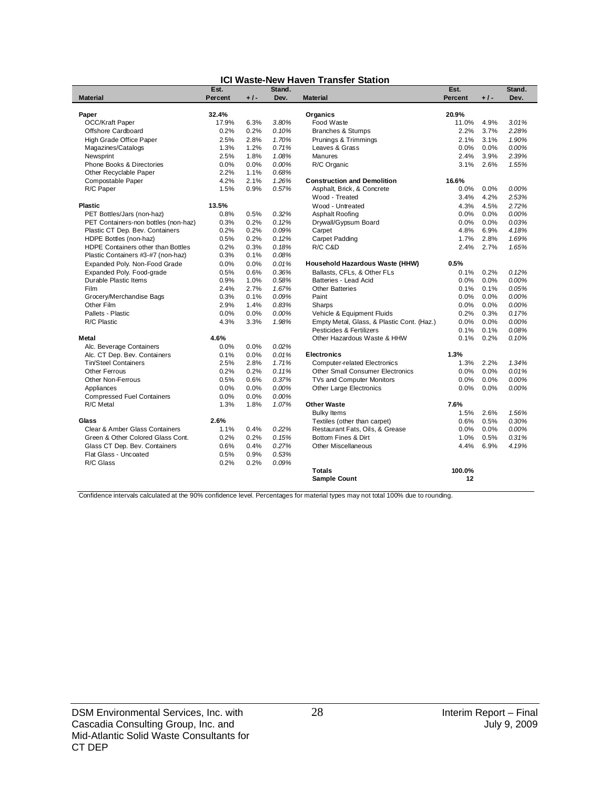| <b>ICI Waste-New Haven Transfer Station</b> |  |  |
|---------------------------------------------|--|--|
|                                             |  |  |

|                                           | Est.    |       | Stand. |                                            | Est.           |      | Stand. |
|-------------------------------------------|---------|-------|--------|--------------------------------------------|----------------|------|--------|
| <b>Material</b>                           | Percent | + / - | Dev.   | <b>Material</b>                            | <b>Percent</b> | +1-  | Dev.   |
|                                           |         |       |        |                                            |                |      |        |
| Paper                                     | 32.4%   |       |        | Organics                                   | 20.9%          |      |        |
| <b>OCC/Kraft Paper</b>                    | 17.9%   | 6.3%  | 3.80%  | Food Waste                                 | 11.0%          | 4.9% | 3.01%  |
| Offshore Cardboard                        | 0.2%    | 0.2%  | 0.10%  | <b>Branches &amp; Stumps</b>               | 2.2%           | 3.7% | 2.28%  |
| High Grade Office Paper                   | 2.5%    | 2.8%  | 1.70%  | Prunings & Trimmings                       | 2.1%           | 3.1% | 1.90%  |
| Magazines/Catalogs                        | 1.3%    | 1.2%  | 0.71%  | Leaves & Grass                             | 0.0%           | 0.0% | 0.00%  |
| Newsprint                                 | 2.5%    | 1.8%  | 1.08%  | <b>Manures</b>                             | 2.4%           | 3.9% | 2.39%  |
| Phone Books & Directories                 | 0.0%    | 0.0%  | 0.00%  | R/C Organic                                | 3.1%           | 2.6% | 1.55%  |
| Other Recyclable Paper                    | 2.2%    | 1.1%  | 0.68%  |                                            |                |      |        |
| Compostable Paper                         | 4.2%    | 2.1%  | 1.26%  | <b>Construction and Demolition</b>         | 16.6%          |      |        |
| R/C Paper                                 | 1.5%    | 0.9%  | 0.57%  | Asphalt, Brick, & Concrete                 | $0.0\%$        | 0.0% | 0.00%  |
|                                           |         |       |        | Wood - Treated                             | 3.4%           | 4.2% | 2.53%  |
| <b>Plastic</b>                            | 13.5%   |       |        | Wood - Untreated                           | 4.3%           | 4.5% | 2.72%  |
| PET Bottles/Jars (non-haz)                | 0.8%    | 0.5%  | 0.32%  | Asphalt Roofing                            | 0.0%           | 0.0% | 0.00%  |
| PET Containers-non bottles (non-haz)      | 0.3%    | 0.2%  | 0.12%  | Drywall/Gypsum Board                       | 0.0%           | 0.0% | 0.03%  |
| Plastic CT Dep. Bev. Containers           | 0.2%    | 0.2%  | 0.09%  | Carpet                                     | 4.8%           | 6.9% | 4.18%  |
| HDPE Bottles (non-haz)                    | 0.5%    | 0.2%  | 0.12%  | <b>Carpet Padding</b>                      | 1.7%           | 2.8% | 1.69%  |
| <b>HDPE Containers other than Bottles</b> | 0.2%    | 0.3%  | 0.18%  | R/C C&D                                    | 2.4%           | 2.7% | 1.65%  |
| Plastic Containers #3-#7 (non-haz)        | 0.3%    | 0.1%  | 0.08%  |                                            |                |      |        |
| Expanded Poly. Non-Food Grade             | 0.0%    | 0.0%  | 0.01%  | Household Hazardous Waste (HHW)            | 0.5%           |      |        |
| Expanded Poly. Food-grade                 | 0.5%    | 0.6%  | 0.36%  | Ballasts, CFLs, & Other FLs                | 0.1%           | 0.2% | 0.12%  |
| Durable Plastic Items                     | 0.9%    | 1.0%  | 0.58%  | Batteries - Lead Acid                      | 0.0%           | 0.0% | 0.00%  |
| Film                                      | 2.4%    | 2.7%  | 1.67%  | <b>Other Batteries</b>                     | 0.1%           | 0.1% | 0.05%  |
| Grocery/Merchandise Bags                  | 0.3%    | 0.1%  | 0.09%  | Paint                                      | 0.0%           | 0.0% | 0.00%  |
| Other Film                                | 2.9%    | 1.4%  | 0.83%  | Sharps                                     | 0.0%           | 0.0% | 0.00%  |
| Pallets - Plastic                         | 0.0%    | 0.0%  | 0.00%  | Vehicle & Equipment Fluids                 | 0.2%           | 0.3% | 0.17%  |
| R/C Plastic                               | 4.3%    | 3.3%  | 1.98%  | Empty Metal, Glass, & Plastic Cont. (Haz.) | 0.0%           | 0.0% | 0.00%  |
|                                           |         |       |        | Pesticides & Fertilizers                   | 0.1%           | 0.1% | 0.08%  |
| Metal                                     | 4.6%    |       |        | Other Hazardous Waste & HHW                | 0.1%           | 0.2% | 0.10%  |
| Alc. Beverage Containers                  | 0.0%    | 0.0%  | 0.02%  |                                            |                |      |        |
| Alc. CT Dep. Bev. Containers              | 0.1%    | 0.0%  | 0.01%  | <b>Electronics</b>                         | 1.3%           |      |        |
| <b>Tin/Steel Containers</b>               | 2.5%    | 2.8%  | 1.71%  | <b>Computer-related Electronics</b>        | 1.3%           | 2.2% | 1.34%  |
| <b>Other Ferrous</b>                      | 0.2%    | 0.2%  | 0.11%  | <b>Other Small Consumer Electronics</b>    | 0.0%           | 0.0% | 0.01%  |
| <b>Other Non-Ferrous</b>                  | 0.5%    | 0.6%  | 0.37%  | TVs and Computer Monitors                  | 0.0%           | 0.0% | 0.00%  |
| Appliances                                | $0.0\%$ | 0.0%  | 0.00%  | Other Large Electronics                    | 0.0%           | 0.0% | 0.00%  |
| <b>Compressed Fuel Containers</b>         | 0.0%    | 0.0%  | 0.00%  |                                            |                |      |        |
| R/C Metal                                 | 1.3%    | 1.8%  | 1.07%  | <b>Other Waste</b>                         | 7.6%           |      |        |
|                                           |         |       |        | <b>Bulky Items</b>                         | 1.5%           | 2.6% | 1.56%  |
| Glass                                     | 2.6%    |       |        | Textiles (other than carpet)               | 0.6%           | 0.5% | 0.30%  |
| Clear & Amber Glass Containers            | 1.1%    | 0.4%  | 0.22%  | Restaurant Fats, Oils, & Grease            | 0.0%           | 0.0% | 0.00%  |
| Green & Other Colored Glass Cont.         | 0.2%    | 0.2%  | 0.15%  | Bottom Fines & Dirt                        | 1.0%           | 0.5% | 0.31%  |
| Glass CT Dep. Bev. Containers             | 0.6%    | 0.4%  | 0.27%  | <b>Other Miscellaneous</b>                 | 4.4%           | 6.9% | 4.19%  |
| Flat Glass - Uncoated                     | 0.5%    | 0.9%  | 0.53%  |                                            |                |      |        |
| R/C Glass                                 | 0.2%    | 0.2%  | 0.09%  |                                            |                |      |        |
|                                           |         |       |        | <b>Totals</b>                              | 100.0%         |      |        |
|                                           |         |       |        | <b>Sample Count</b>                        | 12             |      |        |
|                                           |         |       |        |                                            |                |      |        |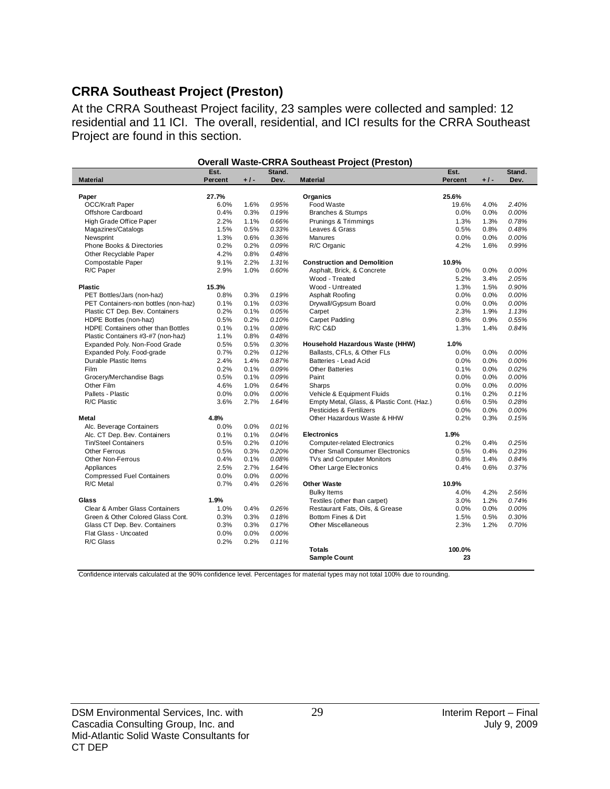### **CRRA Southeast Project (Preston)**

At the CRRA Southeast Project facility, 23 samples were collected and sampled: 12 residential and 11 ICI. The overall, residential, and ICI results for the CRRA Southeast Project are found in this section.

| <b>Overall Waste-CRRA Southeast Project (Preston)</b> |               |       |        |                                            |                |      |        |  |  |  |  |  |
|-------------------------------------------------------|---------------|-------|--------|--------------------------------------------|----------------|------|--------|--|--|--|--|--|
|                                                       | Est.          |       | Stand. |                                            | Est.           |      | Stand. |  |  |  |  |  |
| <b>Material</b>                                       | Percent       | $+1-$ | Dev.   | <b>Material</b>                            | <b>Percent</b> | +1-  | Dev.   |  |  |  |  |  |
|                                                       |               |       |        |                                            |                |      |        |  |  |  |  |  |
| Paper                                                 | 27.7%<br>6.0% |       |        | Organics                                   | 25.6%          |      |        |  |  |  |  |  |
| OCC/Kraft Paper                                       |               | 1.6%  | 0.95%  | Food Waste                                 | 19.6%          | 4.0% | 2.40%  |  |  |  |  |  |
| Offshore Cardboard                                    | 0.4%          | 0.3%  | 0.19%  | Branches & Stumps                          | 0.0%           | 0.0% | 0.00%  |  |  |  |  |  |
| High Grade Office Paper                               | 2.2%          | 1.1%  | 0.66%  | Prunings & Trimmings                       | 1.3%           | 1.3% | 0.78%  |  |  |  |  |  |
| Magazines/Catalogs                                    | 1.5%          | 0.5%  | 0.33%  | Leaves & Grass                             | 0.5%           | 0.8% | 0.48%  |  |  |  |  |  |
| Newsprint                                             | 1.3%          | 0.6%  | 0.36%  | <b>Manures</b>                             | 0.0%           | 0.0% | 0.00%  |  |  |  |  |  |
| Phone Books & Directories                             | 0.2%          | 0.2%  | 0.09%  | R/C Organic                                | 4.2%           | 1.6% | 0.99%  |  |  |  |  |  |
| Other Recyclable Paper                                | 4.2%          | 0.8%  | 0.48%  |                                            |                |      |        |  |  |  |  |  |
| Compostable Paper                                     | 9.1%          | 2.2%  | 1.31%  | <b>Construction and Demolition</b>         | 10.9%          |      |        |  |  |  |  |  |
| R/C Paper                                             | 2.9%          | 1.0%  | 0.60%  | Asphalt, Brick, & Concrete                 | $0.0\%$        | 0.0% | 0.00%  |  |  |  |  |  |
|                                                       |               |       |        | Wood - Treated                             | 5.2%           | 3.4% | 2.05%  |  |  |  |  |  |
| <b>Plastic</b>                                        | 15.3%         |       |        | Wood - Untreated                           | 1.3%           | 1.5% | 0.90%  |  |  |  |  |  |
| PET Bottles/Jars (non-haz)                            | 0.8%          | 0.3%  | 0.19%  | Asphalt Roofing                            | 0.0%           | 0.0% | 0.00%  |  |  |  |  |  |
| PET Containers-non bottles (non-haz)                  | 0.1%          | 0.1%  | 0.03%  | Drywall/Gypsum Board                       | $0.0\%$        | 0.0% | 0.00%  |  |  |  |  |  |
| Plastic CT Dep. Bev. Containers                       | 0.2%          | 0.1%  | 0.05%  | Carpet                                     | 2.3%           | 1.9% | 1.13%  |  |  |  |  |  |
| HDPE Bottles (non-haz)                                | 0.5%          | 0.2%  | 0.10%  | Carpet Padding                             | 0.8%           | 0.9% | 0.55%  |  |  |  |  |  |
| HDPE Containers other than Bottles                    | 0.1%          | 0.1%  | 0.08%  | R/C C&D                                    | 1.3%           | 1.4% | 0.84%  |  |  |  |  |  |
| Plastic Containers #3-#7 (non-haz)                    | 1.1%          | 0.8%  | 0.48%  |                                            |                |      |        |  |  |  |  |  |
| Expanded Poly. Non-Food Grade                         | 0.5%          | 0.5%  | 0.30%  | Household Hazardous Waste (HHW)            | 1.0%           |      |        |  |  |  |  |  |
| Expanded Poly. Food-grade                             | 0.7%          | 0.2%  | 0.12%  | Ballasts, CFLs, & Other FLs                | 0.0%           | 0.0% | 0.00%  |  |  |  |  |  |
| Durable Plastic Items                                 | 2.4%          | 1.4%  | 0.87%  | Batteries - Lead Acid                      | 0.0%           | 0.0% | 0.00%  |  |  |  |  |  |
| <b>Film</b>                                           | 0.2%          | 0.1%  | 0.09%  | <b>Other Batteries</b>                     | 0.1%           | 0.0% | 0.02%  |  |  |  |  |  |
| Grocery/Merchandise Bags                              | 0.5%          | 0.1%  | 0.09%  | Paint                                      | $0.0\%$        | 0.0% | 0.00%  |  |  |  |  |  |
| Other Film                                            | 4.6%          | 1.0%  | 0.64%  | Sharps                                     | 0.0%           | 0.0% | 0.00%  |  |  |  |  |  |
| Pallets - Plastic                                     | 0.0%          | 0.0%  | 0.00%  | Vehicle & Equipment Fluids                 | 0.1%           | 0.2% | 0.11%  |  |  |  |  |  |
| R/C Plastic                                           | 3.6%          | 2.7%  | 1.64%  | Empty Metal, Glass, & Plastic Cont. (Haz.) | 0.6%           | 0.5% | 0.28%  |  |  |  |  |  |
|                                                       |               |       |        | Pesticides & Fertilizers                   | $0.0\%$        | 0.0% | 0.00%  |  |  |  |  |  |
| Metal                                                 | 4.8%          |       |        | Other Hazardous Waste & HHW                | 0.2%           | 0.3% | 0.15%  |  |  |  |  |  |
| Alc. Beverage Containers                              | 0.0%          | 0.0%  | 0.01%  |                                            |                |      |        |  |  |  |  |  |
| Alc. CT Dep. Bev. Containers                          | 0.1%          | 0.1%  | 0.04%  | <b>Electronics</b>                         | 1.9%           |      |        |  |  |  |  |  |
| <b>Tin/Steel Containers</b>                           | 0.5%          | 0.2%  | 0.10%  | <b>Computer-related Electronics</b>        | 0.2%           | 0.4% | 0.25%  |  |  |  |  |  |
| Other Ferrous                                         | 0.5%          | 0.3%  | 0.20%  | Other Small Consumer Electronics           | 0.5%           | 0.4% | 0.23%  |  |  |  |  |  |
| <b>Other Non-Ferrous</b>                              | 0.4%          | 0.1%  | 0.08%  | TVs and Computer Monitors                  | 0.8%           | 1.4% | 0.84%  |  |  |  |  |  |
| Appliances                                            | 2.5%          | 2.7%  | 1.64%  | Other Large Electronics                    | 0.4%           | 0.6% | 0.37%  |  |  |  |  |  |
| <b>Compressed Fuel Containers</b>                     | 0.0%          | 0.0%  | 0.00%  |                                            |                |      |        |  |  |  |  |  |
| R/C Metal                                             | 0.7%          | 0.4%  | 0.26%  | <b>Other Waste</b>                         | 10.9%          |      |        |  |  |  |  |  |
|                                                       |               |       |        | <b>Bulky Items</b>                         | 4.0%           | 4.2% | 2.56%  |  |  |  |  |  |
| Glass                                                 | 1.9%          |       |        | Textiles (other than carpet)               | 3.0%           | 1.2% | 0.74%  |  |  |  |  |  |
| Clear & Amber Glass Containers                        | 1.0%          | 0.4%  | 0.26%  | Restaurant Fats, Oils, & Grease            | 0.0%           | 0.0% | 0.00%  |  |  |  |  |  |
| Green & Other Colored Glass Cont.                     | 0.3%          | 0.3%  | 0.18%  | Bottom Fines & Dirt                        | 1.5%           | 0.5% | 0.30%  |  |  |  |  |  |
| Glass CT Dep. Bev. Containers                         | 0.3%          | 0.3%  | 0.17%  | <b>Other Miscellaneous</b>                 | 2.3%           | 1.2% | 0.70%  |  |  |  |  |  |
| Flat Glass - Uncoated                                 | 0.0%          | 0.0%  | 0.00%  |                                            |                |      |        |  |  |  |  |  |
| R/C Glass                                             | 0.2%          | 0.2%  | 0.11%  |                                            |                |      |        |  |  |  |  |  |
|                                                       |               |       |        | <b>Totals</b>                              | 100.0%         |      |        |  |  |  |  |  |
|                                                       |               |       |        | <b>Sample Count</b>                        | 23             |      |        |  |  |  |  |  |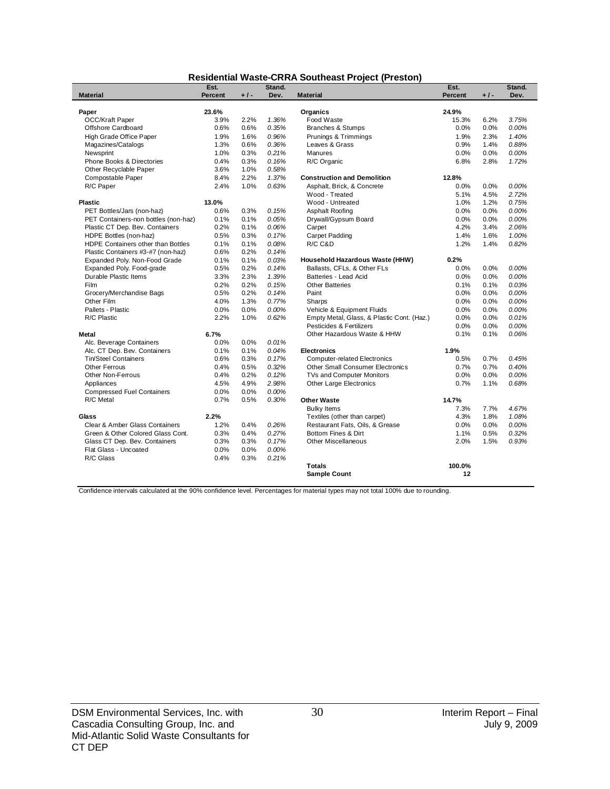### **Residential Waste-CRRA Southeast Project (Preston)**

|                                           | Est.    |      | Stand. |                                            | Est.           |       | Stand. |
|-------------------------------------------|---------|------|--------|--------------------------------------------|----------------|-------|--------|
| <b>Material</b>                           | Percent | +1-  | Dev.   | <b>Material</b>                            | <b>Percent</b> | + / - | Dev.   |
|                                           |         |      |        |                                            |                |       |        |
| Paper                                     | 23.6%   |      |        | Organics                                   | 24.9%          |       |        |
| <b>OCC/Kraft Paper</b>                    | 3.9%    | 2.2% | 1.36%  | Food Waste                                 | 15.3%          | 6.2%  | 3.75%  |
| Offshore Cardboard                        | 0.6%    | 0.6% | 0.35%  | <b>Branches &amp; Stumps</b>               | 0.0%           | 0.0%  | 0.00%  |
| High Grade Office Paper                   | 1.9%    | 1.6% | 0.96%  | Prunings & Trimmings                       | 1.9%           | 2.3%  | 1.40%  |
| Magazines/Catalogs                        | 1.3%    | 0.6% | 0.36%  | Leaves & Grass                             | 0.9%           | 1.4%  | 0.88%  |
| Newsprint                                 | 1.0%    | 0.3% | 0.21%  | Manures                                    | 0.0%           | 0.0%  | 0.00%  |
| Phone Books & Directories                 | 0.4%    | 0.3% | 0.16%  | R/C Organic                                | 6.8%           | 2.8%  | 1.72%  |
| Other Recyclable Paper                    | 3.6%    | 1.0% | 0.58%  |                                            |                |       |        |
| Compostable Paper                         | 8.4%    | 2.2% | 1.37%  | <b>Construction and Demolition</b>         | 12.8%          |       |        |
| R/C Paper                                 | 2.4%    | 1.0% | 0.63%  | Asphalt, Brick, & Concrete                 | 0.0%           | 0.0%  | 0.00%  |
|                                           |         |      |        | Wood - Treated                             | 5.1%           | 4.5%  | 2.72%  |
| <b>Plastic</b>                            | 13.0%   |      |        | Wood - Untreated                           | 1.0%           | 1.2%  | 0.75%  |
| PET Bottles/Jars (non-haz)                | 0.6%    | 0.3% | 0.15%  | Asphalt Roofing                            | 0.0%           | 0.0%  | 0.00%  |
| PET Containers-non bottles (non-haz)      | 0.1%    | 0.1% | 0.05%  | Drywall/Gypsum Board                       | 0.0%           | 0.0%  | 0.00%  |
| Plastic CT Dep. Bev. Containers           | 0.2%    | 0.1% | 0.06%  | Carpet                                     | 4.2%           | 3.4%  | 2.06%  |
| HDPE Bottles (non-haz)                    | 0.5%    | 0.3% | 0.17%  | <b>Carpet Padding</b>                      | 1.4%           | 1.6%  | 1.00%  |
| <b>HDPE Containers other than Bottles</b> | 0.1%    | 0.1% | 0.08%  | R/C C&D                                    | 1.2%           | 1.4%  | 0.82%  |
| Plastic Containers #3-#7 (non-haz)        | 0.6%    | 0.2% | 0.14%  |                                            |                |       |        |
| Expanded Poly. Non-Food Grade             | 0.1%    | 0.1% | 0.03%  | Household Hazardous Waste (HHW)            | 0.2%           |       |        |
| Expanded Poly. Food-grade                 | 0.5%    | 0.2% | 0.14%  | Ballasts, CFLs, & Other FLs                | 0.0%           | 0.0%  | 0.00%  |
| Durable Plastic Items                     | 3.3%    | 2.3% | 1.39%  | Batteries - Lead Acid                      | 0.0%           | 0.0%  | 0.00%  |
| Film                                      |         | 0.2% |        | <b>Other Batteries</b>                     |                |       |        |
|                                           | 0.2%    |      | 0.15%  |                                            | 0.1%           | 0.1%  | 0.03%  |
| Grocery/Merchandise Bags                  | 0.5%    | 0.2% | 0.14%  | Paint                                      | 0.0%           | 0.0%  | 0.00%  |
| Other Film                                | 4.0%    | 1.3% | 0.77%  | Sharps                                     | 0.0%           | 0.0%  | 0.00%  |
| Pallets - Plastic                         | 0.0%    | 0.0% | 0.00%  | Vehicle & Equipment Fluids                 | 0.0%           | 0.0%  | 0.00%  |
| R/C Plastic                               | 2.2%    | 1.0% | 0.62%  | Empty Metal, Glass, & Plastic Cont. (Haz.) | 0.0%           | 0.0%  | 0.01%  |
|                                           |         |      |        | Pesticides & Fertilizers                   | 0.0%           | 0.0%  | 0.00%  |
| Metal                                     | 6.7%    |      |        | Other Hazardous Waste & HHW                | 0.1%           | 0.1%  | 0.06%  |
| Alc. Beverage Containers                  | 0.0%    | 0.0% | 0.01%  |                                            |                |       |        |
| Alc. CT Dep. Bev. Containers              | 0.1%    | 0.1% | 0.04%  | <b>Electronics</b>                         | 1.9%           |       |        |
| Tin/Steel Containers                      | 0.6%    | 0.3% | 0.17%  | <b>Computer-related Electronics</b>        | 0.5%           | 0.7%  | 0.45%  |
| Other Ferrous                             | 0.4%    | 0.5% | 0.32%  | <b>Other Small Consumer Electronics</b>    | 0.7%           | 0.7%  | 0.40%  |
| Other Non-Ferrous                         | 0.4%    | 0.2% | 0.12%  | TVs and Computer Monitors                  | 0.0%           | 0.0%  | 0.00%  |
| Appliances                                | 4.5%    | 4.9% | 2.98%  | <b>Other Large Electronics</b>             | 0.7%           | 1.1%  | 0.68%  |
| <b>Compressed Fuel Containers</b>         | 0.0%    | 0.0% | 0.00%  |                                            |                |       |        |
| R/C Metal                                 | 0.7%    | 0.5% | 0.30%  | <b>Other Waste</b>                         | 14.7%          |       |        |
|                                           |         |      |        | <b>Bulky Items</b>                         | 7.3%           | 7.7%  | 4.67%  |
| Glass                                     | 2.2%    |      |        | Textiles (other than carpet)               | 4.3%           | 1.8%  | 1.08%  |
| Clear & Amber Glass Containers            | 1.2%    | 0.4% | 0.26%  | Restaurant Fats, Oils, & Grease            | 0.0%           | 0.0%  | 0.00%  |
| Green & Other Colored Glass Cont.         | 0.3%    | 0.4% | 0.27%  | Bottom Fines & Dirt                        | 1.1%           | 0.5%  | 0.32%  |
| Glass CT Dep. Bev. Containers             | 0.3%    | 0.3% | 0.17%  | <b>Other Miscellaneous</b>                 | 2.0%           | 1.5%  | 0.93%  |
| Flat Glass - Uncoated                     | 0.0%    | 0.0% | 0.00%  |                                            |                |       |        |
| R/C Glass                                 | 0.4%    | 0.3% | 0.21%  |                                            |                |       |        |
|                                           |         |      |        | <b>Totals</b>                              | 100.0%         |       |        |
|                                           |         |      |        | <b>Sample Count</b>                        | 12             |       |        |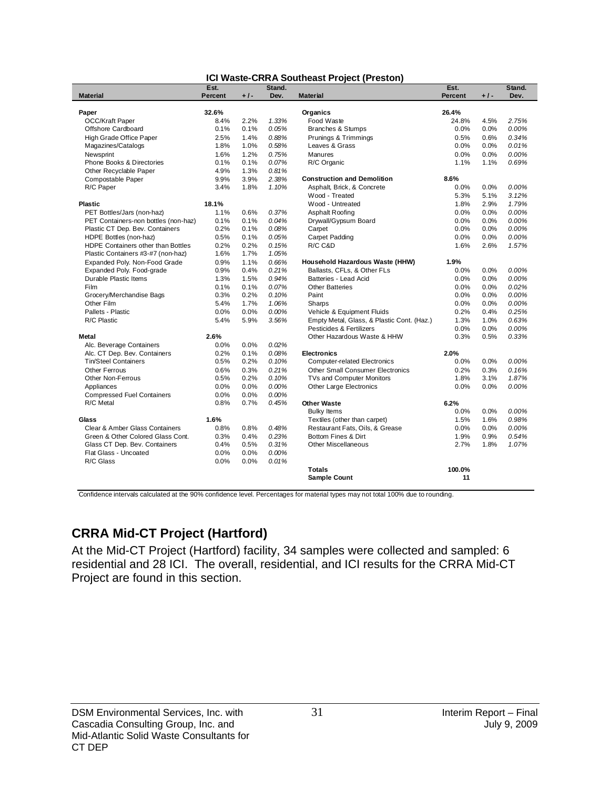### **ICI Waste-CRRA Southeast Project (Preston)**

|                                      | Est.    |       | Stand. |                                            | Est.           |       | Stand. |
|--------------------------------------|---------|-------|--------|--------------------------------------------|----------------|-------|--------|
| <b>Material</b>                      | Percent | $+1-$ | Dev.   | <b>Material</b>                            | <b>Percent</b> | $+1-$ | Dev.   |
|                                      |         |       |        |                                            |                |       |        |
| Paper                                | 32.6%   |       |        | Organics                                   | 26.4%          |       |        |
| OCC/Kraft Paper                      | 8.4%    | 2.2%  | 1.33%  | Food Waste                                 | 24.8%          | 4.5%  | 2.75%  |
| Offshore Cardboard                   | 0.1%    | 0.1%  | 0.05%  | Branches & Stumps                          | 0.0%           | 0.0%  | 0.00%  |
| High Grade Office Paper              | 2.5%    | 1.4%  | 0.88%  | Prunings & Trimmings                       | 0.5%           | 0.6%  | 0.34%  |
| Magazines/Catalogs                   | 1.8%    | 1.0%  | 0.58%  | Leaves & Grass                             | 0.0%           | 0.0%  | 0.01%  |
| Newsprint                            | 1.6%    | 1.2%  | 0.75%  | Manures                                    | 0.0%           | 0.0%  | 0.00%  |
| Phone Books & Directories            | 0.1%    | 0.1%  | 0.07%  | R/C Organic                                | 1.1%           | 1.1%  | 0.69%  |
| Other Recyclable Paper               | 4.9%    | 1.3%  | 0.81%  |                                            |                |       |        |
| Compostable Paper                    | 9.9%    | 3.9%  | 2.38%  | <b>Construction and Demolition</b>         | 8.6%           |       |        |
| R/C Paper                            | 3.4%    | 1.8%  | 1.10%  | Asphalt, Brick, & Concrete                 | 0.0%           | 0.0%  | 0.00%  |
|                                      |         |       |        | Wood - Treated                             | 5.3%           | 5.1%  | 3.12%  |
| <b>Plastic</b>                       | 18.1%   |       |        | Wood - Untreated                           | 1.8%           | 2.9%  | 1.79%  |
| PET Bottles/Jars (non-haz)           | 1.1%    | 0.6%  | 0.37%  | Asphalt Roofing                            | 0.0%           | 0.0%  | 0.00%  |
| PET Containers-non bottles (non-haz) | 0.1%    | 0.1%  | 0.04%  | Drywall/Gypsum Board                       | 0.0%           | 0.0%  | 0.00%  |
| Plastic CT Dep. Bev. Containers      | 0.2%    | 0.1%  | 0.08%  | Carpet                                     | 0.0%           | 0.0%  | 0.00%  |
| HDPE Bottles (non-haz)               | 0.5%    | 0.1%  | 0.05%  | <b>Carpet Padding</b>                      | 0.0%           | 0.0%  | 0.00%  |
| HDPE Containers other than Bottles   | 0.2%    | 0.2%  | 0.15%  | R/C C&D                                    | 1.6%           | 2.6%  | 1.57%  |
| Plastic Containers #3-#7 (non-haz)   | 1.6%    | 1.7%  | 1.05%  |                                            |                |       |        |
| Expanded Poly. Non-Food Grade        | 0.9%    | 1.1%  | 0.66%  | Household Hazardous Waste (HHW)            | 1.9%           |       |        |
| Expanded Poly. Food-grade            | 0.9%    | 0.4%  | 0.21%  | Ballasts, CFLs, & Other FLs                | 0.0%           | 0.0%  | 0.00%  |
| Durable Plastic Items                | 1.3%    | 1.5%  | 0.94%  | Batteries - Lead Acid                      | 0.0%           | 0.0%  | 0.00%  |
| Film                                 | 0.1%    | 0.1%  | 0.07%  | <b>Other Batteries</b>                     | 0.0%           | 0.0%  | 0.02%  |
| Grocery/Merchandise Bags             | 0.3%    | 0.2%  | 0.10%  | Paint                                      | 0.0%           | 0.0%  | 0.00%  |
| Other Film                           | 5.4%    | 1.7%  | 1.06%  | Sharps                                     | 0.0%           | 0.0%  | 0.00%  |
| Pallets - Plastic                    | 0.0%    | 0.0%  | 0.00%  | Vehicle & Equipment Fluids                 | 0.2%           | 0.4%  | 0.25%  |
| R/C Plastic                          | 5.4%    | 5.9%  | 3.56%  | Empty Metal, Glass, & Plastic Cont. (Haz.) | 1.3%           | 1.0%  | 0.63%  |
|                                      |         |       |        | Pesticides & Fertilizers                   | 0.0%           | 0.0%  | 0.00%  |
| <b>Metal</b>                         | 2.6%    |       |        | Other Hazardous Waste & HHW                | 0.3%           | 0.5%  | 0.33%  |
| Alc. Beverage Containers             | 0.0%    | 0.0%  | 0.02%  |                                            |                |       |        |
| Alc. CT Dep. Bev. Containers         | 0.2%    | 0.1%  | 0.08%  | <b>Electronics</b>                         | 2.0%           |       |        |
| <b>Tin/Steel Containers</b>          | 0.5%    | 0.2%  | 0.10%  | <b>Computer-related Electronics</b>        | 0.0%           | 0.0%  | 0.00%  |
| <b>Other Ferrous</b>                 | 0.6%    | 0.3%  | 0.21%  | <b>Other Small Consumer Electronics</b>    | 0.2%           | 0.3%  | 0.16%  |
| <b>Other Non-Ferrous</b>             | 0.5%    | 0.2%  | 0.10%  | TVs and Computer Monitors                  | 1.8%           | 3.1%  | 1.87%  |
|                                      |         |       | 0.00%  |                                            |                |       |        |
| Appliances                           | 0.0%    | 0.0%  |        | Other Large Electronics                    | 0.0%           | 0.0%  | 0.00%  |
| <b>Compressed Fuel Containers</b>    | 0.0%    | 0.0%  | 0.00%  |                                            |                |       |        |
| R/C Metal                            | 0.8%    | 0.7%  | 0.45%  | <b>Other Waste</b>                         | 6.2%           |       |        |
|                                      |         |       |        | <b>Bulky Items</b>                         | 0.0%           | 0.0%  | 0.00%  |
| Glass                                | 1.6%    |       |        | Textiles (other than carpet)               | 1.5%           | 1.6%  | 0.98%  |
| Clear & Amber Glass Containers       | 0.8%    | 0.8%  | 0.48%  | Restaurant Fats, Oils, & Grease            | 0.0%           | 0.0%  | 0.00%  |
| Green & Other Colored Glass Cont.    | 0.3%    | 0.4%  | 0.23%  | Bottom Fines & Dirt                        | 1.9%           | 0.9%  | 0.54%  |
| Glass CT Dep. Bev. Containers        | 0.4%    | 0.5%  | 0.31%  | <b>Other Miscellaneous</b>                 | 2.7%           | 1.8%  | 1.07%  |
| Flat Glass - Uncoated                | 0.0%    | 0.0%  | 0.00%  |                                            |                |       |        |
| R/C Glass                            | 0.0%    | 0.0%  | 0.01%  |                                            |                |       |        |
|                                      |         |       |        | <b>Totals</b>                              | 100.0%         |       |        |
|                                      |         |       |        | <b>Sample Count</b>                        | 11             |       |        |

Confidence intervals calculated at the 90% confidence level. Percentages for material types may not total 100% due to rounding.

## **CRRA Mid-CT Project (Hartford)**

At the Mid-CT Project (Hartford) facility, 34 samples were collected and sampled: 6 residential and 28 ICI. The overall, residential, and ICI results for the CRRA Mid-CT Project are found in this section.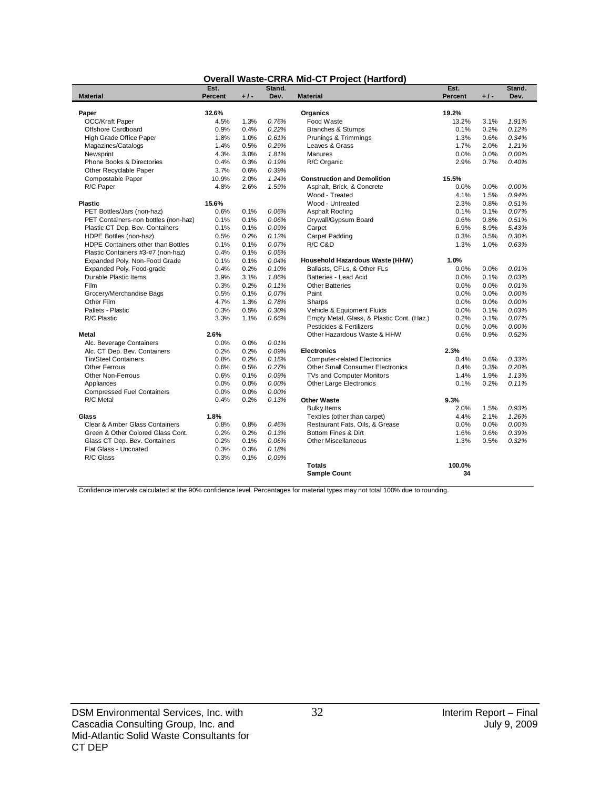### **Overall Waste-CRRA Mid-CT Project (Hartford)**

| <b>Material</b>                      | Est.<br><b>Percent</b> | $+1-$ | Stand.<br>Dev. | <b>Material</b>                            | Est.<br>Percent | $+1-$ | Stand.<br>Dev. |
|--------------------------------------|------------------------|-------|----------------|--------------------------------------------|-----------------|-------|----------------|
|                                      |                        |       |                |                                            |                 |       |                |
| Paper                                | 32.6%                  |       |                | <b>Organics</b>                            | 19.2%           |       |                |
| <b>OCC/Kraft Paper</b>               | 4.5%                   | 1.3%  | 0.76%          | Food Waste                                 | 13.2%           | 3.1%  | 1.91%          |
| Offshore Cardboard                   | 0.9%                   | 0.4%  | 0.22%          | Branches & Stumps                          | 0.1%            | 0.2%  | 0.12%          |
| High Grade Office Paper              | 1.8%                   | 1.0%  | 0.61%          | Prunings & Trimmings                       | 1.3%            | 0.6%  | 0.34%          |
| Magazines/Catalogs                   | 1.4%                   | 0.5%  | 0.29%          | Leaves & Grass                             | 1.7%            | 2.0%  | 1.21%          |
| Newsprint                            | 4.3%                   | 3.0%  | 1.81%          | <b>Manures</b>                             | 0.0%            | 0.0%  | 0.00%          |
| Phone Books & Directories            | 0.4%                   | 0.3%  | 0.19%          | R/C Organic                                | 2.9%            | 0.7%  | 0.40%          |
| Other Recyclable Paper               | 3.7%                   | 0.6%  | 0.39%          |                                            |                 |       |                |
| Compostable Paper                    | 10.9%                  | 2.0%  | 1.24%          | <b>Construction and Demolition</b>         | 15.5%           |       |                |
| R/C Paper                            | 4.8%                   | 2.6%  | 1.59%          | Asphalt, Brick, & Concrete                 | 0.0%            | 0.0%  | 0.00%          |
|                                      |                        |       |                | Wood - Treated                             | 4.1%            | 1.5%  | 0.94%          |
| <b>Plastic</b>                       | 15.6%                  |       |                | Wood - Untreated                           | 2.3%            | 0.8%  | 0.51%          |
| PET Bottles/Jars (non-haz)           | 0.6%                   | 0.1%  | 0.06%          | Asphalt Roofing                            | 0.1%            | 0.1%  | 0.07%          |
| PET Containers-non bottles (non-haz) | 0.1%                   | 0.1%  | 0.06%          | Drywall/Gypsum Board                       | 0.6%            | 0.8%  | 0.51%          |
| Plastic CT Dep. Bev. Containers      | 0.1%                   | 0.1%  | 0.09%          | Carpet                                     | 6.9%            | 8.9%  | 5.43%          |
| HDPE Bottles (non-haz)               | 0.5%                   | 0.2%  | 0.12%          | Carpet Padding                             | 0.3%            | 0.5%  | 0.30%          |
| HDPE Containers other than Bottles   | 0.1%                   | 0.1%  | 0.07%          | R/C C&D                                    | 1.3%            | 1.0%  | 0.63%          |
| Plastic Containers #3-#7 (non-haz)   | 0.4%                   | 0.1%  | 0.05%          |                                            |                 |       |                |
| Expanded Poly. Non-Food Grade        | 0.1%                   | 0.1%  | 0.04%          | Household Hazardous Waste (HHW)            | 1.0%            |       |                |
| Expanded Poly. Food-grade            | 0.4%                   | 0.2%  | 0.10%          | Ballasts, CFLs, & Other FLs                | 0.0%            | 0.0%  | 0.01%          |
| Durable Plastic Items                | 3.9%                   | 3.1%  | 1.86%          | Batteries - Lead Acid                      | 0.0%            | 0.1%  | 0.03%          |
| Film                                 | 0.3%                   | 0.2%  | 0.11%          | <b>Other Batteries</b>                     | 0.0%            | 0.0%  | 0.01%          |
| Grocery/Merchandise Bags             | 0.5%                   | 0.1%  | 0.07%          | Paint                                      | 0.0%            | 0.0%  | 0.00%          |
| Other Film                           | 4.7%                   | 1.3%  | 0.78%          | Sharps                                     | 0.0%            | 0.0%  | 0.00%          |
| Pallets - Plastic                    | 0.3%                   | 0.5%  | 0.30%          | Vehicle & Equipment Fluids                 | 0.0%            | 0.1%  | 0.03%          |
| R/C Plastic                          | 3.3%                   | 1.1%  | 0.66%          | Empty Metal, Glass, & Plastic Cont. (Haz.) | 0.2%            | 0.1%  | 0.07%          |
|                                      |                        |       |                | Pesticides & Fertilizers                   | 0.0%            | 0.0%  | 0.00%          |
| Metal                                | 2.6%                   |       |                | Other Hazardous Waste & HHW                | 0.6%            | 0.9%  | 0.52%          |
| Alc. Beverage Containers             | 0.0%                   | 0.0%  | 0.01%          |                                            |                 |       |                |
| Alc. CT Dep. Bev. Containers         | 0.2%                   | 0.2%  | 0.09%          | <b>Electronics</b>                         | 2.3%            |       |                |
| <b>Tin/Steel Containers</b>          | 0.8%                   | 0.2%  | 0.15%          | <b>Computer-related Electronics</b>        | 0.4%            | 0.6%  | 0.33%          |
| <b>Other Ferrous</b>                 | 0.6%                   | 0.5%  | 0.27%          | <b>Other Small Consumer Electronics</b>    | 0.4%            | 0.3%  | 0.20%          |
| Other Non-Ferrous                    | 0.6%                   | 0.1%  | 0.09%          | TVs and Computer Monitors                  | 1.4%            | 1.9%  | 1.13%          |
| Appliances                           | 0.0%                   | 0.0%  | 0.00%          | <b>Other Large Electronics</b>             | 0.1%            | 0.2%  | 0.11%          |
| <b>Compressed Fuel Containers</b>    | 0.0%                   | 0.0%  | 0.00%          |                                            |                 |       |                |
| R/C Metal                            | 0.4%                   | 0.2%  | 0.13%          | <b>Other Waste</b>                         | 9.3%            |       |                |
|                                      |                        |       |                | <b>Bulky Items</b>                         | 2.0%            | 1.5%  | 0.93%          |
| Glass                                | 1.8%                   |       |                | Textiles (other than carpet)               | 4.4%            | 2.1%  | 1.26%          |
| Clear & Amber Glass Containers       | 0.8%                   | 0.8%  | 0.46%          | Restaurant Fats, Oils, & Grease            | 0.0%            | 0.0%  | 0.00%          |
| Green & Other Colored Glass Cont.    | 0.2%                   | 0.2%  | 0.13%          | Bottom Fines & Dirt                        | 1.6%            | 0.6%  | 0.39%          |
| Glass CT Dep. Bev. Containers        | 0.2%                   | 0.1%  | 0.06%          | <b>Other Miscellaneous</b>                 | 1.3%            | 0.5%  | 0.32%          |
| Flat Glass - Uncoated                | 0.3%                   | 0.3%  | 0.18%          |                                            |                 |       |                |
| R/C Glass                            | 0.3%                   | 0.1%  | 0.09%          |                                            |                 |       |                |
|                                      |                        |       |                | <b>Totals</b>                              | 100.0%          |       |                |
|                                      |                        |       |                | <b>Sample Count</b>                        | 34              |       |                |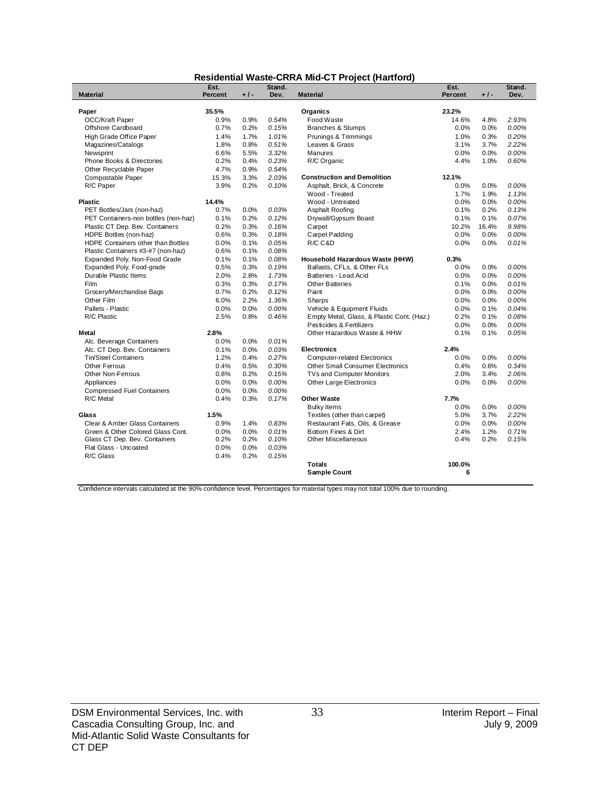### **Residential Waste-CRRA Mid-CT Project (Hartford)**

|                                           | Est.           |       | Stand. |                                            | Est.           |       | Stand.   |
|-------------------------------------------|----------------|-------|--------|--------------------------------------------|----------------|-------|----------|
| <b>Material</b>                           | <b>Percent</b> | $+1-$ | Dev.   | Material                                   | <b>Percent</b> | $+1-$ | Dev.     |
|                                           |                |       |        |                                            |                |       |          |
| Paper                                     | 35.5%          |       |        | Organics                                   | 23.2%          |       |          |
| <b>OCC/Kraft Paper</b>                    | 0.9%           | 0.9%  | 0.54%  | Food Waste                                 | 14.6%          | 4.8%  | 2.93%    |
| Offshore Cardboard                        | 0.7%           | 0.2%  | 0.15%  | <b>Branches &amp; Stumps</b>               | 0.0%           | 0.0%  | 0.00%    |
| High Grade Office Paper                   | 1.4%           | 1.7%  | 1.01%  | Prunings & Trimmings                       | 1.0%           | 0.3%  | 0.20%    |
| Magazines/Catalogs                        | 1.8%           | 0.8%  | 0.51%  | Leaves & Grass                             | 3.1%           | 3.7%  | 2.22%    |
| Newsprint                                 | 6.6%           | 5.5%  | 3.32%  | Manures                                    | 0.0%           | 0.0%  | 0.00%    |
| Phone Books & Directories                 | 0.2%           | 0.4%  | 0.23%  | R/C Organic                                | 4.4%           | 1.0%  | 0.60%    |
| Other Recyclable Paper                    | 4.7%           | 0.9%  | 0.54%  |                                            |                |       |          |
| Compostable Paper                         | 15.3%          | 3.3%  | 2.03%  | <b>Construction and Demolition</b>         | 12.1%          |       |          |
| R/C Paper                                 | 3.9%           | 0.2%  | 0.10%  | Asphalt, Brick, & Concrete                 | 0.0%           | 0.0%  | 0.00%    |
|                                           |                |       |        | Wood - Treated                             | 1.7%           | 1.9%  | 1.13%    |
| <b>Plastic</b>                            | 14.4%          |       |        | Wood - Untreated                           | 0.0%           | 0.0%  | 0.00%    |
| PET Bottles/Jars (non-haz)                | 0.7%           | 0.0%  | 0.03%  | Asphalt Roofing                            | 0.1%           | 0.2%  | 0.13%    |
| PET Containers-non bottles (non-haz)      | 0.1%           | 0.2%  | 0.12%  | Drywall/Gypsum Board                       | 0.1%           | 0.1%  | 0.07%    |
| Plastic CT Dep. Bev. Containers           | 0.2%           | 0.3%  | 0.16%  | Carpet                                     | 10.2%          | 16.4% | 9.98%    |
| HDPE Bottles (non-haz)                    | 0.6%           | 0.3%  | 0.18%  | Carpet Padding                             | 0.0%           | 0.0%  | 0.00%    |
| <b>HDPE Containers other than Bottles</b> | 0.0%           | 0.1%  | 0.05%  | R/C C&D                                    | 0.0%           | 0.0%  | 0.01%    |
| Plastic Containers #3-#7 (non-haz)        | 0.6%           | 0.1%  | 0.08%  |                                            |                |       |          |
| Expanded Poly. Non-Food Grade             | 0.1%           | 0.1%  | 0.08%  | Household Hazardous Waste (HHW)            | 0.3%           |       |          |
| Expanded Poly. Food-grade                 | 0.5%           | 0.3%  | 0.19%  | Ballasts, CFLs, & Other FLs                | 0.0%           | 0.0%  | $0.00\%$ |
| Durable Plastic Items                     | 2.0%           | 2.8%  | 1.73%  | Batteries - Lead Acid                      | 0.0%           | 0.0%  | 0.00%    |
| <b>Film</b>                               | 0.3%           | 0.3%  | 0.17%  | <b>Other Batteries</b>                     | 0.1%           | 0.0%  | 0.01%    |
| Grocery/Merchandise Bags                  | 0.7%           | 0.2%  | 0.12%  | Paint                                      | 0.0%           | 0.0%  | 0.00%    |
| Other Film                                | 6.0%           | 2.2%  | 1.36%  | Sharps                                     | 0.0%           | 0.0%  | 0.00%    |
| Pallets - Plastic                         | 0.0%           | 0.0%  | 0.00%  | Vehicle & Equipment Fluids                 | 0.0%           | 0.1%  | 0.04%    |
| R/C Plastic                               | 2.5%           | 0.8%  | 0.46%  | Empty Metal, Glass, & Plastic Cont. (Haz.) | 0.2%           | 0.1%  | 0.08%    |
|                                           |                |       |        | Pesticides & Fertilizers                   | 0.0%           | 0.0%  | $0.00\%$ |
| Metal                                     | 2.8%           |       |        | Other Hazardous Waste & HHW                | 0.1%           | 0.1%  | 0.05%    |
| Alc. Beverage Containers                  | 0.0%           | 0.0%  | 0.01%  |                                            |                |       |          |
| Alc. CT Dep. Bev. Containers              | 0.1%           | 0.0%  | 0.03%  | <b>Electronics</b>                         | 2.4%           |       |          |
| <b>Tin/Steel Containers</b>               | 1.2%           | 0.4%  | 0.27%  | <b>Computer-related Electronics</b>        | 0.0%           | 0.0%  | 0.00%    |
| <b>Other Ferrous</b>                      | 0.4%           | 0.5%  | 0.30%  | <b>Other Small Consumer Electronics</b>    | 0.4%           | 0.6%  | 0.34%    |
| Other Non-Ferrous                         | 0.8%           | 0.2%  | 0.15%  | <b>TVs and Computer Monitors</b>           | 2.0%           | 3.4%  | 2.06%    |
| Appliances                                | 0.0%           | 0.0%  | 0.00%  | <b>Other Large Electronics</b>             | 0.0%           | 0.0%  | 0.00%    |
| <b>Compressed Fuel Containers</b>         | 0.0%           | 0.0%  | 0.00%  |                                            |                |       |          |
| R/C Metal                                 | 0.4%           | 0.3%  | 0.17%  | <b>Other Waste</b>                         | 7.7%           |       |          |
|                                           |                |       |        | <b>Bulky Items</b>                         | 0.0%           | 0.0%  | 0.00%    |
| Glass                                     | 1.5%           |       |        | Textiles (other than carpet)               | 5.0%           | 3.7%  | 2.22%    |
| Clear & Amber Glass Containers            | 0.9%           | 1.4%  | 0.83%  | Restaurant Fats, Oils, & Grease            | 0.0%           | 0.0%  | 0.00%    |
| Green & Other Colored Glass Cont.         | 0.0%           | 0.0%  | 0.01%  | Bottom Fines & Dirt                        | 2.4%           | 1.2%  | 0.71%    |
| Glass CT Dep. Bev. Containers             | 0.2%           | 0.2%  | 0.10%  | <b>Other Miscellaneous</b>                 | 0.4%           | 0.2%  | 0.15%    |
| Flat Glass - Uncoated                     | 0.0%           | 0.0%  | 0.03%  |                                            |                |       |          |
| R/C Glass                                 | 0.4%           | 0.2%  | 0.15%  |                                            |                |       |          |
|                                           |                |       |        | <b>Totals</b>                              | 100.0%         |       |          |
|                                           |                |       |        | Sample Count                               | 6              |       |          |
|                                           |                |       |        |                                            |                |       |          |